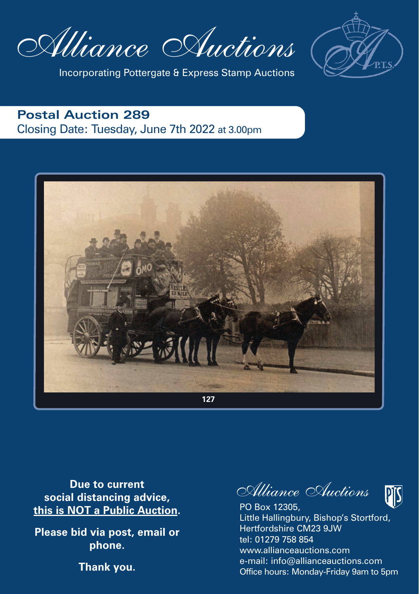Alliance Auctions



Incorporating Pottergate & Express Stamp Auctions

### **Postal Auction 289** Closing Date: Tuesday, June 7th 2022 at 3.00pm



**Due to current social distancing advice, this is NOT a Public Auction.**

**Please bid via post, email or phone.**

**Thank you.**

Alliance Auctions



PO Box 12305, Little Hallingbury, Bishop's Stortford, Hertfordshire CM23 9JW tel: 01279 758 854 www.allianceauctions.com e-mail: info@allianceauctions.com Office hours: Monday-Friday 9am to 5pm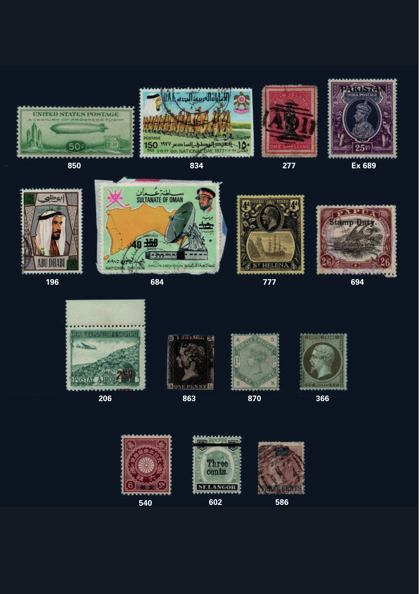







**850 834 277 Ex 689**





 $\frac{1}{20}$  and  $\frac{1}{20}$  and  $\frac{1}{20}$  and  $\frac{1}{20}$  and  $\frac{1}{20}$  and  $\frac{1}{20}$  and  $\frac{1}{20}$  and  $\frac{1}{20}$  and  $\frac{1}{20}$  and  $\frac{1}{20}$  and  $\frac{1}{20}$  and  $\frac{1}{20}$  and  $\frac{1}{20}$  and  $\frac{1}{20}$  and  $\frac{1}{20}$  **196 684 777 694**









these as we do at the moment of the moment of the moment of the moment of the moment. The moment of the moment <br>The moment of the moment of the moment of the moment of the moment of the moment of the moment of the moment o



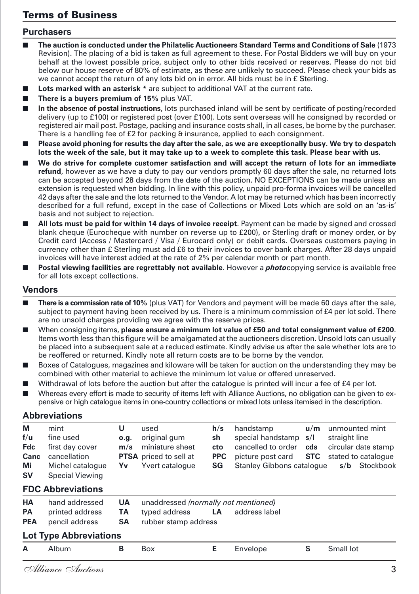#### Terms of Business

#### **Purchasers**

- n **The auction is conducted under the Philatelic Auctioneers Standard Terms and Conditions of Sale** (1973 Revision). The placing of a bid is taken as full agreement to these. For Postal Bidders we will buy on your behalf at the lowest possible price, subject only to other bids received or reserves. Please do not bid below our house reserve of 80% of estimate, as these are unlikely to succeed. Please check your bids as we cannot accept the return of any lots bid on in error. All bids must be in £ Sterling.
- **Lots marked with an asterisk \*** are subject to additional VAT at the current rate.
- **There is a buvers premium of 15% plus VAT.**
- n **In the absence of postal instructions**, lots purchased inland will be sent by certificate of posting/recorded delivery (up to £100) or registered post (over £100). Lots sent overseas will he consigned by recorded or registered air mail post. Postage, packing and insurance costs shall, in all cases, be borne by the purchaser. There is a handling fee of £2 for packing & insurance, applied to each consignment.
- n **Please avoid phoning for results the day after the sale**, **as we are exceptionally busy. We try to despatch lots the week of the sale, but it may take up to a week to complete this task. Please bear with us.**
- n **We do strive for complete customer satisfaction and will accept the return of lots for an immediate refund**, however as we have a duty to pay our vendors promptly 60 days after the sale, no returned lots can be accepted beyond 28 days from the date of the auction. NO EXCEPTIONS can be made unless an extension is requested when bidding. In line with this policy, unpaid pro-forma invoices will be cancelled 42 days after the sale and the lots returned to the Vendor. A lot may be returned which has been incorrectly described for a full refund, except in the case of Collections or Mixed Lots which are sold on an 'as-is' basis and not subject to rejection.
- n **All lots must be paid for within 14 days of invoice receipt**. Payment can be made by signed and crossed blank cheque (Eurocheque with number on reverse up to £200), or Sterling draft or money order, or by Credit card (Access / Mastercard / Visa / Eurocard only) or debit cards. Overseas customers paying in currency other than £ Sterling must add £6 to their invoices to cover bank charges. After 28 days unpaid invoices will have interest added at the rate of 2% per calendar month or part month.
- **Postal viewing facilities are regrettably not available**. However a *photo*copying service is available free for all lots except collections.

#### **Vendors**

- n **There is a commission rate of 10%** (plus VAT) for Vendors and payment will be made 60 days after the sale, subject to payment having been received by us. There is a minimum commission of £4 per lot sold. There are no unsold charges providing we agree with the reserve prices.
- n When consigning items, **please ensure a minimum lot value of £50 and total consignment value of £200**. Items worth less than this figure will be amalgamated at the auctioneers discretion. Unsold lots can usually be placed into a subsequent sale at a reduced estimate. Kindly advise us after the sale whether lots are to be reoffered or returned. Kindly note all return costs are to be borne by the vendor.
- Boxes of Catalogues, magazines and kiloware will be taken for auction on the understanding they may be combined with other material to achieve the minimum lot value or offered unreserved.
- Withdrawal of lots before the auction but after the catalogue is printed will incur a fee of £4 per lot.
- Whereas every effort is made to security of items left with Alliance Auctions, no obligation can be given to expensive or high catalogue items in one-country collections or mixed lots unless itemised in the description.

#### **Abbreviations**

| М<br>f/u<br><b>Fdc</b><br>Canc<br>Mi<br>sv | mint<br>fine used<br>first day cover<br>cancellation<br>Michel catalogue<br><b>Special Viewing</b> | U<br>0.9.<br>m/s<br>Yv       | used<br>original gum<br>miniature sheet<br><b>PTSA</b> priced to sell at<br>Yvert catalogue | h/s<br>sh<br>cto<br><b>PPC</b><br>SG | handstamp<br>special handstamp<br>cancelled to order<br>picture post card<br>Stanley Gibbons catalogue | u/m<br>s/l<br>cds<br><b>STC</b> | unmounted mint<br>straight line<br>circular date stamp<br>stated to catalogue<br>s/b Stockbook |
|--------------------------------------------|----------------------------------------------------------------------------------------------------|------------------------------|---------------------------------------------------------------------------------------------|--------------------------------------|--------------------------------------------------------------------------------------------------------|---------------------------------|------------------------------------------------------------------------------------------------|
|                                            | <b>FDC Abbreviations</b>                                                                           |                              |                                                                                             |                                      |                                                                                                        |                                 |                                                                                                |
| HA<br><b>PA</b><br><b>PEA</b>              | hand addressed<br>printed address<br>pencil address                                                | <b>UA</b><br>TA<br><b>SA</b> | unaddressed (normally not mentioned)<br>typed address<br>rubber stamp address               | LA                                   | address label                                                                                          |                                 |                                                                                                |
|                                            | <b>Lot Type Abbreviations</b>                                                                      |                              |                                                                                             |                                      |                                                                                                        |                                 |                                                                                                |
| A                                          | Album                                                                                              | B                            | Box                                                                                         | E                                    | Envelope                                                                                               | s                               | Small lot                                                                                      |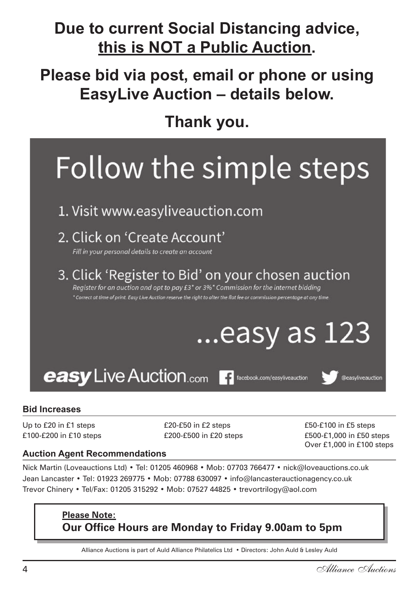## Due to current Social Distancing advice, **this is NOT a Public Auction.**

## **Please bid via post, email or phone or using EasyLive Auction – details below.**

**Thank you.**

## Follow the simple steps

### 1. Visit www.easyliveauction.com

### 2. Click on 'Create Account'

Fill in your personal details to create an account

3. Click 'Register to Bid' on your chosen auction Register for an auction and opt to pay £3<sup>\*</sup> or 3%<sup>\*</sup> Commission for the internet bidding

\* Correct at time of print. Easy Live Auction reserve the right to alter the flat fee or commission percentage at any time.

#### n **From M11** Take the exit at M11 junction 8. At the roundabout take the third exit onto the A120 towards Colchester. After about 5miles take the B1256 towards Takely, Thaxted & Great Dunmow. At the roundabout  $t_{\rm max}$  and  $\tau_{\rm max}$  around the first exit of the first exit of the first exit of the roundabout onto Stortford Road. Foakes Hall is located a short distance on the left after the roundabout..

n We will provide complimentary tea & coffee. Please note there is no bar, bar meals or a restaurant. There **is free parking.** Showing is a shown by a showing is a viewing is a variable at our offices by a shown by a shown by a shown by a shown by a shown by a shown by a shown by a shown by a shown by a shown by a shown by a sho n Viewing is between 12 noon to 7.15pm on the day of the sale and at our offices prior to sale day.



#### **Bid Increases**

Up to £20 in £1 steps  $£20-E50$  in £2 steps  $£30+E50+E100$  in £5 steps

**Map of our Venue**

£100-£200 in £10 steps £200-£500 in £20 steps £500-£1,000 in £50 steps Over £1,000 in £100 steps

#### **Auction Agent Recommendations**

Nick Martin (Loveauctions Ltd) • Tel: 01205 460968 • Mob: 07703 766477 • nick@loveauctions.co.uk Jean Lancaster • Tel: 01923 269775 • Mob: 07788 630097 • info@lancasterauctionagency.co.uk Trevor Chinery • Tel/Fax: 01205 315292 • Mob: 07527 44825 • trevortrilogy@aol.com

#### **Please Note: Our Office Hours are Monday to Friday 9.00am to 5pm**

Alliance Auctions is part of Auld Alliance Philatelics Ltd • Directors: John Auld & Lesley Auld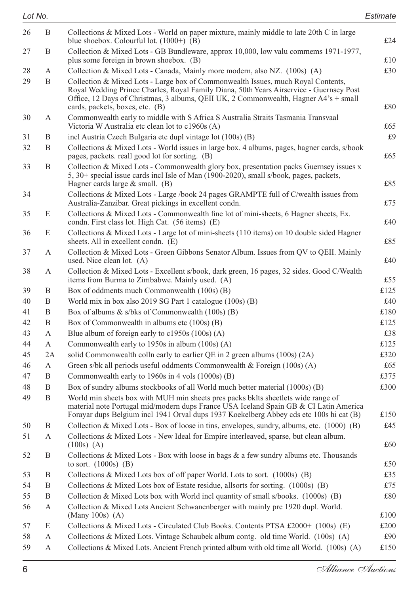| Lot No. |    |                                                                                                                                                                                                                                                                                                        | Estimate |
|---------|----|--------------------------------------------------------------------------------------------------------------------------------------------------------------------------------------------------------------------------------------------------------------------------------------------------------|----------|
| 26      | B  | Collections & Mixed Lots - World on paper mixture, mainly middle to late 20th C in large<br>blue shoebox. Colourful lot. $(1000+)$ (B)                                                                                                                                                                 | £24      |
| 27      | B  | Collection & Mixed Lots - GB Bundleware, approx 10,000, low valu commems 1971-1977,<br>plus some foreign in brown shoebox. (B)                                                                                                                                                                         | £10      |
| 28      | А  | Collection & Mixed Lots - Canada, Mainly more modern, also NZ. $(100s)$ (A)                                                                                                                                                                                                                            | £30      |
| 29      | B  | Collection & Mixed Lots - Large box of Commonwealth Issues, much Royal Contents,<br>Royal Wedding Prince Charles, Royal Family Diana, 50th Years Airservice - Guernsey Post<br>Office, 12 Days of Christmas, 3 albums, QEII UK, 2 Commonwealth, Hagner A4's + small<br>cards, packets, boxes, etc. (B) | £80      |
| 30      | А  | Commonwealth early to middle with S Africa S Australia Straits Tasmania Transvaal<br>Victoria W Australia etc clean lot to c1960s (A)                                                                                                                                                                  | £65      |
| 31      | Β  | incl Austria Czech Bulgaria etc dupl vintage lot (100s) (B)                                                                                                                                                                                                                                            | £9       |
| 32      | B  | Collections & Mixed Lots - World issues in large box. 4 albums, pages, hagner cards, s/book<br>pages, packets. reall good lot for sorting. (B)                                                                                                                                                         | £65      |
| 33      | B  | Collection & Mixed Lots - Commonwealth glory box, presentation packs Guernsey issues x<br>5, 30+ special issue cards incl Isle of Man (1900-2020), small s/book, pages, packets,<br>Hagner cards large $&$ small. (B)                                                                                  | £85      |
| 34      |    | Collections & Mixed Lots - Large /book 24 pages GRAMPTE full of C/wealth issues from<br>Australia-Zanzibar. Great pickings in excellent condn.                                                                                                                                                         | £75      |
| 35      | E  | Collections & Mixed Lots - Commonwealth fine lot of mini-sheets, 6 Hagner sheets, Ex.<br>condn. First class lot. High Cat. (56 items) (E)                                                                                                                                                              | £40      |
| 36      | E  | Collections & Mixed Lots - Large lot of mini-sheets (110 items) on 10 double sided Hagner<br>sheets. All in excellent condn. (E)                                                                                                                                                                       | £85      |
| 37      | А  | Collection & Mixed Lots - Green Gibbons Senator Album. Issues from QV to QEII. Mainly<br>used. Nice clean lot. (A)                                                                                                                                                                                     | £40      |
| 38      | А  | Collection & Mixed Lots - Excellent s/book, dark green, 16 pages, 32 sides. Good C/Wealth<br>items from Burma to Zimbabwe. Mainly used. (A)                                                                                                                                                            | £55      |
| 39      | B  | Box of oddments much Commonwealth (100s) (B)                                                                                                                                                                                                                                                           | £125     |
| 40      | B  | World mix in box also 2019 SG Part 1 catalogue (100s) (B)                                                                                                                                                                                                                                              | £40      |
| 41      | B  | Box of albums $\&$ s/bks of Commonwealth (100s) (B)                                                                                                                                                                                                                                                    | £180     |
| 42      | B  | Box of Commonwealth in albums etc (100s) (B)                                                                                                                                                                                                                                                           | £125     |
| 43      | А  | Blue album of foreign early to c1950s (100s) (A)                                                                                                                                                                                                                                                       | £38      |
| 44      | А  | Commonwealth early to 1950s in album (100s) (A)                                                                                                                                                                                                                                                        | £125     |
| 45      | 2A | solid Commonwealth colln early to earlier QE in 2 green albums (100s) (2A)                                                                                                                                                                                                                             | £320     |
| 46      | А  | Green s/bk all periods useful oddments Commonwealth & Foreign $(100s)$ (A)                                                                                                                                                                                                                             | £65      |
| 47      | B  | Commonwealth early to 1960s in 4 vols (1000s) (B)                                                                                                                                                                                                                                                      | £375     |
| 48      | B  | Box of sundry albums stockbooks of all World much better material (1000s) (B)                                                                                                                                                                                                                          | £300     |
| 49      | B  | World min sheets box with MUH min sheets pres packs bklts sheetlets wide range of<br>material note Portugal mid/modern dups France USA Iceland Spain GB & CI Latin America<br>Forayar dups Belgium incl 1941 Orval dups 1937 Koekelberg Abbey cds etc 100s hi cat (B)                                  | £150     |
| 50      | Β  | Collection & Mixed Lots - Box of loose in tins, envelopes, sundry, albums, etc. (1000) (B)                                                                                                                                                                                                             | £45      |
| 51      | А  | Collections & Mixed Lots - New Ideal for Empire interleaved, sparse, but clean album.<br>$(100s)$ (A)                                                                                                                                                                                                  | £60      |
| 52      | B  | Collections & Mixed Lots - Box with loose in bags $\&$ a few sundry albums etc. Thousands<br>to sort. $(1000s)$ (B)                                                                                                                                                                                    | £50      |
| 53      | B  | Collections & Mixed Lots box of off paper World. Lots to sort. (1000s) (B)                                                                                                                                                                                                                             | £35      |
| 54      | B  | Collections & Mixed Lots box of Estate residue, all sorts for sorting. $(1000s)$ (B)                                                                                                                                                                                                                   | £75      |
| 55      | B  | Collection & Mixed Lots box with World incl quantity of small s/books. (1000s) (B)                                                                                                                                                                                                                     | £80      |
| 56      | А  | Collection & Mixed Lots Ancient Schwanenberger with mainly pre 1920 dupl. World.<br>(Many 100s) $(A)$                                                                                                                                                                                                  | £100     |
| 57      | E  | Collections & Mixed Lots - Circulated Club Books. Contents PTSA £2000+ $(100s)$ (E)                                                                                                                                                                                                                    | £200     |
| 58      | А  | Collections & Mixed Lots. Vintage Schaubek album contg. old time World. (100s) (A)                                                                                                                                                                                                                     | £90      |
| 59      | А  | Collections & Mixed Lots. Ancient French printed album with old time all World. (100s) (A)                                                                                                                                                                                                             | £150     |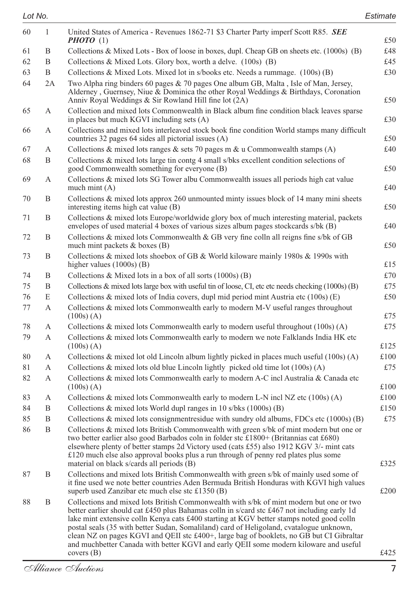| 60 | 1  | United States of America - Revenues 1862-71 \$3 Charter Party imperf Scott R85. SEE<br><b>PHOTO</b> $(1)$                                                                                                                                                                                                                                                                                                                                                                                                                                                                          | £50  |
|----|----|------------------------------------------------------------------------------------------------------------------------------------------------------------------------------------------------------------------------------------------------------------------------------------------------------------------------------------------------------------------------------------------------------------------------------------------------------------------------------------------------------------------------------------------------------------------------------------|------|
| 61 | B  | Collections & Mixed Lots - Box of loose in boxes, dupl. Cheap GB on sheets etc. (1000s) (B)                                                                                                                                                                                                                                                                                                                                                                                                                                                                                        | £48  |
| 62 | B  | Collections & Mixed Lots. Glory box, worth a delve. (100s) (B)                                                                                                                                                                                                                                                                                                                                                                                                                                                                                                                     | £45  |
| 63 | B  | Collections & Mixed Lots. Mixed lot in s/books etc. Needs a rummage. (100s) (B)                                                                                                                                                                                                                                                                                                                                                                                                                                                                                                    | £30  |
| 64 | 2A | Two Alpha ring binders 60 pages $\&$ 70 pages One album GB, Malta, Isle of Man, Jersey,<br>Alderney, Guernsey, Niue & Dominica the other Royal Weddings & Birthdays, Coronation<br>Anniv Royal Weddings & Sir Rowland Hill fine lot (2A)                                                                                                                                                                                                                                                                                                                                           | £50  |
| 65 | A  | Collection and mixed lots Commonwealth in Black album fine condition black leaves sparse<br>in places but much KGVI including sets (A)                                                                                                                                                                                                                                                                                                                                                                                                                                             | £30  |
| 66 | А  | Collections and mixed lots interleaved stock book fine condition World stamps many difficult<br>countries 32 pages 64 sides all pictorial issues (A)                                                                                                                                                                                                                                                                                                                                                                                                                               | £50  |
| 67 | А  | Collections & mixed lots ranges & sets 70 pages m & u Commonwealth stamps $(A)$                                                                                                                                                                                                                                                                                                                                                                                                                                                                                                    | £40  |
| 68 | B  | Collections & mixed lots large tin contg 4 small s/bks excellent condition selections of<br>good Commonwealth something for everyone (B)                                                                                                                                                                                                                                                                                                                                                                                                                                           | £50  |
| 69 | А  | Collections & mixed lots SG Tower albu Commonwealth issues all periods high cat value<br>much mint $(A)$                                                                                                                                                                                                                                                                                                                                                                                                                                                                           | £40  |
| 70 | Β  | Collections & mixed lots approx 260 unmounted minty issues block of 14 many mini sheets<br>interesting items high cat value (B)                                                                                                                                                                                                                                                                                                                                                                                                                                                    | £50  |
| 71 | B  | Collections & mixed lots Europe/worldwide glory box of much interesting material, packets<br>envelopes of used material 4 boxes of various sizes album pages stockcards s/bk (B)                                                                                                                                                                                                                                                                                                                                                                                                   | £40  |
| 72 | B  | Collections & mixed lots Commonwealth & GB very fine colln all reigns fine s/bk of GB<br>much mint packets & boxes (B)                                                                                                                                                                                                                                                                                                                                                                                                                                                             | £50  |
| 73 | B  | Collections & mixed lots shoebox of GB & World kiloware mainly 1980s & 1990s with<br>higher values $(1000s)$ (B)                                                                                                                                                                                                                                                                                                                                                                                                                                                                   | £15  |
| 74 | B  | Collections & Mixed lots in a box of all sorts $(1000s)$ (B)                                                                                                                                                                                                                                                                                                                                                                                                                                                                                                                       | £70  |
| 75 | B  | Collections & mixed lots large box with useful tin of loose, CI, etc etc needs checking (1000s) (B)                                                                                                                                                                                                                                                                                                                                                                                                                                                                                | £75  |
| 76 | E  | Collections & mixed lots of India covers, dupl mid period mint Austria etc $(100s)$ (E)                                                                                                                                                                                                                                                                                                                                                                                                                                                                                            | £50  |
| 77 | A  | Collections & mixed lots Commonwealth early to modern M-V useful ranges throughout<br>$(100s)$ (A)                                                                                                                                                                                                                                                                                                                                                                                                                                                                                 | £75  |
| 78 | А  | Collections & mixed lots Commonwealth early to modern useful throughout $(100s)$ (A)                                                                                                                                                                                                                                                                                                                                                                                                                                                                                               | £75  |
| 79 | A  | Collections & mixed lots Commonwealth early to modern we note Falklands India HK etc<br>(100s) (A)                                                                                                                                                                                                                                                                                                                                                                                                                                                                                 | £125 |
| 80 | А  | Collections & mixed lot old Lincoln album lightly picked in places much useful (100s) (A)                                                                                                                                                                                                                                                                                                                                                                                                                                                                                          | £100 |
| 81 | A  | Collections & mixed lots old blue Lincoln lightly picked old time lot (100s) (A)                                                                                                                                                                                                                                                                                                                                                                                                                                                                                                   | £75  |
| 82 | А  | Collections & mixed lots Commonwealth early to modern A-C incl Australia & Canada etc<br>$(100s)$ (A)                                                                                                                                                                                                                                                                                                                                                                                                                                                                              | £100 |
| 83 | А  | Collections & mixed lots Commonwealth early to modern L-N incl NZ etc $(100s)$ (A)                                                                                                                                                                                                                                                                                                                                                                                                                                                                                                 | £100 |
| 84 | B  | Collections & mixed lots World dupl ranges in 10 s/bks (1000s) (B)                                                                                                                                                                                                                                                                                                                                                                                                                                                                                                                 | £150 |
| 85 | B  | Collections & mixed lots consignment esidue with sundry old albums, FDCs etc (1000s) (B)                                                                                                                                                                                                                                                                                                                                                                                                                                                                                           | £75  |
| 86 | B  | Collections & mixed lots British Commonwealth with green s/bk of mint modern but one or<br>two better earlier also good Barbados coln in folder stc £1800+ (Britannias cat £680)<br>elsewhere plenty of better stamps 2d Victory used (cats £55) also 1912 KGV 3/- mint cats<br>$\pounds$ 120 much else also approval books plus a run through of penny red plates plus some                                                                                                                                                                                                       |      |
|    |    | material on black s/cards all periods (B)                                                                                                                                                                                                                                                                                                                                                                                                                                                                                                                                          | £325 |
| 87 | Β  | Collections and mixed lots British Commonwealth with green s/bk of mainly used some of<br>it fine used we note better countries Aden Bermuda British Honduras with KGVI high values<br>superb used Zanzibar etc much else stc $£1350(B)$                                                                                                                                                                                                                                                                                                                                           | £200 |
| 88 | B  | Collections and mixed lots British Commonwealth with s/bk of mint modern but one or two<br>better earlier should cat £450 plus Bahamas colln in s/card stc £467 not including early 1d<br>lake mint extensive colln Kenya cats £400 starting at KGV better stamps noted good colln<br>postal seals (35 with better Sudan, Somaliland) card of Heligoland, cvatalogue unknown,<br>clean NZ on pages KGVI and OEII stc £400+, large bag of booklets, no GB but CI Gibraltar<br>and muchbetter Canada with better KGVI and early QEII some modern kiloware and useful<br>covers $(B)$ | £425 |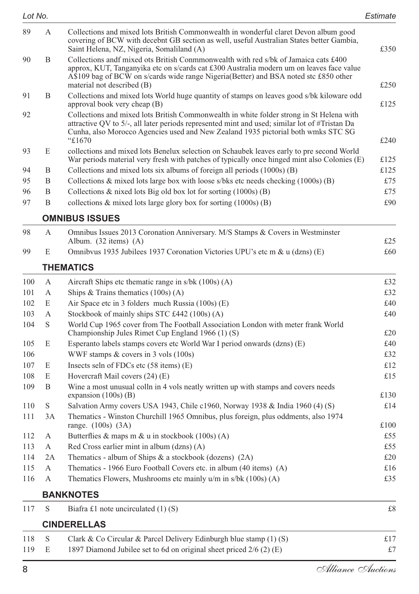| Lot No. |    |                                                                                                                                                                                                                                                                                                       | Estimate |
|---------|----|-------------------------------------------------------------------------------------------------------------------------------------------------------------------------------------------------------------------------------------------------------------------------------------------------------|----------|
| 89      | A  | Collections and mixed lots British Commonwealth in wonderful claret Devon album good<br>covering of BCW with decebnt GB section as well, useful Australian States better Gambia,<br>Saint Helena, NZ, Nigeria, Somaliland (A)                                                                         | £350     |
| 90      | B. | Collections and fmixed ots British Commonwealth with red s/bk of Jamaica cats £400<br>approx, KUT, Tanganyika etc on s/cards cat £300 Australia modern um on leaves face value<br>A\$109 bag of BCW on s/cards wide range Nigeria (Better) and BSA noted stc £850 other<br>material not described (B) | £250     |
| 91      | B  | Collections and mixed lots World huge quantity of stamps on leaves good s/bk kiloware odd<br>approval book very cheap (B)                                                                                                                                                                             | £125     |
| 92      |    | Collections and mixed lots British Commonwealth in white folder strong in St Helena with<br>attractive QV to 5/-, all later periods represented mint and used; similar lot of #Tristan Da<br>Cunha, also Morocco Agencies used and New Zealand 1935 pictorial both wmks STC SG<br>"£1670              | £240     |
| 93      | E  | collections and mixed lots Benelux selection on Schaubek leaves early to pre second World<br>War periods material very fresh with patches of typically once hinged mint also Colonies (E)                                                                                                             | £125     |
| 94      | B  | Collections and mixed lots six albums of foreign all periods (1000s) (B)                                                                                                                                                                                                                              | £125     |
| 95      | B  | Collections & mixed lots large box with loose s/bks etc needs checking $(1000s)$ (B)                                                                                                                                                                                                                  | £75      |
| 96      | B  | Collections $\&$ nixed lots Big old box lot for sorting $(1000s)$ (B)                                                                                                                                                                                                                                 | £75      |
| 97      | B  | collections $\&$ mixed lots large glory box for sorting $(1000s)$ (B)                                                                                                                                                                                                                                 | £90      |

#### **OMNIBUS ISSUES**

| 98  | Omnibus Issues 2013 Coronation Anniversary. M/S Stamps & Covers in Westminster |     |
|-----|--------------------------------------------------------------------------------|-----|
|     | Album. $(32 \text{ items})$ $(A)$                                              | £25 |
| 99. | Omnibyus 1935 Jubilees 1937 Coronation Victories UPU's etc m & u (dzns) (E)    | £60 |

#### **THEMATICS**

| 100 | А            | Aircraft Ships etc thematic range in $s/bk$ (100s) (A)                                                                                | £32  |
|-----|--------------|---------------------------------------------------------------------------------------------------------------------------------------|------|
| 101 | A            | Ships & Trains thematics $(100s)$ (A)                                                                                                 | £32  |
| 102 | E            | Air Space etc in 3 folders much Russia (100s) (E)                                                                                     | £40  |
| 103 | $\mathsf{A}$ | Stockbook of mainly ships STC £442 (100s) (A)                                                                                         | £40  |
| 104 | S            | World Cup 1965 cover from The Football Association London with meter frank World<br>Championship Jules Rimet Cup England 1966 (1) (S) | £20  |
| 105 | E            | Esperanto labels stamps covers etc World War I period onwards (dzns) (E)                                                              | £40  |
| 106 |              | WWF stamps $&$ covers in 3 vols (100s)                                                                                                | £32  |
| 107 | E            | Insects seln of FDCs etc $(58$ items $)$ $(E)$                                                                                        | £12  |
| 108 | E            | Hovercraft Mail covers $(24)$ (E)                                                                                                     | £15  |
| 109 | B            | Wine a most unusual colln in 4 vols neatly written up with stamps and covers needs<br>expansion $(100s)$ (B)                          | £130 |
| 110 | S            | Salvation Army covers USA 1943, Chile c1960, Norway 1938 & India 1960 (4) (S)                                                         | £14  |
| 111 | 3A           | Thematics - Winston Churchill 1965 Omnibus, plus foreign, plus oddments, also 1974<br>range. $(100s)$ $(3A)$                          | £100 |
| 112 | A            | Butterflies & maps m & u in stockbook $(100s)$ (A)                                                                                    | £55  |
| 113 | A            | Red Cross earlier mint in album $(dzns)$ $(A)$                                                                                        | £55  |
| 114 | 2A           | Thematics - album of Ships $\&$ a stockbook (dozens) (2A)                                                                             | £20  |
| 115 | A            | Thematics - 1966 Euro Football Covers etc. in album (40 items) (A)                                                                    | £16  |
| 116 | A            | Thematics Flowers, Mushrooms etc mainly $u/m$ in $s/bk$ (100s) (A)                                                                    | £35  |
|     |              | <b>BANKNOTES</b>                                                                                                                      |      |
| 117 | S            | Biafra £1 note uncirculated $(1)$ (S)                                                                                                 | £8   |
|     |              | <b>CINDERELLAS</b>                                                                                                                    |      |
| 118 | S            | Clark & Co Circular & Parcel Delivery Edinburgh blue stamp $(1)$ (S)                                                                  | £17  |

119 E 1897 Diamond Jubilee set to 6d on original sheet priced 2/6 (2) (E) £7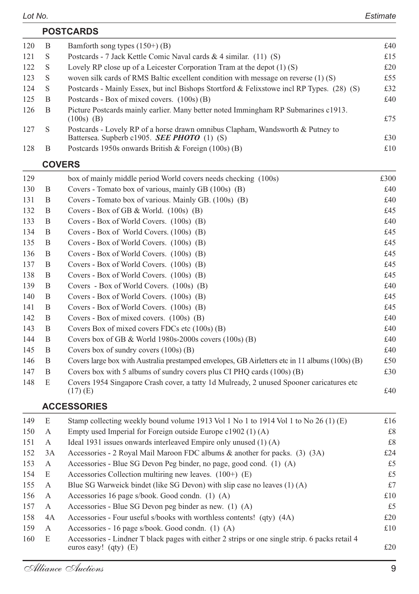|     | <b>POSTCARDS</b> |                                                                                                                                      |     |  |  |
|-----|------------------|--------------------------------------------------------------------------------------------------------------------------------------|-----|--|--|
| 120 | B                | Bamforth song types $(150+)$ (B)                                                                                                     | £40 |  |  |
| 121 | S                | Postcards - 7 Jack Kettle Comic Naval cards $\&$ 4 similar. (11) (S)                                                                 | £15 |  |  |
| 122 | -S               | Lovely RP close up of a Leicester Corporation Tram at the depot $(1)$ $(S)$                                                          | £20 |  |  |
| 123 | - S              | woven silk cards of RMS Baltic excellent condition with message on reverse $(1)$ (S)                                                 | £55 |  |  |
| 124 | -S               | Postcards - Mainly Essex, but incl Bishops Stortford & Felixstowe incl RP Types. (28) (S)                                            | £32 |  |  |
| 125 | B                | Postcards - Box of mixed covers. $(100s)$ (B)                                                                                        | £40 |  |  |
| 126 | B                | Picture Postcards mainly earlier. Many better noted Immingham RP Submarines c1913.<br>$(100s)$ (B)                                   | £75 |  |  |
| 127 | S                | Postcards - Lovely RP of a horse drawn omnibus Clapham, Wandsworth & Putney to<br>Battersea. Supberb c1905. <b>SEE PHOTO</b> (1) (S) | £30 |  |  |
| 128 | В                | Postcards 1950s onwards British & Foreign $(100s)$ (B)                                                                               | £10 |  |  |

#### **COVERS**

| 129 |   | box of mainly middle period World covers needs checking (100s)                                         | £300 |
|-----|---|--------------------------------------------------------------------------------------------------------|------|
| 130 | B | Covers - Tomato box of various, mainly GB (100s) (B)                                                   | £40  |
| 131 | B | Covers - Tomato box of various. Mainly GB. (100s) (B)                                                  | £40  |
| 132 | B | Covers - Box of GB & World. $(100s)$ (B)                                                               | £45  |
| 133 | B | Covers - Box of World Covers. (100s) (B)                                                               | £40  |
| 134 | B | Covers - Box of World Covers. (100s) (B)                                                               | £45  |
| 135 | B | Covers - Box of World Covers. (100s) (B)                                                               | £45  |
| 136 | B | Covers - Box of World Covers. (100s) (B)                                                               | £45  |
| 137 | B | Covers - Box of World Covers. (100s) (B)                                                               | £45  |
| 138 | B | Covers - Box of World Covers. (100s) (B)                                                               | £45  |
| 139 | B | Covers - Box of World Covers. (100s) (B)                                                               | £40  |
| 140 | B | Covers - Box of World Covers. (100s) (B)                                                               | £45  |
| 141 | B | Covers - Box of World Covers. (100s) (B)                                                               | £45  |
| 142 | B | Covers - Box of mixed covers. $(100s)$ (B)                                                             | £40  |
| 143 | B | Covers Box of mixed covers FDCs etc (100s) (B)                                                         | £40  |
| 144 | B | Covers box of GB & World 1980s-2000s covers $(100s)$ (B)                                               | £40  |
| 145 | B | Covers box of sundry covers $(100s)$ (B)                                                               | £40  |
| 146 | B | Covers large box with Australia prestamped envelopes, GB Airletters etc in 11 albums (100s) (B)        | £50  |
| 147 | B | Covers box with 5 albums of sundry covers plus CI PHQ cards (100s) (B)                                 | £30  |
| 148 | E | Covers 1954 Singapore Crash cover, a tatty 1d Mulready, 2 unused Spooner caricatures etc<br>$(17)$ (E) | £40  |

#### **ACCESSORIES**

| 149 | E  | Stamp collecting weekly bound volume 1913 Vol 1 No 1 to 1914 Vol 1 to No 26 (1) (E)                                         | £16 |
|-----|----|-----------------------------------------------------------------------------------------------------------------------------|-----|
| 150 | A  | Empty used Imperial for Foreign outside Europe $c1902$ (1) (A)                                                              | £8  |
| 151 | A  | Ideal 1931 issues onwards interleaved Empire only unused (1) (A)                                                            | £8  |
| 152 | 3A | Accessories - 2 Royal Mail Maroon FDC albums & another for packs. $(3)$ $(3A)$                                              | £24 |
| 153 | A  | Accessories - Blue SG Devon Peg binder, no page, good cond. $(1)$ $(A)$                                                     | £5  |
| 154 | E  | Accessories Collection multiring new leaves. $(100+)$ (E)                                                                   | £5  |
| 155 | A  | Blue SG Warweick bindet (like SG Devon) with slip case no leaves (1) (A)                                                    | £7  |
| 156 | A  | Accessories 16 page s/book. Good condn. (1) (A)                                                                             | £10 |
| 157 | A  | Accessories - Blue SG Devon peg binder as new. $(1)$ $(A)$                                                                  | £5  |
| 158 | 4A | Accessories - Four useful s/books with worthless contents! (qty) (4A)                                                       | £20 |
| 159 | A  | Accessories - 16 page s/book. Good condn. $(1)$ $(A)$                                                                       | £10 |
| 160 | E  | Accessories - Lindner T black pages with either 2 strips or one single strip. 6 packs retail 4<br>euros easy! $(qty)$ $(E)$ | £20 |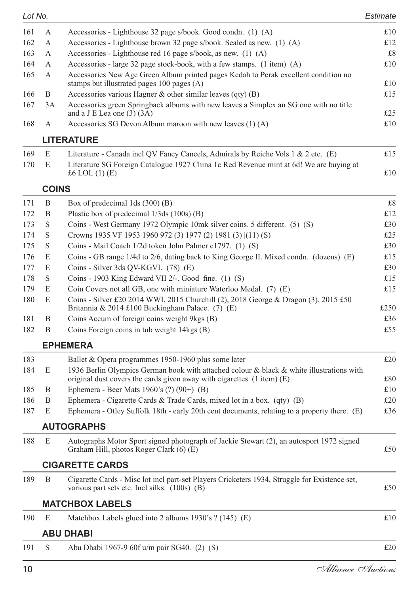| 161 | А            | Accessories - Lighthouse 32 page s/book. Good condn. (1) (A)                                                                          | £10 |
|-----|--------------|---------------------------------------------------------------------------------------------------------------------------------------|-----|
| 162 | А            | Accessories - Lighthouse brown 32 page s/book. Sealed as new. (1) (A)                                                                 | £12 |
| 163 | A            | Accessories - Lighthouse red 16 page s/book, as new. $(1)$ $(A)$                                                                      | £8  |
| 164 | A            | Accessories - large 32 page stock-book, with a few stamps. (1 item) (A)                                                               | £10 |
| 165 | A            | Accessories New Age Green Album printed pages Kedah to Perak excellent condition no<br>stamps but illustrated pages $100$ pages $(A)$ | £10 |
| 166 | B            | Accessories various Hagner $\&$ other similar leaves (qty) (B)                                                                        | £15 |
| 167 | 3A           | Accessories green Springback albums with new leaves a Simplex an SG one with no title<br>and a $J \to Lea$ one (3) (3A)               | £25 |
| 168 | A            | Accessories SG Devon Album maroon with new leaves $(1)$ (A)                                                                           | £10 |
|     |              | <b>LITERATURE</b>                                                                                                                     |     |
| 169 | E            | Literature - Canada incl QV Fancy Cancels, Admirals by Reiche Vols $1 \& 2$ etc. (E)                                                  | £15 |
| 170 | E            | Literature SG Foreign Catalogue 1927 China 1c Red Revenue mint at 6d! We are buying at<br>£6 LOL $(1)$ $(E)$                          | £10 |
|     | <b>COINS</b> |                                                                                                                                       |     |
| 171 | B            | Box of predecimal $1ds(300)$ (B)                                                                                                      | £8  |
| 172 | B            | Plastic box of predecimal $1/3$ ds $(100s)$ (B)                                                                                       | £12 |

| 172 | — Б          | Plastic box of predecimal 1/3ds (100s) (B)                                                                                                | t12  |
|-----|--------------|-------------------------------------------------------------------------------------------------------------------------------------------|------|
| 173 | <sup>S</sup> | Coins - West Germany 1972 Olympic 10mk silver coins. 5 different. (5) (S)                                                                 | £30  |
| 174 | <sup>S</sup> | Crowns 1935 VF 1953 1960 972 (3) 1977 (2) 1981 (3) [(11) (S)                                                                              | £25  |
| 175 | -S           | Coins - Mail Coach 1/2d token John Palmer c1797. (1) (S)                                                                                  | £30  |
| 176 | E            | Coins - GB range 1/4d to 2/6, dating back to King George II. Mixed condn. (dozens) (E)                                                    | £15  |
| 177 | E            | Coins - Silver 3ds QV-KGVI. $(78)$ (E)                                                                                                    | £30  |
| 178 | -S           | Coins - 1903 King Edward VII $2/-$ . Good fine. (1) (S)                                                                                   | £15  |
| 179 | E            | Coin Covers not all GB, one with miniature Waterloo Medal. (7) (E)                                                                        | £15  |
| 180 | E            | Coins - Silver £20 2014 WWI, 2015 Churchill (2), 2018 George & Dragon (3), 2015 £50<br>Britannia & 2014 £100 Buckingham Palace. $(7)$ (E) | £250 |
| 181 | B            | Coins Accum of foreign coins weight 9 kgs (B)                                                                                             | £36  |
| 182 | B            | Coins Foreign coins in tub weight 14kgs (B)                                                                                               | £55  |
|     |              |                                                                                                                                           |      |

#### **EPHEMERA**

| 183   |   | Ballet & Opera programmes 1950-1960 plus some later                                                                                                                       | £20 |
|-------|---|---------------------------------------------------------------------------------------------------------------------------------------------------------------------------|-----|
| 184   | E | 1936 Berlin Olympics German book with attached colour & black & white illustrations with<br>original dust covers the cards given away with cigarettes $(1$ item $)$ $(E)$ | £80 |
| 185 B |   | Ephemera - Beer Mats 1960's $(?) (90+) (B)$                                                                                                                               | £10 |
| 186   | B | Ephemera - Cigarette Cards & Trade Cards, mixed lot in a box. $(qty)$ (B)                                                                                                 | £20 |
| 187   | E | Ephemera - Otley Suffolk 18th - early 20th cent documents, relating to a property there. (E)                                                                              | £36 |

#### **AUTOGRAPHS**

#### **CIGARETTE CARDS**

| 189 | Cigarette Cards - Misc lot incl part-set Players Cricketers 1934, Struggle for Existence set, |     |
|-----|-----------------------------------------------------------------------------------------------|-----|
|     | various part sets etc. Incl silks. (100s) (B)                                                 | £50 |
|     |                                                                                               |     |

#### **MATCHBOX LABELS**

| 190 E |  | Matchbox Labels glued into 2 albums $1930$ 's ? (145) (E) |  |
|-------|--|-----------------------------------------------------------|--|
|-------|--|-----------------------------------------------------------|--|

#### **ABU DHABI**

191 S Abu Dhabi 1967-9 60f u/m pair SG40. (2) (S) £20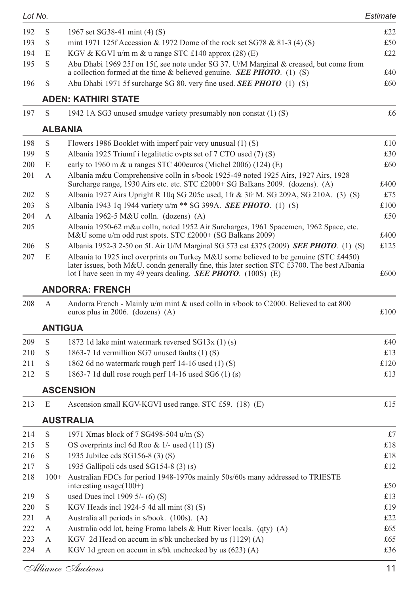| 192<br>S<br>1967 set SG38-41 mint (4) (S)<br>S<br>mint 1971 125f Accession & 1972 Dome of the rock set SG78 & 81-3 (4) (S)<br>193<br>194<br>E<br>KGV & KGVI u/m m & u range STC £140 approx (28) (E)<br>Abu Dhabi 1969 25f on 15f, see note under SG 37. U/M Marginal & creased, but come from<br>195<br>S<br>a collection formed at the time & believed genuine. <b>SEE PHOTO</b> . (1) (S)<br>£40<br>Abu Dhabi 1971 5f surcharge SG 80, very fine used. <b>SEE PHOTO</b> (1) (S)<br>196<br>S<br><b>ADEN: KATHIRI STATE</b><br>197<br>S<br>1942 1A SG3 unused smudge variety presumably non constat (1) (S)<br><b>ALBANIA</b><br>198<br>S<br>Flowers 1986 Booklet with imperf pair very unusual (1) (S)<br>199<br>S<br>Albania 1925 Triumf i legalitetic ovpts set of 7 CTO used (7) (S)<br>E<br>early to 1960 m $\&$ u ranges STC 400euros (Michel 2006) (124) (E)<br>200<br>Albania m&u Comprehensive colln in s/book 1925-49 noted 1925 Airs, 1927 Airs, 1928<br>201<br>A<br>Surcharge range, 1930 Airs etc. etc. STC £2000+ SG Balkans 2009. (dozens). (A)<br>£400<br>Albania 1927 Airs Upright R 10q SG 205c used, 1fr & 3fr M. SG 209A, SG 210A. (3) (S)<br>202<br>S<br>S<br>Albania 1943 1q 1944 variety u/m ** SG 399A. SEE PHOTO. (1) (S)<br>203<br>Albania 1962-5 M&U colln. (dozens) (A)<br>204<br>A<br>£50<br>Albania 1950-62 m&u colln, noted 1952 Air Surcharges, 1961 Spacemen, 1962 Space, etc.<br>205<br>M&U some u/m odd rust spots. STC £2000+ (SG Balkans 2009)<br>£400<br>206<br>S<br>Albania 1952-3 2-50 on 5L Air U/M Marginal SG 573 cat £375 (2009) <b>SEE PHOTO</b> . (1) (S)<br>£125<br>Albania to 1925 incl overprints on Turkey M&U some believed to be genuine (STC £4450)<br>207<br>E<br>later issues, both M&U. condn generally fine, this later section STC £3700. The best Albania<br>lot I have seen in my 49 years dealing. <b>SEE PHOTO</b> . (100S) (E)<br><b>ANDORRA: FRENCH</b><br>208<br>A<br>Andorra French - Mainly u/m mint & used colln in s/book to C2000. Believed to cat 800<br>euros plus in 2006. (dozens) $(A)$<br><b>ANTIGUA</b><br>S<br>209<br>1872 1d lake mint watermark reversed SG13x (1) (s)<br>£40<br>S<br>210<br>1863-7 1d vermillion SG7 unused faults (1) (S)<br>£13<br>211<br>S<br>£120<br>1862 6d no watermark rough perf 14-16 used (1) (S)<br>212<br>S<br>1863-7 1d dull rose rough perf 14-16 used SG6 (1) (s)<br>£13<br><b>ASCENSION</b><br>Ascension small KGV-KGVI used range. STC £59. (18) (E)<br>213<br>E<br><b>AUSTRALIA</b><br>214<br>S<br>1971 Xmas block of 7 SG498-504 u/m (S)<br>215<br>S<br>OS overprints incl 6d Roo & $1/-$ used $(11)$ (S)<br>S<br>216<br>1935 Jubilee cds SG156-8 (3) (S)<br>$\mathbf S$<br>1935 Gallipoli cds used SG154-8 (3) (s)<br>217<br>Australian FDCs for period 1948-1970s mainly 50s/60s many addressed to TRIESTE<br>218<br>$100+$<br>interesting usage $(100+)$<br>used Dues incl 1909 5/- (6) (S)<br>219<br>S<br>220<br>S<br>KGV Heads incl 1924-5 4d all mint $(8)(S)$<br>221<br>А<br>Australia all periods in s/book. (100s). (A)<br>222<br>Australia odd lot, being Froma labels & Hutt River locals. (qty) (A)<br>А<br>223<br>А<br>KGV 2d Head on accum in s/bk unchecked by us (1129) (A)<br>KGV 1d green on accum in s/bk unchecked by us (623) (A)<br>224<br>А | Lot No. |  | Estimate |
|-----------------------------------------------------------------------------------------------------------------------------------------------------------------------------------------------------------------------------------------------------------------------------------------------------------------------------------------------------------------------------------------------------------------------------------------------------------------------------------------------------------------------------------------------------------------------------------------------------------------------------------------------------------------------------------------------------------------------------------------------------------------------------------------------------------------------------------------------------------------------------------------------------------------------------------------------------------------------------------------------------------------------------------------------------------------------------------------------------------------------------------------------------------------------------------------------------------------------------------------------------------------------------------------------------------------------------------------------------------------------------------------------------------------------------------------------------------------------------------------------------------------------------------------------------------------------------------------------------------------------------------------------------------------------------------------------------------------------------------------------------------------------------------------------------------------------------------------------------------------------------------------------------------------------------------------------------------------------------------------------------------------------------------------------------------------------------------------------------------------------------------------------------------------------------------------------------------------------------------------------------------------------------------------------------------------------------------------------------------------------------------------------------------------------------------------------------------------------------------------------------------------------------------------------------------------------------------------------------------------------------------------------------------------------------------------------------------------------------------------------------------------------------------------------------------------------------------------------------------------------------------------------------------------------------------------------------------------------------------------------------------------------------------------------------------------------------------------------------------------------------------------------------------------------------------------------------------------------------------------------------------------------------------------|---------|--|----------|
|                                                                                                                                                                                                                                                                                                                                                                                                                                                                                                                                                                                                                                                                                                                                                                                                                                                                                                                                                                                                                                                                                                                                                                                                                                                                                                                                                                                                                                                                                                                                                                                                                                                                                                                                                                                                                                                                                                                                                                                                                                                                                                                                                                                                                                                                                                                                                                                                                                                                                                                                                                                                                                                                                                                                                                                                                                                                                                                                                                                                                                                                                                                                                                                                                                                                                         |         |  | £22      |
|                                                                                                                                                                                                                                                                                                                                                                                                                                                                                                                                                                                                                                                                                                                                                                                                                                                                                                                                                                                                                                                                                                                                                                                                                                                                                                                                                                                                                                                                                                                                                                                                                                                                                                                                                                                                                                                                                                                                                                                                                                                                                                                                                                                                                                                                                                                                                                                                                                                                                                                                                                                                                                                                                                                                                                                                                                                                                                                                                                                                                                                                                                                                                                                                                                                                                         |         |  | £50      |
|                                                                                                                                                                                                                                                                                                                                                                                                                                                                                                                                                                                                                                                                                                                                                                                                                                                                                                                                                                                                                                                                                                                                                                                                                                                                                                                                                                                                                                                                                                                                                                                                                                                                                                                                                                                                                                                                                                                                                                                                                                                                                                                                                                                                                                                                                                                                                                                                                                                                                                                                                                                                                                                                                                                                                                                                                                                                                                                                                                                                                                                                                                                                                                                                                                                                                         |         |  | £22      |
|                                                                                                                                                                                                                                                                                                                                                                                                                                                                                                                                                                                                                                                                                                                                                                                                                                                                                                                                                                                                                                                                                                                                                                                                                                                                                                                                                                                                                                                                                                                                                                                                                                                                                                                                                                                                                                                                                                                                                                                                                                                                                                                                                                                                                                                                                                                                                                                                                                                                                                                                                                                                                                                                                                                                                                                                                                                                                                                                                                                                                                                                                                                                                                                                                                                                                         |         |  |          |
|                                                                                                                                                                                                                                                                                                                                                                                                                                                                                                                                                                                                                                                                                                                                                                                                                                                                                                                                                                                                                                                                                                                                                                                                                                                                                                                                                                                                                                                                                                                                                                                                                                                                                                                                                                                                                                                                                                                                                                                                                                                                                                                                                                                                                                                                                                                                                                                                                                                                                                                                                                                                                                                                                                                                                                                                                                                                                                                                                                                                                                                                                                                                                                                                                                                                                         |         |  | £60      |
|                                                                                                                                                                                                                                                                                                                                                                                                                                                                                                                                                                                                                                                                                                                                                                                                                                                                                                                                                                                                                                                                                                                                                                                                                                                                                                                                                                                                                                                                                                                                                                                                                                                                                                                                                                                                                                                                                                                                                                                                                                                                                                                                                                                                                                                                                                                                                                                                                                                                                                                                                                                                                                                                                                                                                                                                                                                                                                                                                                                                                                                                                                                                                                                                                                                                                         |         |  |          |
|                                                                                                                                                                                                                                                                                                                                                                                                                                                                                                                                                                                                                                                                                                                                                                                                                                                                                                                                                                                                                                                                                                                                                                                                                                                                                                                                                                                                                                                                                                                                                                                                                                                                                                                                                                                                                                                                                                                                                                                                                                                                                                                                                                                                                                                                                                                                                                                                                                                                                                                                                                                                                                                                                                                                                                                                                                                                                                                                                                                                                                                                                                                                                                                                                                                                                         |         |  | £6       |
|                                                                                                                                                                                                                                                                                                                                                                                                                                                                                                                                                                                                                                                                                                                                                                                                                                                                                                                                                                                                                                                                                                                                                                                                                                                                                                                                                                                                                                                                                                                                                                                                                                                                                                                                                                                                                                                                                                                                                                                                                                                                                                                                                                                                                                                                                                                                                                                                                                                                                                                                                                                                                                                                                                                                                                                                                                                                                                                                                                                                                                                                                                                                                                                                                                                                                         |         |  |          |
|                                                                                                                                                                                                                                                                                                                                                                                                                                                                                                                                                                                                                                                                                                                                                                                                                                                                                                                                                                                                                                                                                                                                                                                                                                                                                                                                                                                                                                                                                                                                                                                                                                                                                                                                                                                                                                                                                                                                                                                                                                                                                                                                                                                                                                                                                                                                                                                                                                                                                                                                                                                                                                                                                                                                                                                                                                                                                                                                                                                                                                                                                                                                                                                                                                                                                         |         |  | £10      |
|                                                                                                                                                                                                                                                                                                                                                                                                                                                                                                                                                                                                                                                                                                                                                                                                                                                                                                                                                                                                                                                                                                                                                                                                                                                                                                                                                                                                                                                                                                                                                                                                                                                                                                                                                                                                                                                                                                                                                                                                                                                                                                                                                                                                                                                                                                                                                                                                                                                                                                                                                                                                                                                                                                                                                                                                                                                                                                                                                                                                                                                                                                                                                                                                                                                                                         |         |  | £30      |
|                                                                                                                                                                                                                                                                                                                                                                                                                                                                                                                                                                                                                                                                                                                                                                                                                                                                                                                                                                                                                                                                                                                                                                                                                                                                                                                                                                                                                                                                                                                                                                                                                                                                                                                                                                                                                                                                                                                                                                                                                                                                                                                                                                                                                                                                                                                                                                                                                                                                                                                                                                                                                                                                                                                                                                                                                                                                                                                                                                                                                                                                                                                                                                                                                                                                                         |         |  | £60      |
|                                                                                                                                                                                                                                                                                                                                                                                                                                                                                                                                                                                                                                                                                                                                                                                                                                                                                                                                                                                                                                                                                                                                                                                                                                                                                                                                                                                                                                                                                                                                                                                                                                                                                                                                                                                                                                                                                                                                                                                                                                                                                                                                                                                                                                                                                                                                                                                                                                                                                                                                                                                                                                                                                                                                                                                                                                                                                                                                                                                                                                                                                                                                                                                                                                                                                         |         |  |          |
|                                                                                                                                                                                                                                                                                                                                                                                                                                                                                                                                                                                                                                                                                                                                                                                                                                                                                                                                                                                                                                                                                                                                                                                                                                                                                                                                                                                                                                                                                                                                                                                                                                                                                                                                                                                                                                                                                                                                                                                                                                                                                                                                                                                                                                                                                                                                                                                                                                                                                                                                                                                                                                                                                                                                                                                                                                                                                                                                                                                                                                                                                                                                                                                                                                                                                         |         |  | £75      |
|                                                                                                                                                                                                                                                                                                                                                                                                                                                                                                                                                                                                                                                                                                                                                                                                                                                                                                                                                                                                                                                                                                                                                                                                                                                                                                                                                                                                                                                                                                                                                                                                                                                                                                                                                                                                                                                                                                                                                                                                                                                                                                                                                                                                                                                                                                                                                                                                                                                                                                                                                                                                                                                                                                                                                                                                                                                                                                                                                                                                                                                                                                                                                                                                                                                                                         |         |  | £100     |
|                                                                                                                                                                                                                                                                                                                                                                                                                                                                                                                                                                                                                                                                                                                                                                                                                                                                                                                                                                                                                                                                                                                                                                                                                                                                                                                                                                                                                                                                                                                                                                                                                                                                                                                                                                                                                                                                                                                                                                                                                                                                                                                                                                                                                                                                                                                                                                                                                                                                                                                                                                                                                                                                                                                                                                                                                                                                                                                                                                                                                                                                                                                                                                                                                                                                                         |         |  |          |
|                                                                                                                                                                                                                                                                                                                                                                                                                                                                                                                                                                                                                                                                                                                                                                                                                                                                                                                                                                                                                                                                                                                                                                                                                                                                                                                                                                                                                                                                                                                                                                                                                                                                                                                                                                                                                                                                                                                                                                                                                                                                                                                                                                                                                                                                                                                                                                                                                                                                                                                                                                                                                                                                                                                                                                                                                                                                                                                                                                                                                                                                                                                                                                                                                                                                                         |         |  |          |
|                                                                                                                                                                                                                                                                                                                                                                                                                                                                                                                                                                                                                                                                                                                                                                                                                                                                                                                                                                                                                                                                                                                                                                                                                                                                                                                                                                                                                                                                                                                                                                                                                                                                                                                                                                                                                                                                                                                                                                                                                                                                                                                                                                                                                                                                                                                                                                                                                                                                                                                                                                                                                                                                                                                                                                                                                                                                                                                                                                                                                                                                                                                                                                                                                                                                                         |         |  |          |
|                                                                                                                                                                                                                                                                                                                                                                                                                                                                                                                                                                                                                                                                                                                                                                                                                                                                                                                                                                                                                                                                                                                                                                                                                                                                                                                                                                                                                                                                                                                                                                                                                                                                                                                                                                                                                                                                                                                                                                                                                                                                                                                                                                                                                                                                                                                                                                                                                                                                                                                                                                                                                                                                                                                                                                                                                                                                                                                                                                                                                                                                                                                                                                                                                                                                                         |         |  |          |
|                                                                                                                                                                                                                                                                                                                                                                                                                                                                                                                                                                                                                                                                                                                                                                                                                                                                                                                                                                                                                                                                                                                                                                                                                                                                                                                                                                                                                                                                                                                                                                                                                                                                                                                                                                                                                                                                                                                                                                                                                                                                                                                                                                                                                                                                                                                                                                                                                                                                                                                                                                                                                                                                                                                                                                                                                                                                                                                                                                                                                                                                                                                                                                                                                                                                                         |         |  | £600     |
|                                                                                                                                                                                                                                                                                                                                                                                                                                                                                                                                                                                                                                                                                                                                                                                                                                                                                                                                                                                                                                                                                                                                                                                                                                                                                                                                                                                                                                                                                                                                                                                                                                                                                                                                                                                                                                                                                                                                                                                                                                                                                                                                                                                                                                                                                                                                                                                                                                                                                                                                                                                                                                                                                                                                                                                                                                                                                                                                                                                                                                                                                                                                                                                                                                                                                         |         |  |          |
|                                                                                                                                                                                                                                                                                                                                                                                                                                                                                                                                                                                                                                                                                                                                                                                                                                                                                                                                                                                                                                                                                                                                                                                                                                                                                                                                                                                                                                                                                                                                                                                                                                                                                                                                                                                                                                                                                                                                                                                                                                                                                                                                                                                                                                                                                                                                                                                                                                                                                                                                                                                                                                                                                                                                                                                                                                                                                                                                                                                                                                                                                                                                                                                                                                                                                         |         |  | £100     |
|                                                                                                                                                                                                                                                                                                                                                                                                                                                                                                                                                                                                                                                                                                                                                                                                                                                                                                                                                                                                                                                                                                                                                                                                                                                                                                                                                                                                                                                                                                                                                                                                                                                                                                                                                                                                                                                                                                                                                                                                                                                                                                                                                                                                                                                                                                                                                                                                                                                                                                                                                                                                                                                                                                                                                                                                                                                                                                                                                                                                                                                                                                                                                                                                                                                                                         |         |  |          |
|                                                                                                                                                                                                                                                                                                                                                                                                                                                                                                                                                                                                                                                                                                                                                                                                                                                                                                                                                                                                                                                                                                                                                                                                                                                                                                                                                                                                                                                                                                                                                                                                                                                                                                                                                                                                                                                                                                                                                                                                                                                                                                                                                                                                                                                                                                                                                                                                                                                                                                                                                                                                                                                                                                                                                                                                                                                                                                                                                                                                                                                                                                                                                                                                                                                                                         |         |  |          |
|                                                                                                                                                                                                                                                                                                                                                                                                                                                                                                                                                                                                                                                                                                                                                                                                                                                                                                                                                                                                                                                                                                                                                                                                                                                                                                                                                                                                                                                                                                                                                                                                                                                                                                                                                                                                                                                                                                                                                                                                                                                                                                                                                                                                                                                                                                                                                                                                                                                                                                                                                                                                                                                                                                                                                                                                                                                                                                                                                                                                                                                                                                                                                                                                                                                                                         |         |  |          |
|                                                                                                                                                                                                                                                                                                                                                                                                                                                                                                                                                                                                                                                                                                                                                                                                                                                                                                                                                                                                                                                                                                                                                                                                                                                                                                                                                                                                                                                                                                                                                                                                                                                                                                                                                                                                                                                                                                                                                                                                                                                                                                                                                                                                                                                                                                                                                                                                                                                                                                                                                                                                                                                                                                                                                                                                                                                                                                                                                                                                                                                                                                                                                                                                                                                                                         |         |  |          |
|                                                                                                                                                                                                                                                                                                                                                                                                                                                                                                                                                                                                                                                                                                                                                                                                                                                                                                                                                                                                                                                                                                                                                                                                                                                                                                                                                                                                                                                                                                                                                                                                                                                                                                                                                                                                                                                                                                                                                                                                                                                                                                                                                                                                                                                                                                                                                                                                                                                                                                                                                                                                                                                                                                                                                                                                                                                                                                                                                                                                                                                                                                                                                                                                                                                                                         |         |  |          |
|                                                                                                                                                                                                                                                                                                                                                                                                                                                                                                                                                                                                                                                                                                                                                                                                                                                                                                                                                                                                                                                                                                                                                                                                                                                                                                                                                                                                                                                                                                                                                                                                                                                                                                                                                                                                                                                                                                                                                                                                                                                                                                                                                                                                                                                                                                                                                                                                                                                                                                                                                                                                                                                                                                                                                                                                                                                                                                                                                                                                                                                                                                                                                                                                                                                                                         |         |  |          |
|                                                                                                                                                                                                                                                                                                                                                                                                                                                                                                                                                                                                                                                                                                                                                                                                                                                                                                                                                                                                                                                                                                                                                                                                                                                                                                                                                                                                                                                                                                                                                                                                                                                                                                                                                                                                                                                                                                                                                                                                                                                                                                                                                                                                                                                                                                                                                                                                                                                                                                                                                                                                                                                                                                                                                                                                                                                                                                                                                                                                                                                                                                                                                                                                                                                                                         |         |  |          |
|                                                                                                                                                                                                                                                                                                                                                                                                                                                                                                                                                                                                                                                                                                                                                                                                                                                                                                                                                                                                                                                                                                                                                                                                                                                                                                                                                                                                                                                                                                                                                                                                                                                                                                                                                                                                                                                                                                                                                                                                                                                                                                                                                                                                                                                                                                                                                                                                                                                                                                                                                                                                                                                                                                                                                                                                                                                                                                                                                                                                                                                                                                                                                                                                                                                                                         |         |  | £15      |
|                                                                                                                                                                                                                                                                                                                                                                                                                                                                                                                                                                                                                                                                                                                                                                                                                                                                                                                                                                                                                                                                                                                                                                                                                                                                                                                                                                                                                                                                                                                                                                                                                                                                                                                                                                                                                                                                                                                                                                                                                                                                                                                                                                                                                                                                                                                                                                                                                                                                                                                                                                                                                                                                                                                                                                                                                                                                                                                                                                                                                                                                                                                                                                                                                                                                                         |         |  |          |
|                                                                                                                                                                                                                                                                                                                                                                                                                                                                                                                                                                                                                                                                                                                                                                                                                                                                                                                                                                                                                                                                                                                                                                                                                                                                                                                                                                                                                                                                                                                                                                                                                                                                                                                                                                                                                                                                                                                                                                                                                                                                                                                                                                                                                                                                                                                                                                                                                                                                                                                                                                                                                                                                                                                                                                                                                                                                                                                                                                                                                                                                                                                                                                                                                                                                                         |         |  | £7       |
|                                                                                                                                                                                                                                                                                                                                                                                                                                                                                                                                                                                                                                                                                                                                                                                                                                                                                                                                                                                                                                                                                                                                                                                                                                                                                                                                                                                                                                                                                                                                                                                                                                                                                                                                                                                                                                                                                                                                                                                                                                                                                                                                                                                                                                                                                                                                                                                                                                                                                                                                                                                                                                                                                                                                                                                                                                                                                                                                                                                                                                                                                                                                                                                                                                                                                         |         |  | £18      |
|                                                                                                                                                                                                                                                                                                                                                                                                                                                                                                                                                                                                                                                                                                                                                                                                                                                                                                                                                                                                                                                                                                                                                                                                                                                                                                                                                                                                                                                                                                                                                                                                                                                                                                                                                                                                                                                                                                                                                                                                                                                                                                                                                                                                                                                                                                                                                                                                                                                                                                                                                                                                                                                                                                                                                                                                                                                                                                                                                                                                                                                                                                                                                                                                                                                                                         |         |  | £18      |
|                                                                                                                                                                                                                                                                                                                                                                                                                                                                                                                                                                                                                                                                                                                                                                                                                                                                                                                                                                                                                                                                                                                                                                                                                                                                                                                                                                                                                                                                                                                                                                                                                                                                                                                                                                                                                                                                                                                                                                                                                                                                                                                                                                                                                                                                                                                                                                                                                                                                                                                                                                                                                                                                                                                                                                                                                                                                                                                                                                                                                                                                                                                                                                                                                                                                                         |         |  | £12      |
|                                                                                                                                                                                                                                                                                                                                                                                                                                                                                                                                                                                                                                                                                                                                                                                                                                                                                                                                                                                                                                                                                                                                                                                                                                                                                                                                                                                                                                                                                                                                                                                                                                                                                                                                                                                                                                                                                                                                                                                                                                                                                                                                                                                                                                                                                                                                                                                                                                                                                                                                                                                                                                                                                                                                                                                                                                                                                                                                                                                                                                                                                                                                                                                                                                                                                         |         |  | £50      |
|                                                                                                                                                                                                                                                                                                                                                                                                                                                                                                                                                                                                                                                                                                                                                                                                                                                                                                                                                                                                                                                                                                                                                                                                                                                                                                                                                                                                                                                                                                                                                                                                                                                                                                                                                                                                                                                                                                                                                                                                                                                                                                                                                                                                                                                                                                                                                                                                                                                                                                                                                                                                                                                                                                                                                                                                                                                                                                                                                                                                                                                                                                                                                                                                                                                                                         |         |  | £13      |
|                                                                                                                                                                                                                                                                                                                                                                                                                                                                                                                                                                                                                                                                                                                                                                                                                                                                                                                                                                                                                                                                                                                                                                                                                                                                                                                                                                                                                                                                                                                                                                                                                                                                                                                                                                                                                                                                                                                                                                                                                                                                                                                                                                                                                                                                                                                                                                                                                                                                                                                                                                                                                                                                                                                                                                                                                                                                                                                                                                                                                                                                                                                                                                                                                                                                                         |         |  | £19      |
|                                                                                                                                                                                                                                                                                                                                                                                                                                                                                                                                                                                                                                                                                                                                                                                                                                                                                                                                                                                                                                                                                                                                                                                                                                                                                                                                                                                                                                                                                                                                                                                                                                                                                                                                                                                                                                                                                                                                                                                                                                                                                                                                                                                                                                                                                                                                                                                                                                                                                                                                                                                                                                                                                                                                                                                                                                                                                                                                                                                                                                                                                                                                                                                                                                                                                         |         |  | £22      |
|                                                                                                                                                                                                                                                                                                                                                                                                                                                                                                                                                                                                                                                                                                                                                                                                                                                                                                                                                                                                                                                                                                                                                                                                                                                                                                                                                                                                                                                                                                                                                                                                                                                                                                                                                                                                                                                                                                                                                                                                                                                                                                                                                                                                                                                                                                                                                                                                                                                                                                                                                                                                                                                                                                                                                                                                                                                                                                                                                                                                                                                                                                                                                                                                                                                                                         |         |  | £65      |
|                                                                                                                                                                                                                                                                                                                                                                                                                                                                                                                                                                                                                                                                                                                                                                                                                                                                                                                                                                                                                                                                                                                                                                                                                                                                                                                                                                                                                                                                                                                                                                                                                                                                                                                                                                                                                                                                                                                                                                                                                                                                                                                                                                                                                                                                                                                                                                                                                                                                                                                                                                                                                                                                                                                                                                                                                                                                                                                                                                                                                                                                                                                                                                                                                                                                                         |         |  | £65      |
|                                                                                                                                                                                                                                                                                                                                                                                                                                                                                                                                                                                                                                                                                                                                                                                                                                                                                                                                                                                                                                                                                                                                                                                                                                                                                                                                                                                                                                                                                                                                                                                                                                                                                                                                                                                                                                                                                                                                                                                                                                                                                                                                                                                                                                                                                                                                                                                                                                                                                                                                                                                                                                                                                                                                                                                                                                                                                                                                                                                                                                                                                                                                                                                                                                                                                         |         |  | £36      |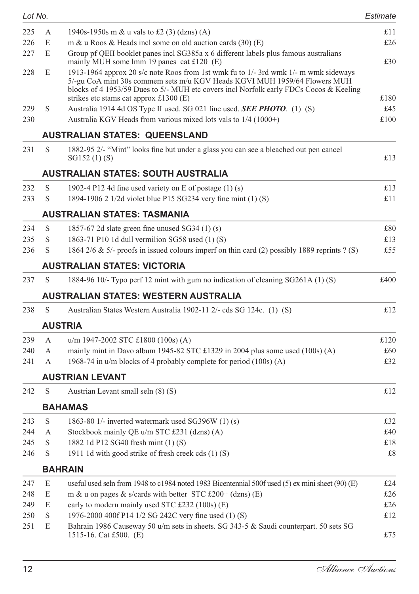| Lot No. |   |                                                                                                                                                                                                                                                            | Estimate |
|---------|---|------------------------------------------------------------------------------------------------------------------------------------------------------------------------------------------------------------------------------------------------------------|----------|
| 225     | А | 1940s-1950s m & u vals to £2 (3) (dzns) (A)                                                                                                                                                                                                                | £11      |
| 226     | E | m & u Roos & Heads incl some on old auction cards $(30)$ (E)                                                                                                                                                                                               | £26      |
| 227     | E | Group pf QEII booklet panes incl SG385a x 6 different labels plus famous australians<br>mainly MUH some lmm 19 panes cat $£120$ (E)                                                                                                                        | £30      |
| 228     | E | 1913-1964 approx 20 s/c note Roos from 1st wmk fu to 1/- 3rd wmk 1/- m wmk sideways<br>5/-gu CoA mint 30s commem sets m/u KGV Heads KGVI MUH 1959/64 Flowers MUH<br>blocks of 4 1953/59 Dues to 5/- MUH etc covers incl Norfolk early FDCs Cocos & Keeling |          |
|         |   | strikes etc stams cat approx $£1300$ (E)                                                                                                                                                                                                                   | £180     |
| 229     | S | Australia 1914 4d OS Type II used. SG 021 fine used. <b>SEE PHOTO</b> . (1) (S)                                                                                                                                                                            | £45      |
| 230     |   | Australia KGV Heads from various mixed lots vals to 1/4 (1000+)                                                                                                                                                                                            | £100     |
|         |   | AUSTRALIAN STATES: QUEENSLAND                                                                                                                                                                                                                              |          |
| 231     | S | 1882-95 2/- "Mint" looks fine but under a glass you can see a bleached out pen cancel<br>SG152 (1) (S)                                                                                                                                                     | £13      |
|         |   | <b>AUSTRALIAN STATES: SOUTH AUSTRALIA</b>                                                                                                                                                                                                                  |          |
| 232     | S | 1902-4 P12 4d fine used variety on E of postage $(1)(s)$                                                                                                                                                                                                   | £13      |
| 233     | S | 1894-1906 2 1/2d violet blue P15 SG234 very fine mint (1) (S)                                                                                                                                                                                              | £11      |
|         |   | AUSTRALIAN STATES: TASMANIA                                                                                                                                                                                                                                |          |
| 234     | S | 1857-67 2d slate green fine unused $SG34(1)(s)$                                                                                                                                                                                                            | £80      |
| 235     | S | 1863-71 P10 1d dull vermilion SG58 used $(1)$ (S)                                                                                                                                                                                                          | £13      |
| 236     | S | 1864 2/6 & 5/- proofs in issued colours imperf on thin card (2) possibly 1889 reprints ? (S)                                                                                                                                                               | £55      |
|         |   | AUSTRALIAN STATES: VICTORIA                                                                                                                                                                                                                                |          |
| 237     | S | 1884-96 10/- Typo perf 12 mint with gum no indication of cleaning SG261A (1) (S)                                                                                                                                                                           | £400     |
|         |   | <b>AUSTRALIAN STATES: WESTERN AUSTRALIA</b>                                                                                                                                                                                                                |          |
| 238     | S | Australian States Western Australia 1902-11 2/- cds SG 124c. (1) (S)                                                                                                                                                                                       | £12      |
|         |   | <b>AUSTRIA</b>                                                                                                                                                                                                                                             |          |
| 239     | А | $u/m$ 1947-2002 STC £1800 (100s) (A)                                                                                                                                                                                                                       | £120     |
| 240     | А | mainly mint in Davo album 1945-82 STC £1329 in 2004 plus some used $(100s)$ (A)                                                                                                                                                                            | £60      |
| 241     | A | 1968-74 in $u/m$ blocks of 4 probably complete for period $(100s)$ (A)                                                                                                                                                                                     | £32      |
|         |   | <b>AUSTRIAN LEVANT</b>                                                                                                                                                                                                                                     |          |
| 242     | S | Austrian Levant small seln (8) (S)                                                                                                                                                                                                                         | £12      |
|         |   | <b>BAHAMAS</b>                                                                                                                                                                                                                                             |          |
| 243     | S | 1863-80 $1/-$ inverted watermark used SG396W $(1)$ (s)                                                                                                                                                                                                     | £32      |
| 244     | A | Stockbook mainly QE u/m STC £231 (dzns) (A)                                                                                                                                                                                                                | £40      |
| 245     | S | 1882 1d P12 SG40 fresh mint (1) (S)                                                                                                                                                                                                                        | £18      |
| 246     | S | 1911 1d with good strike of fresh creek cds (1) (S)                                                                                                                                                                                                        | £8       |
|         |   | <b>BAHRAIN</b>                                                                                                                                                                                                                                             |          |
| 247     | E | useful used seln from 1948 to $c1984$ noted 1983 Bicentennial 500f used (5) ex mini sheet (90) (E)                                                                                                                                                         | £24      |
| 248     | E | m & u on pages & s/cards with better STC £200+ (dzns) (E)                                                                                                                                                                                                  | £26      |
| 249     | E | early to modern mainly used STC £232 (100s) $(E)$                                                                                                                                                                                                          | £26      |
| 250     | S | 1976-2000 400f P14 1/2 SG 242C very fine used (1) (S)                                                                                                                                                                                                      | £12      |
| 251     | E | Bahrain 1986 Causeway 50 u/m sets in sheets. SG 343-5 & Saudi counterpart. 50 sets SG<br>1515-16. Cat £500. (E)                                                                                                                                            | £75      |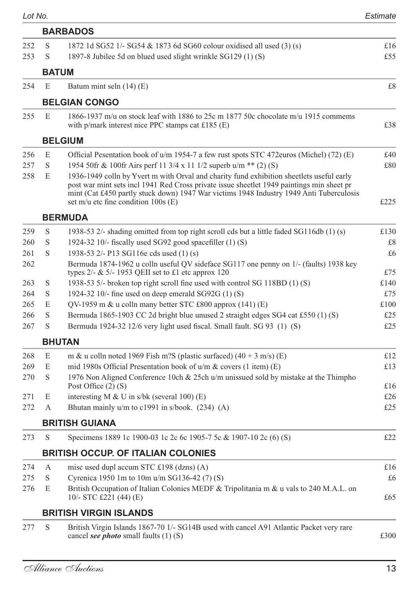|     |              | <b>BARBADOS</b>                                                                                                                                                                                                                                                                                                           |      |
|-----|--------------|---------------------------------------------------------------------------------------------------------------------------------------------------------------------------------------------------------------------------------------------------------------------------------------------------------------------------|------|
| 252 | S            | 1872 1d SG52 1/- SG54 & 1873 6d SG60 colour oxidised all used (3) (s)                                                                                                                                                                                                                                                     | £16  |
| 253 | S            | 1897-8 Jubilee 5d on blued used slight wrinkle SG129 (1) (S)                                                                                                                                                                                                                                                              | £55  |
|     | <b>BATUM</b> |                                                                                                                                                                                                                                                                                                                           |      |
| 254 | E            | Batum mint seln $(14)$ (E)                                                                                                                                                                                                                                                                                                | £8   |
|     |              | <b>BELGIAN CONGO</b>                                                                                                                                                                                                                                                                                                      |      |
| 255 | E            | 1866-1937 m/u on stock leaf with 1886 to 25c m 1877 50c chocolate m/u 1915 commems<br>with $p/mark$ interest nice PPC stamps cat £185 (E)                                                                                                                                                                                 | £38  |
|     |              | <b>BELGIUM</b>                                                                                                                                                                                                                                                                                                            |      |
| 256 | E            | Official Pesentation book of $u/m$ 1954-7 a few rust spots STC 472euros (Michel) (72) (E)                                                                                                                                                                                                                                 | £40  |
| 257 | S            | 1954 50fr & 100fr Airs perf 11 3/4 x 11 1/2 superb u/m ** (2) (S)                                                                                                                                                                                                                                                         | £80  |
| 258 | E            | 1936-1949 colln by Yvert m with Orval and charity fund exhibition sheetlets useful early<br>post war mint sets incl 1941 Red Cross private issue sheetlet 1949 paintings min sheet pr<br>mint (Cat £450 partly stuck down) 1947 War victims 1948 Industry 1949 Anti Tuberculosis<br>set m/u etc fine condition $100s$ (E) | £225 |
|     |              | <b>BERMUDA</b>                                                                                                                                                                                                                                                                                                            |      |
| 259 | S            | 1938-53 $2/-$ shading omitted from top right scroll cds but a little faded SG116db (1) (s)                                                                                                                                                                                                                                | £130 |
| 260 | S            | 1924-32 10/- fiscally used SG92 good spacefiller (1) (S)                                                                                                                                                                                                                                                                  | £8   |
| 261 | S            | 1938-53 2/- P13 SG116e cds used (1) (s)                                                                                                                                                                                                                                                                                   | £6   |
| 262 |              | Bermuda 1874-1962 u colln useful QV sideface SG117 one penny on 1/- (faults) 1938 key<br>types $2/-$ & 5/- 1953 QEII set to £1 etc approx 120                                                                                                                                                                             | £75  |
| 263 | S            | 1938-53 5/- broken top right scroll fine used with control SG 118BD (1) (S)                                                                                                                                                                                                                                               | £140 |
| 264 | S            | 1924-32 10/- fine used on deep emerald $SG92G (1) (S)$                                                                                                                                                                                                                                                                    | £75  |
| 265 | E            | QV-1959 m & u colln many better STC £800 approx $(141)$ (E)                                                                                                                                                                                                                                                               | £100 |
| 266 | S            | Bermuda 1865-1903 CC 2d bright blue unused 2 straight edges SG4 cat £550 (1) (S)                                                                                                                                                                                                                                          | £25  |
| 267 | S            | Bermuda 1924-32 12/6 very light used fiscal. Small fault. SG 93 (1) (S)                                                                                                                                                                                                                                                   | £25  |
|     |              | <b>BHUTAN</b>                                                                                                                                                                                                                                                                                                             |      |
| 268 | E            | m & u colln noted 1969 Fish m?S (plastic surfaced) $(40 + 3 \text{ m/s})$ (E)                                                                                                                                                                                                                                             | £12  |
| 269 | E            | mid 1980s Official Presentation book of $u/m \&covers (1 item) (E)$                                                                                                                                                                                                                                                       | £13  |
| 270 | S            | 1976 Non Aligned Conference 10ch & 25ch u/m unissued sold by mistake at the Thimpho                                                                                                                                                                                                                                       |      |
|     |              | Post Office $(2)$ $(S)$                                                                                                                                                                                                                                                                                                   | £16  |
| 271 | E            | interesting M & U in s/bk (several $100$ ) (E)                                                                                                                                                                                                                                                                            | £26  |
| 272 | A            | Bhutan mainly u/m to c1991 in s/book. (234) (A)                                                                                                                                                                                                                                                                           | £25  |
|     |              | <b>BRITISH GUIANA</b>                                                                                                                                                                                                                                                                                                     |      |
| 273 | S            | Specimens 1889 1c 1900-03 1c 2c 6c 1905-7 5c & 1907-10 2c (6) (S)                                                                                                                                                                                                                                                         | £22  |
|     |              | <b>BRITISH OCCUP. OF ITALIAN COLONIES</b>                                                                                                                                                                                                                                                                                 |      |
| 274 | A            | misc used dupl accum STC £198 (dzns) (A)                                                                                                                                                                                                                                                                                  | £16  |
| 275 | S            | Cyrenica 1950 1m to 10m u/m SG136-42 (7) (S)                                                                                                                                                                                                                                                                              | £6   |
| 276 | E            | British Occupation of Italian Colonies MEDF & Tripolitania m & u vals to 240 M.A.L. on<br>10/- STC £221 (44) (E)                                                                                                                                                                                                          | £65  |
|     |              | BRITISH VIRGIN ISLANDS                                                                                                                                                                                                                                                                                                    |      |
| 277 | S            | British Virgin Islands 1867-70 1/- SG14B used with cancel A91 Atlantic Packet very rare<br>cancel <i>see photo</i> small faults (1) (S)                                                                                                                                                                                   | £300 |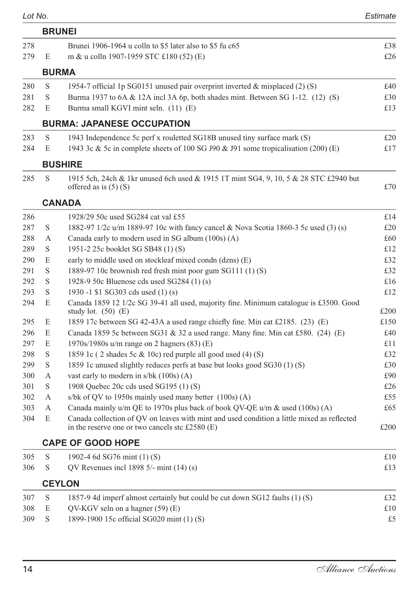|     |   | <b>BRUNEI</b>                                                                                                                                  |      |
|-----|---|------------------------------------------------------------------------------------------------------------------------------------------------|------|
| 278 |   | Brunei 1906-1964 u colln to \$5 later also to \$5 fu c65                                                                                       | £38  |
| 279 | E | m & u colln 1907-1959 STC £180 (52) (E)                                                                                                        | £26  |
|     |   | <b>BURMA</b>                                                                                                                                   |      |
| 280 | S | 1954-7 official 1p SG0151 unused pair overprint inverted & misplaced (2) (S)                                                                   | £40  |
| 281 | S | Burma 1937 to $6A \& 12A$ incl $3A \& 6p$ , both shades mint. Between SG 1-12. (12) (S)                                                        | £30  |
| 282 | E | Burma small KGVI mint seln. (11) (E)                                                                                                           | £13  |
|     |   | <b>BURMA: JAPANESE OCCUPATION</b>                                                                                                              |      |
| 283 | S | 1943 Independence 5c perf x rouletted SG18B unused tiny surface mark (S)                                                                       | £20  |
| 284 | E | 1943 3c & 5c in complete sheets of 100 SG J90 & J91 some tropicalisation (200) (E)                                                             | £17  |
|     |   | <b>BUSHIRE</b>                                                                                                                                 |      |
| 285 | S | 1915 5ch, 24ch & 1kr unused 6ch used & 1915 1T mint SG4, 9, 10, 5 & 28 STC £2940 but<br>offered as is $(5)$ (S)                                | £70  |
|     |   | <b>CANADA</b>                                                                                                                                  |      |
| 286 |   | 1928/29 50c used SG284 cat val £55                                                                                                             | £14  |
| 287 | S | 1882-97 1/2c u/m 1889-97 10c with fancy cancel & Nova Scotia 1860-3 5c used (3) (s)                                                            | £20  |
| 288 | A | Canada early to modern used in SG album (100s) (A)                                                                                             | £60  |
| 289 | S | 1951-2 25c booklet SG SB48 (1) (S)                                                                                                             | £12  |
| 290 | E | early to middle used on stockleaf mixed condn (dzns) (E)                                                                                       | £32  |
| 291 | S | 1889-97 10c brownish red fresh mint poor gum SG111 (1) (S)                                                                                     | £32  |
| 292 | S | 1928-9 50c Bluenose cds used SG284 (1) (s)                                                                                                     | £16  |
| 293 | S | 1930 -1 \$1 SG303 cds used (1) (s)                                                                                                             | £12  |
| 294 | E | Canada 1859 12 1/2c SG 39-41 all used, majority fine. Minimum catalogue is £3500. Good<br>study lot. $(50)$ $(E)$                              | £200 |
| 295 | E | 1859 17c between SG 42-43A a used range chiefly fine. Min cat £2185. (23) (E)                                                                  | £150 |
| 296 | E | Canada 1859 5c between SG31 & 32 a used range. Many fine. Min cat £580. $(24)$ (E)                                                             | £40  |
| 297 | E | $1970s/1980s$ u/m range on 2 hagners (83) (E)                                                                                                  | £11  |
| 298 | S | 1859 1c (2 shades 5c & 10c) red purple all good used (4) (S)                                                                                   | £32  |
| 299 | S | 1859 1c unused slightly reduces perfs at base but looks good SG30 (1) (S)                                                                      | £30  |
| 300 | А | vast early to modern in $s/bk$ (100s) (A)                                                                                                      | £90  |
| 301 | S | 1908 Quebec 20c cds used SG195 (1) (S)                                                                                                         | £26  |
| 302 | A | s/bk of OV to 1950s mainly used many better (100s) (A)                                                                                         | £55  |
| 303 | А | Canada mainly u/m QE to 1970s plus back of book QV-QE u/m & used $(100s)$ (A)                                                                  | £65  |
| 304 | E | Canada collection of QV on leaves with mint and used condition a little mixed as reflected<br>in the reserve one or two cancels stc $£2580(E)$ | £200 |
|     |   | <b>CAPE OF GOOD HOPE</b>                                                                                                                       |      |
| 305 | S | 1902-4 6d SG76 mint (1) (S)                                                                                                                    | £10  |
| 306 | S | QV Revenues incl 1898 $5/-$ mint $(14)$ (s)                                                                                                    | £13  |
|     |   | <b>CEYLON</b>                                                                                                                                  |      |
| 307 | S | 1857-9 4d imperf almost certainly but could be cut down SG12 faults (1) (S)                                                                    | £32  |
| 308 | E | QV-KGV seln on a hagner (59) (E)                                                                                                               | £10  |
| 309 | S | 1899-1900 15c official SG020 mint (1) (S)                                                                                                      | £5   |
|     |   |                                                                                                                                                |      |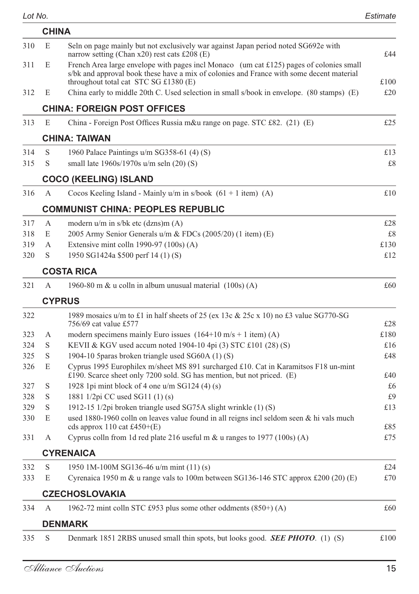|     | <b>CHINA</b> |                                                                                                                                                                                                                              |      |
|-----|--------------|------------------------------------------------------------------------------------------------------------------------------------------------------------------------------------------------------------------------------|------|
| 310 | E            | Seln on page mainly but not exclusively war against Japan period noted SG692e with<br>narrow setting (Chan $x20$ ) rest cats £208 (E)                                                                                        | £44  |
| 311 | E            | French Area large envelope with pages incl Monaco (um cat £125) pages of colonies small<br>s/bk and approval book these have a mix of colonies and France with some decent material<br>throughout total cat STC SG £1380 (E) | £100 |
| 312 | E            | China early to middle 20th C. Used selection in small s/book in envelope. (80 stamps) (E)                                                                                                                                    | £20  |
|     |              | <b>CHINA: FOREIGN POST OFFICES</b>                                                                                                                                                                                           |      |
| 313 | E            | China - Foreign Post Offices Russia m&u range on page. STC £82. (21) (E)                                                                                                                                                     | £25  |
|     |              | <b>CHINA: TAIWAN</b>                                                                                                                                                                                                         |      |
| 314 | S            | 1960 Palace Paintings u/m SG358-61 (4) (S)                                                                                                                                                                                   | £13  |
| 315 | S            | small late 1960s/1970s u/m seln (20) (S)                                                                                                                                                                                     | £8   |
|     |              | <b>COCO (KEELING) ISLAND</b>                                                                                                                                                                                                 |      |
| 316 | A            | Cocos Keeling Island - Mainly $u/m$ in s/book $(61 + 1$ item) $(A)$                                                                                                                                                          | £10  |
|     |              | <b>COMMUNIST CHINA: PEOPLES REPUBLIC</b>                                                                                                                                                                                     |      |
| 317 | А            | modern $u/m$ in s/bk etc (dzns)m $(A)$                                                                                                                                                                                       | £28  |
| 318 | E            | 2005 Army Senior Generals u/m & FDCs (2005/20) (1 item) (E)                                                                                                                                                                  | £8   |
| 319 | A            | Extensive mint colln 1990-97 (100s) (A)                                                                                                                                                                                      | £130 |
| 320 | S            | 1950 SG1424a \$500 perf 14 (1) (S)                                                                                                                                                                                           | £12  |
|     |              | <b>COSTA RICA</b>                                                                                                                                                                                                            |      |
| 321 | A            | 1960-80 m $\&$ u colln in album unusual material $(100s)(A)$                                                                                                                                                                 | £60  |
|     |              | <b>CYPRUS</b>                                                                                                                                                                                                                |      |
| 322 |              | 1989 mosaics u/m to £1 in half sheets of 25 (ex 13c & 25c x 10) no £3 value SG770-SG<br>756/69 cat value £577                                                                                                                | £28  |
| 323 | А            | modern specimens mainly Euro issues $(164+10 \text{ m/s} + 1 \text{ item})$ (A)                                                                                                                                              | £180 |
| 324 | S            | KEVII & KGV used accum noted 1904-10 4pi (3) STC £101 (28) (S)                                                                                                                                                               | £16  |
| 325 | S            | 1904-10 5 paras broken triangle used SG60A (1) (S)                                                                                                                                                                           | £48  |
| 326 | E            | Cyprus 1995 Europhilex m/sheet MS 891 surcharged £10. Cat in Karamitsos F18 un-mint<br>$\pounds$ 190. Scarce sheet only 7200 sold. SG has mention, but not priced. (E)                                                       | £40  |
| 327 | S            | 1928 1pi mint block of 4 one $u/m$ SG124 (4) (s)                                                                                                                                                                             | £6   |
| 328 | S            | 1881 1/2pi CC used SG11 (1) (s)                                                                                                                                                                                              | £9   |
| 329 | S            | 1912-15 1/2pi broken triangle used SG75A slight wrinkle (1) (S)                                                                                                                                                              | £13  |
| 330 | E            | used 1880-1960 colln on leaves value found in all reigns incl seldom seen $\&$ hi vals much<br>cds approx 110 cat £450+ $(E)$                                                                                                | £85  |
| 331 | А            | Cyprus colln from 1d red plate 216 useful m $\&$ u ranges to 1977 (100s) (A)                                                                                                                                                 | £75  |
|     |              | <b>CYRENAICA</b>                                                                                                                                                                                                             |      |
| 332 | S            | 1950 1M-100M SG136-46 u/m mint (11) (s)                                                                                                                                                                                      | £24  |
| 333 | Е            | Cyrenaica 1950 m & u range vals to 100m between SG136-146 STC approx £200 (20) (E)                                                                                                                                           | £70  |
|     |              | <b>CZECHOSLOVAKIA</b>                                                                                                                                                                                                        |      |
| 334 | А            | 1962-72 mint colln STC £953 plus some other oddments $(850+)$ (A)                                                                                                                                                            | £60  |
|     |              | <b>DENMARK</b>                                                                                                                                                                                                               |      |
| 335 | $\mathbf S$  | Denmark 1851 2RBS unused small thin spots, but looks good. <b>SEE PHOTO</b> . (1) (S)                                                                                                                                        | £100 |
|     |              |                                                                                                                                                                                                                              |      |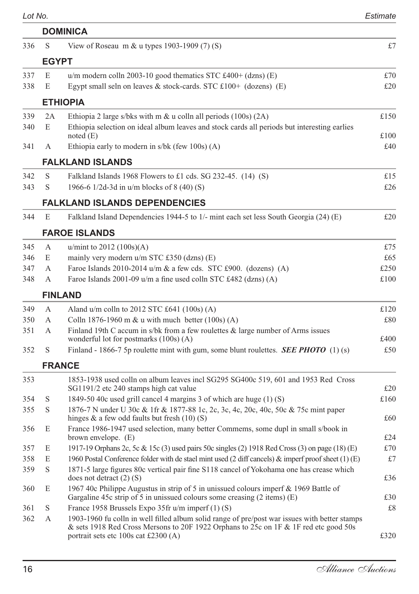|--|--|--|--|

| Lot No. |              |                                                                                                                                                                  | Estimate |
|---------|--------------|------------------------------------------------------------------------------------------------------------------------------------------------------------------|----------|
|         |              | <b>DOMINICA</b>                                                                                                                                                  |          |
| 336     | S            | View of Roseau m & u types 1903-1909 (7) (S)                                                                                                                     | £7       |
|         | <b>EGYPT</b> |                                                                                                                                                                  |          |
| 337     | E            | u/m modern colln 2003-10 good thematics STC £400+ (dzns) (E)                                                                                                     | £70      |
| 338     | E            | Egypt small seln on leaves & stock-cards. STC $£100+$ (dozens) (E)                                                                                               | £20      |
|         |              | <b>ETHIOPIA</b>                                                                                                                                                  |          |
| 339     | 2A           | Ethiopia 2 large s/bks with m $\&$ u colln all periods (100s) (2A)                                                                                               | £150     |
| 340     | E            | Ethiopia selection on ideal album leaves and stock cards all periods but interesting earlies<br>noted $(E)$                                                      | £100     |
| 341     | А            | Ethiopia early to modern in s/bk (few 100s) (A)                                                                                                                  | £40      |
|         |              | <b>FALKLAND ISLANDS</b>                                                                                                                                          |          |
| 342     | S            | Falkland Islands 1968 Flowers to £1 cds. SG 232-45. $(14)$ (S)                                                                                                   | £15      |
| 343     | S            | 1966-6 1/2d-3d in u/m blocks of 8 (40) (S)                                                                                                                       | £26      |
|         |              | <b>FALKLAND ISLANDS DEPENDENCIES</b>                                                                                                                             |          |
| 344     | E            | Falkland Island Dependencies 1944-5 to 1/- mint each set less South Georgia (24) (E)                                                                             | £20      |
|         |              | <b>FAROE ISLANDS</b>                                                                                                                                             |          |
| 345     | A            | u/mint to $2012 (100s)(A)$                                                                                                                                       | £75      |
| 346     | E            | mainly very modern u/m STC £350 (dzns) (E)                                                                                                                       | £65      |
| 347     | А            | Faroe Islands 2010-2014 $u/m \& a few cds$ . STC £900. (dozens) (A)                                                                                              | £250     |
| 348     | А            | Faroe Islands $2001-09$ u/m a fine used colln STC £482 (dzns) (A)                                                                                                | £100     |
|         |              | <b>FINLAND</b>                                                                                                                                                   |          |
| 349     | А            | Aland $u/m$ colln to 2012 STC £641 (100s) (A)                                                                                                                    | £120     |
| 350     | A            | Colln 1876-1960 m & u with much better (100s) (A)                                                                                                                | £80      |
| 351     | А            | Finland 19th C accum in s/bk from a few roulettes & large number of Arms issues<br>wonderful lot for postmarks (100s) (A)                                        | £400     |
| 352     | S            | Finland - 1866-7 5p roulette mint with gum, some blunt roulettes. <b>SEE PHOTO</b> (1) (s)                                                                       | £50      |
|         |              | <b>FRANCE</b>                                                                                                                                                    |          |
| 353     |              | 1853-1938 used colln on album leaves incl SG295 SG400c 519, 601 and 1953 Red Cross<br>SG1191/2 etc 240 stamps high cat value                                     | £20      |
| 354     | S            | 1849-50 40c used grill cancel 4 margins 3 of which are huge (1) (S)                                                                                              | £160     |
| 355     | S            | 1876-7 N under U 30c & 1fr & 1877-88 1c, 2c, 3c, 4c, 20c, 40c, 50c & 75c mint paper<br>hinges $\&$ a few odd faults but fresh (10) (S)                           | £60      |
| 356     | E            | France 1986-1947 used selection, many better Commems, some dupl in small s/book in<br>brown envelope. $(E)$                                                      | £24      |
| 357     | E            | 1917-19 Orphans 2c, 5c & 15c (3) used pairs 50c singles (2) 1918 Red Cross (3) on page (18) (E)                                                                  | £70      |
| 358     | E            | 1960 Postal Conference folder with de stael mint used (2 diff cancels) & imperf proof sheet (1) (E)                                                              | £7       |
| 359     | S            | 1871-5 large figures 80c vertical pair fine S118 cancel of Yokohama one has crease which<br>does not detract $(2)$ $(S)$                                         | £36      |
| 360     | E            | 1967 40c Philippe Augustus in strip of 5 in unissued colours imperf & 1969 Battle of<br>Gargaline 45c strip of 5 in unissued colours some creasing (2 items) (E) | £30      |
| 361     | S            | France 1958 Brussels Expo 35fr u/m imperf (1) (S)                                                                                                                | £8       |
| 362     | А            | 1903-1960 fu colln in well filled album solid range of pre/post war issues with better stamps                                                                    |          |
|         |              | & sets 1918 Red Cross Mersons to 20F 1922 Orphans to 25c on 1F & 1F red etc good 50s<br>portrait sets etc $100s$ cat £2300 (A)                                   | £320     |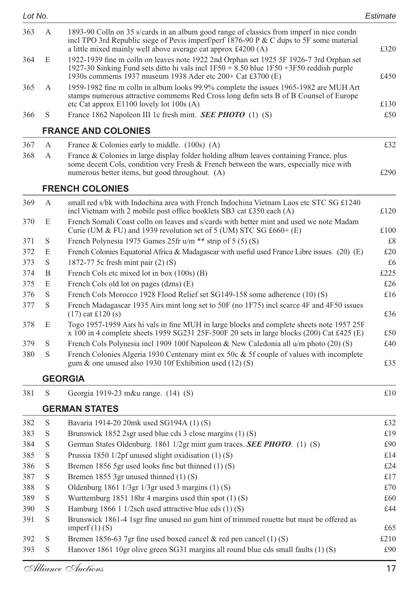| 363        | А           | 1893-90 Colln on 35 s/cards in an album good range of classics from imperf in nice condn<br>incl TPO 3rd Republic siege of Pevis imperf/perf 1876-90 P & C dups to 5F some material<br>a little mixed mainly well above average cat approx £4200 (A)  | £320        |
|------------|-------------|-------------------------------------------------------------------------------------------------------------------------------------------------------------------------------------------------------------------------------------------------------|-------------|
| 364        | E           | 1922-1939 fine m colln on leaves note 1922 2nd Orphan set 1925 5F 1926-7 3rd Orphan set<br>1927-30 Sinking Fund sets ditto hi vals incl $1F50 + 8.50$ blue $1F50 + 3F50$ reddish purple<br>1930s commems 1937 museum 1938 Ader etc 200+ Cat £3700 (E) | £450        |
| 365        | А           | 1959-1982 fine m colln in album looks 99.9% complete the issues 1965-1982 are MUH Art<br>stamps numerous attractive commems Red Cross long defin sets B of B Counsel of Europe                                                                        |             |
| 366        | S           | etc Cat approx E1100 lovely lot 100s (A)<br>France 1862 Napoleon III 1c fresh mint. <b>SEE PHOTO</b> (1) (S)                                                                                                                                          | £130<br>£50 |
|            |             | <b>FRANCE AND COLONIES</b>                                                                                                                                                                                                                            |             |
|            |             |                                                                                                                                                                                                                                                       |             |
| 367<br>368 | A<br>A      | France & Colonies early to middle. $(100s)$ (A)                                                                                                                                                                                                       | £32         |
|            |             | France & Colonies in large display folder holding album leaves containing France, plus<br>some decent Cols, condition very Fresh & French between the wars, especially nice with<br>numerous better items, but good throughout. (A)                   | £290        |
|            |             | <b>FRENCH COLONIES</b>                                                                                                                                                                                                                                |             |
| 369        | A           | small red s/bk with Indochina area with French Indochina Vietnam Laos etc STC SG £1240<br>incl Vietnam with 2 mobile post office booklets SB3 cat £350 each (A)                                                                                       | £120        |
| 370        | E           | French Somali Coast colln on leaves and s/cards with better mint and used we note Madam<br>Curie (UM & FU) and 1939 revolution set of 5 (UM) STC SG £660+ (E)                                                                                         | £100        |
| 371        | S           | French Polynesia 1975 Games 25fr $u/m$ ** strip of 5 (5) (S)                                                                                                                                                                                          | £8          |
| 372        | E           | French Colonies Equatorial Africa & Madagascar with useful used France Libre issues. (20) (E)                                                                                                                                                         | £20         |
| 373        | S           | 1872-77 5c fresh mint pair (2) (S)                                                                                                                                                                                                                    | £6          |
| 374        | B           | French Cols etc mixed lot in box (100s) (B)                                                                                                                                                                                                           | £225        |
| 375        | E           | French Cols old lot on pages (dzns) (E)                                                                                                                                                                                                               | £26         |
| 376<br>377 | S<br>S      | French Cols Morocco 1928 Flood Relief set SG149-158 some adherence (10) (S)<br>French Madagascar 1935 Airs mint long set to 50F (no 1F75) incl scarce 4F and 4F50 issues<br>$(17)$ cat £120 (s)                                                       | £16<br>£36  |
| 378        | E           | Togo 1957-1959 Airs hi vals in fine MUH in large blocks and complete sheets note 1957 25F<br>x 100 in 4 complete sheets 1959 SG231 25F-500F 20 sets in large blocks (200) Cat £425 (E)                                                                | £50         |
| 379        | S           | French Cols Polynesia incl 1909 100f Napoleon & New Caledonia all u/m photo (20) (S)                                                                                                                                                                  | £40         |
| 380        | S           | French Colonies Algeria 1930 Centenary mint ex 50 $c \&$ 5f couple of values with incomplete<br>gum & one unused also 1930 10f Exhibition used $(12)$ (S)                                                                                             | £35         |
|            |             | <b>GEORGIA</b>                                                                                                                                                                                                                                        |             |
| 381        | S           | Georgia 1919-23 m&u range. (14) (S)                                                                                                                                                                                                                   | £10         |
|            |             | <b>GERMAN STATES</b>                                                                                                                                                                                                                                  |             |
| 382        | S           | Bavaria 1914-20 20mk used SG194A (1) (S)                                                                                                                                                                                                              | £32         |
| 383        | S           | Brunswick 1852 2sgr used blue cds 3 close margins (1) (S)                                                                                                                                                                                             | £19         |
| 384        | S           | German States Oldenburg. 1861 1/2gr mint gum traces. <b>SEE PHOTO</b> . (1) (S)                                                                                                                                                                       | £90         |
| 385        | S           | Prussia 1850 $1/2pf$ unused slight oxidisation $(1)$ (S)                                                                                                                                                                                              | £14         |
| 386        | S           | Bremen 1856 5gr used looks fine but thinned (1) (S)                                                                                                                                                                                                   | £24         |
| 387        | S           | Bremen 1855 3gr unused thinned (1) (S)                                                                                                                                                                                                                | £17         |
| 388        | $\mathbf S$ | Oldenburg 1861 1/3gr 1/3gr used 3 margins (1) (S)                                                                                                                                                                                                     | £70         |
| 389        | $\mathbf S$ | Wurttemburg 1851 18hr 4 margins used thin spot $(1)$ (S)                                                                                                                                                                                              | £60         |
| 390        | $\mathbf S$ | Hamburg 1866 1 1/2sch used attractive blue cds (1) (S)                                                                                                                                                                                                | £44         |
| 391        | S           | Brunswick 1861-4 1sgr fine unused no gum hint of trimmed rouette but must be offered as<br>imperf $(1)$ (S)                                                                                                                                           | £65         |
| 392        | S           | Bremen 1856-63 7gr fine used boxed cancel $\&$ red pen cancel (1) (S)                                                                                                                                                                                 | £210        |
| 393        | S           | Hanover 1861 10gr olive green SG31 margins all round blue cds small faults (1) (S)                                                                                                                                                                    | £90         |
|            |             | Alliance Auctions                                                                                                                                                                                                                                     | 17          |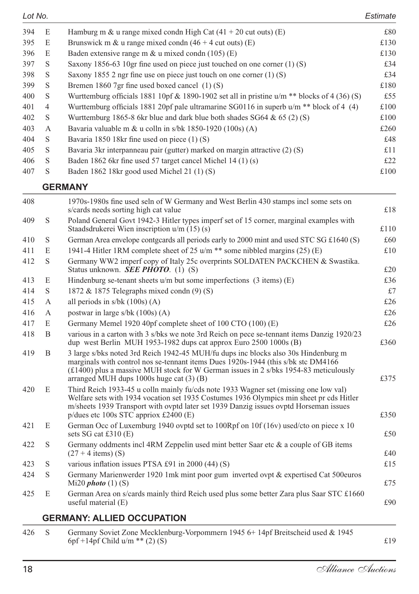| Lot No. |                                                                                               | Estimate |  |
|---------|-----------------------------------------------------------------------------------------------|----------|--|
| E       | Hamburg m & u range mixed condn High Cat $(41 + 20 \text{ cut out})$ (E)                      | £80      |  |
| E       | Brunswick m & u range mixed condn $(46 + 4$ cut outs) (E)                                     | £130     |  |
| E       | Baden extensive range m $\&$ u mixed condn (105) (E)                                          | £130     |  |
| S       | Saxony 1856-63 10gr fine used on piece just touched on one corner $(1)$ (S)                   | £34      |  |
| S       | Saxony 1855 2 ngr fine use on piece just touch on one corner $(1)$ (S)                        | £34      |  |
| S       | Bremen 1860 7gr fine used boxed cancel (1)(S)                                                 | £180     |  |
| S       | Wurttemburg officials 1881 10pf & 1890-1902 set all in pristine $u/m$ ** blocks of 4 (36) (S) | £55      |  |
| 4       | Wurttemburg officials 1881 20pf pale ultramarine SG0116 in superb $u/m$ ** block of 4 (4)     | £100     |  |
| S       | Wurttemburg 1865-8 6kr blue and dark blue both shades $SG64 \& 65 (2) (S)$                    | £100     |  |
| A       | Bavaria valuable m & u colln in s/bk 1850-1920 (100s) (A)                                     | £260     |  |
| S       | Bavaria 1850 18kr fine used on piece (1) (S)                                                  | £48      |  |
| S       | Bavaria 3kr interpanneau pair (gutter) marked on margin attractive (2) (S)                    | £11      |  |
| S       | Baden 1862 6kr fine used 57 target cancel Michel 14 (1) (s)                                   | £22      |  |
| S       | Baden 1862 18kr good used Michel 21 (1) (S)                                                   | £100     |  |
|         |                                                                                               |          |  |

#### **GERMANY**

| Germany Soviet Zone Mecklenburg-Vorpommern 1945 6+14pf Breitscheid used & 1945                                                                                                                                                                                                                                      |                                                                                      |
|---------------------------------------------------------------------------------------------------------------------------------------------------------------------------------------------------------------------------------------------------------------------------------------------------------------------|--------------------------------------------------------------------------------------|
| <b>GERMANY: ALLIED OCCUPATION</b>                                                                                                                                                                                                                                                                                   |                                                                                      |
| German Area on s/cards mainly third Reich used plus some better Zara plus Saar STC £1660<br>useful material (E)                                                                                                                                                                                                     | £90                                                                                  |
| Germany Marienwerder 1920 1mk mint poor gum inverted ovpt & expertised Cat 500euros<br>Mi20 $photo(1)(S)$                                                                                                                                                                                                           | £75                                                                                  |
| various inflation issues PTSA £91 in 2000 (44) (S)                                                                                                                                                                                                                                                                  | £15                                                                                  |
| Germany oddments incl 4RM Zeppelin used mint better Saar etc & a couple of GB items<br>$(27 + 4$ items) (S)                                                                                                                                                                                                         | £40                                                                                  |
| German Occ of Luxemburg 1940 ovptd set to 100Rpf on 10f (16v) used/cto on piece x 10<br>sets SG cat $£310(E)$                                                                                                                                                                                                       | £50                                                                                  |
| Third Reich 1933-45 u colln mainly fu/cds note 1933 Wagner set (missing one low val)<br>Welfare sets with 1934 vocation set 1935 Costumes 1936 Olympics min sheet pr cds Hitler<br>m/sheets 1939 Transport with ovptd later set 1939 Danzig issues ovptd Horseman issues<br>p/dues etc 100s STC appriox $£2400$ (E) | £350                                                                                 |
| 3 large s/bks noted 3rd Reich 1942-45 MUH/fu dups inc blocks also 30s Hindenburg m<br>marginals with control nos se-tennant items Dues 1920s-1944 (this s/bk stc DM4166)<br>$(f1400)$ plus a massive MUH stock for W German issues in 2 s/bks 1954-83 meticulously<br>arranged MUH dups $1000s$ huge cat $(3)$ (B)  | £375                                                                                 |
| various in a carton with 3 s/bks we note 3rd Reich on pece se-tennant items Danzig 1920/23<br>dup west Berlin MUH 1953-1982 dups cat approx Euro 2500 1000s (B)                                                                                                                                                     | £360                                                                                 |
| Germany Memel 1920 40pf complete sheet of 100 CTO (100) (E)                                                                                                                                                                                                                                                         | £26                                                                                  |
| postwar in large $s/bk$ (100s) (A)                                                                                                                                                                                                                                                                                  | £26                                                                                  |
| all periods in $s/bk$ (100s) (A)                                                                                                                                                                                                                                                                                    | £26                                                                                  |
| 1872 & 1875 Telegraphs mixed condn (9) (S)                                                                                                                                                                                                                                                                          | £7                                                                                   |
| Status unknown. <b>SEE PHOTO</b> . (1) (S)<br>Hindenburg se-tenant sheets $u/m$ but some imperfections (3 items) (E)                                                                                                                                                                                                | £20<br>£36                                                                           |
| Germany WW2 imperf copy of Italy 25c overprints SOLDATEN PACKCHEN & Swastika.                                                                                                                                                                                                                                       |                                                                                      |
| 1941-4 Hitler 1RM complete sheet of 25 u/m ** some nibbled margins (25) (E)                                                                                                                                                                                                                                         | £10                                                                                  |
| Staadsdrukerei Wien inscription $u/m(15)(s)$<br>German Area envelope contgcards all periods early to 2000 mint and used STC SG £1640 (S)                                                                                                                                                                            | £110<br>£60                                                                          |
| s/cards needs sorting high cat value<br>Poland General Govt 1942-3 Hitler types imperf set of 15 corner, marginal examples with                                                                                                                                                                                     | £18                                                                                  |
|                                                                                                                                                                                                                                                                                                                     | 1970s-1980s fine used seln of W Germany and West Berlin 430 stamps incl some sets on |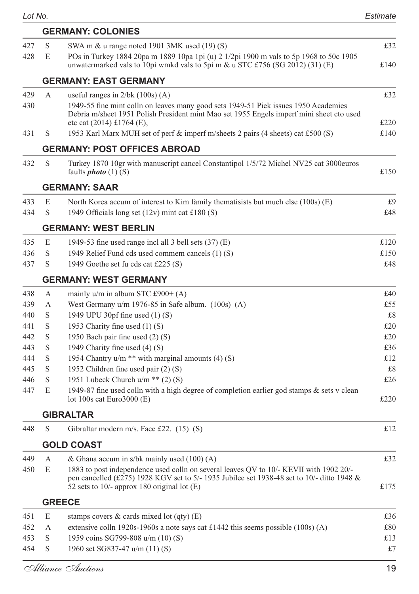| S<br>427<br>SWA m & u range noted 1901 3MK used (19) (S)<br>428<br>POs in Turkey 1884 20pa m 1889 10pa 1pi (u) 2 1/2pi 1900 m vals to 5p 1968 to 50c 1905<br>E<br>unwatermarked vals to 10pi wmkd vals to 5pi m & u STC £756 (SG 2012) (31) (E)<br><b>GERMANY: EAST GERMANY</b><br>429<br>A<br>useful ranges in $2/bk (100s) (A)$<br>1949-55 fine mint colln on leaves many good sets 1949-51 Piek issues 1950 Academies<br>430<br>Debria m/sheet 1951 Polish President mint Mao set 1955 Engels imperf mini sheet cto used<br>etc cat (2014) £1764 (E),<br>1953 Karl Marx MUH set of perf & imperf m/sheets 2 pairs (4 sheets) cat £500 (S)<br>431<br>S<br>GERMANY: POST OFFICES ABROAD<br>432<br>S<br>Turkey 1870 10gr with manuscript cancel Constantipol 1/5/72 Michel NV25 cat 3000euros<br>faults <i>photo</i> $(1)$ $(S)$<br><b>GERMANY: SAAR</b><br>E<br>433<br>North Korea accum of interest to Kim family thematisists but much else (100s) (E)<br>S<br>434<br>1949 Officials long set $(12v)$ mint cat £180 (S)<br><b>GERMANY: WEST BERLIN</b><br>435<br>E<br>1949-53 fine used range incl all 3 bell sets $(37)$ (E)<br>S<br>436<br>1949 Relief Fund cds used commem cancels (1) (S)<br>437<br>S<br>1949 Goethe set fu cds cat £225 (S)<br>GERMANY: WEST GERMANY<br>438<br>mainly $u/m$ in album STC £900+ (A)<br>А<br>439<br>А<br>West Germany $u/m$ 1976-85 in Safe album. $(100s)$ (A)<br>S<br>1949 UPU 30pf fine used (1) (S)<br>440<br>S<br>441<br>1953 Charity fine used $(1)$ (S)<br>442<br>S<br>1950 Bach pair fine used (2) (S)<br>443<br>S<br>1949 Charity fine used (4) (S)<br>S<br>1954 Chantry $u/m$ ** with marginal amounts (4) (S)<br>444<br>S<br>445<br>1952 Children fine used pair (2) (S)<br>1951 Lubeck Church $u/m$ ** (2) (S)<br>S<br>446<br>1949-87 fine used colln with a high degree of completion earlier god stamps & sets v clean<br>447<br>E<br>lot 100s cat Euro3000 $(E)$<br>GIBRALTAR<br>448<br>S<br>Gibraltar modern m/s. Face £22. (15) (S)<br><b>GOLD COAST</b><br>449<br>А<br>& Ghana accum in s/bk mainly used (100) (A)<br>1883 to post independence used colln on several leaves QV to 10/- KEVII with 1902 20/-<br>450<br>E<br>pen cancelled (£275) 1928 KGV set to 5/- 1935 Jubilee set 1938-48 set to 10/- ditto 1948 &<br>52 sets to $10/-$ approx 180 original lot (E)<br><b>GREECE</b><br>stamps covers $\&$ cards mixed lot (qty) (E)<br>451<br>E<br>452<br>extensive colln 1920s-1960s a note says cat £1442 this seems possible $(100s)$ (A)<br>А<br>S<br>1959 coins SG799-808 u/m (10) (S)<br>453<br>454<br>S<br>1960 set SG837-47 u/m (11) (S)<br>Alliance Auctions |  | <b>GERMANY: COLONIES</b> |      |
|------------------------------------------------------------------------------------------------------------------------------------------------------------------------------------------------------------------------------------------------------------------------------------------------------------------------------------------------------------------------------------------------------------------------------------------------------------------------------------------------------------------------------------------------------------------------------------------------------------------------------------------------------------------------------------------------------------------------------------------------------------------------------------------------------------------------------------------------------------------------------------------------------------------------------------------------------------------------------------------------------------------------------------------------------------------------------------------------------------------------------------------------------------------------------------------------------------------------------------------------------------------------------------------------------------------------------------------------------------------------------------------------------------------------------------------------------------------------------------------------------------------------------------------------------------------------------------------------------------------------------------------------------------------------------------------------------------------------------------------------------------------------------------------------------------------------------------------------------------------------------------------------------------------------------------------------------------------------------------------------------------------------------------------------------------------------------------------------------------------------------------------------------------------------------------------------------------------------------------------------------------------------------------------------------------------------------------------------------------------------------------------------------------------------------------------------------------------------------------------------------------------------------------------------------------------------------------------------------------------------------------|--|--------------------------|------|
|                                                                                                                                                                                                                                                                                                                                                                                                                                                                                                                                                                                                                                                                                                                                                                                                                                                                                                                                                                                                                                                                                                                                                                                                                                                                                                                                                                                                                                                                                                                                                                                                                                                                                                                                                                                                                                                                                                                                                                                                                                                                                                                                                                                                                                                                                                                                                                                                                                                                                                                                                                                                                                    |  |                          | £32  |
|                                                                                                                                                                                                                                                                                                                                                                                                                                                                                                                                                                                                                                                                                                                                                                                                                                                                                                                                                                                                                                                                                                                                                                                                                                                                                                                                                                                                                                                                                                                                                                                                                                                                                                                                                                                                                                                                                                                                                                                                                                                                                                                                                                                                                                                                                                                                                                                                                                                                                                                                                                                                                                    |  |                          | £140 |
|                                                                                                                                                                                                                                                                                                                                                                                                                                                                                                                                                                                                                                                                                                                                                                                                                                                                                                                                                                                                                                                                                                                                                                                                                                                                                                                                                                                                                                                                                                                                                                                                                                                                                                                                                                                                                                                                                                                                                                                                                                                                                                                                                                                                                                                                                                                                                                                                                                                                                                                                                                                                                                    |  |                          |      |
|                                                                                                                                                                                                                                                                                                                                                                                                                                                                                                                                                                                                                                                                                                                                                                                                                                                                                                                                                                                                                                                                                                                                                                                                                                                                                                                                                                                                                                                                                                                                                                                                                                                                                                                                                                                                                                                                                                                                                                                                                                                                                                                                                                                                                                                                                                                                                                                                                                                                                                                                                                                                                                    |  |                          | £32  |
|                                                                                                                                                                                                                                                                                                                                                                                                                                                                                                                                                                                                                                                                                                                                                                                                                                                                                                                                                                                                                                                                                                                                                                                                                                                                                                                                                                                                                                                                                                                                                                                                                                                                                                                                                                                                                                                                                                                                                                                                                                                                                                                                                                                                                                                                                                                                                                                                                                                                                                                                                                                                                                    |  |                          | £220 |
|                                                                                                                                                                                                                                                                                                                                                                                                                                                                                                                                                                                                                                                                                                                                                                                                                                                                                                                                                                                                                                                                                                                                                                                                                                                                                                                                                                                                                                                                                                                                                                                                                                                                                                                                                                                                                                                                                                                                                                                                                                                                                                                                                                                                                                                                                                                                                                                                                                                                                                                                                                                                                                    |  |                          | £140 |
|                                                                                                                                                                                                                                                                                                                                                                                                                                                                                                                                                                                                                                                                                                                                                                                                                                                                                                                                                                                                                                                                                                                                                                                                                                                                                                                                                                                                                                                                                                                                                                                                                                                                                                                                                                                                                                                                                                                                                                                                                                                                                                                                                                                                                                                                                                                                                                                                                                                                                                                                                                                                                                    |  |                          |      |
|                                                                                                                                                                                                                                                                                                                                                                                                                                                                                                                                                                                                                                                                                                                                                                                                                                                                                                                                                                                                                                                                                                                                                                                                                                                                                                                                                                                                                                                                                                                                                                                                                                                                                                                                                                                                                                                                                                                                                                                                                                                                                                                                                                                                                                                                                                                                                                                                                                                                                                                                                                                                                                    |  |                          | £150 |
|                                                                                                                                                                                                                                                                                                                                                                                                                                                                                                                                                                                                                                                                                                                                                                                                                                                                                                                                                                                                                                                                                                                                                                                                                                                                                                                                                                                                                                                                                                                                                                                                                                                                                                                                                                                                                                                                                                                                                                                                                                                                                                                                                                                                                                                                                                                                                                                                                                                                                                                                                                                                                                    |  |                          |      |
|                                                                                                                                                                                                                                                                                                                                                                                                                                                                                                                                                                                                                                                                                                                                                                                                                                                                                                                                                                                                                                                                                                                                                                                                                                                                                                                                                                                                                                                                                                                                                                                                                                                                                                                                                                                                                                                                                                                                                                                                                                                                                                                                                                                                                                                                                                                                                                                                                                                                                                                                                                                                                                    |  |                          | £9   |
|                                                                                                                                                                                                                                                                                                                                                                                                                                                                                                                                                                                                                                                                                                                                                                                                                                                                                                                                                                                                                                                                                                                                                                                                                                                                                                                                                                                                                                                                                                                                                                                                                                                                                                                                                                                                                                                                                                                                                                                                                                                                                                                                                                                                                                                                                                                                                                                                                                                                                                                                                                                                                                    |  |                          | £48  |
|                                                                                                                                                                                                                                                                                                                                                                                                                                                                                                                                                                                                                                                                                                                                                                                                                                                                                                                                                                                                                                                                                                                                                                                                                                                                                                                                                                                                                                                                                                                                                                                                                                                                                                                                                                                                                                                                                                                                                                                                                                                                                                                                                                                                                                                                                                                                                                                                                                                                                                                                                                                                                                    |  |                          |      |
|                                                                                                                                                                                                                                                                                                                                                                                                                                                                                                                                                                                                                                                                                                                                                                                                                                                                                                                                                                                                                                                                                                                                                                                                                                                                                                                                                                                                                                                                                                                                                                                                                                                                                                                                                                                                                                                                                                                                                                                                                                                                                                                                                                                                                                                                                                                                                                                                                                                                                                                                                                                                                                    |  |                          | £120 |
|                                                                                                                                                                                                                                                                                                                                                                                                                                                                                                                                                                                                                                                                                                                                                                                                                                                                                                                                                                                                                                                                                                                                                                                                                                                                                                                                                                                                                                                                                                                                                                                                                                                                                                                                                                                                                                                                                                                                                                                                                                                                                                                                                                                                                                                                                                                                                                                                                                                                                                                                                                                                                                    |  |                          | £150 |
|                                                                                                                                                                                                                                                                                                                                                                                                                                                                                                                                                                                                                                                                                                                                                                                                                                                                                                                                                                                                                                                                                                                                                                                                                                                                                                                                                                                                                                                                                                                                                                                                                                                                                                                                                                                                                                                                                                                                                                                                                                                                                                                                                                                                                                                                                                                                                                                                                                                                                                                                                                                                                                    |  |                          | £48  |
|                                                                                                                                                                                                                                                                                                                                                                                                                                                                                                                                                                                                                                                                                                                                                                                                                                                                                                                                                                                                                                                                                                                                                                                                                                                                                                                                                                                                                                                                                                                                                                                                                                                                                                                                                                                                                                                                                                                                                                                                                                                                                                                                                                                                                                                                                                                                                                                                                                                                                                                                                                                                                                    |  |                          |      |
|                                                                                                                                                                                                                                                                                                                                                                                                                                                                                                                                                                                                                                                                                                                                                                                                                                                                                                                                                                                                                                                                                                                                                                                                                                                                                                                                                                                                                                                                                                                                                                                                                                                                                                                                                                                                                                                                                                                                                                                                                                                                                                                                                                                                                                                                                                                                                                                                                                                                                                                                                                                                                                    |  |                          | £40  |
|                                                                                                                                                                                                                                                                                                                                                                                                                                                                                                                                                                                                                                                                                                                                                                                                                                                                                                                                                                                                                                                                                                                                                                                                                                                                                                                                                                                                                                                                                                                                                                                                                                                                                                                                                                                                                                                                                                                                                                                                                                                                                                                                                                                                                                                                                                                                                                                                                                                                                                                                                                                                                                    |  |                          | £55  |
|                                                                                                                                                                                                                                                                                                                                                                                                                                                                                                                                                                                                                                                                                                                                                                                                                                                                                                                                                                                                                                                                                                                                                                                                                                                                                                                                                                                                                                                                                                                                                                                                                                                                                                                                                                                                                                                                                                                                                                                                                                                                                                                                                                                                                                                                                                                                                                                                                                                                                                                                                                                                                                    |  |                          | £8   |
|                                                                                                                                                                                                                                                                                                                                                                                                                                                                                                                                                                                                                                                                                                                                                                                                                                                                                                                                                                                                                                                                                                                                                                                                                                                                                                                                                                                                                                                                                                                                                                                                                                                                                                                                                                                                                                                                                                                                                                                                                                                                                                                                                                                                                                                                                                                                                                                                                                                                                                                                                                                                                                    |  |                          | £20  |
|                                                                                                                                                                                                                                                                                                                                                                                                                                                                                                                                                                                                                                                                                                                                                                                                                                                                                                                                                                                                                                                                                                                                                                                                                                                                                                                                                                                                                                                                                                                                                                                                                                                                                                                                                                                                                                                                                                                                                                                                                                                                                                                                                                                                                                                                                                                                                                                                                                                                                                                                                                                                                                    |  |                          | £20  |
|                                                                                                                                                                                                                                                                                                                                                                                                                                                                                                                                                                                                                                                                                                                                                                                                                                                                                                                                                                                                                                                                                                                                                                                                                                                                                                                                                                                                                                                                                                                                                                                                                                                                                                                                                                                                                                                                                                                                                                                                                                                                                                                                                                                                                                                                                                                                                                                                                                                                                                                                                                                                                                    |  |                          | £36  |
|                                                                                                                                                                                                                                                                                                                                                                                                                                                                                                                                                                                                                                                                                                                                                                                                                                                                                                                                                                                                                                                                                                                                                                                                                                                                                                                                                                                                                                                                                                                                                                                                                                                                                                                                                                                                                                                                                                                                                                                                                                                                                                                                                                                                                                                                                                                                                                                                                                                                                                                                                                                                                                    |  |                          | £12  |
|                                                                                                                                                                                                                                                                                                                                                                                                                                                                                                                                                                                                                                                                                                                                                                                                                                                                                                                                                                                                                                                                                                                                                                                                                                                                                                                                                                                                                                                                                                                                                                                                                                                                                                                                                                                                                                                                                                                                                                                                                                                                                                                                                                                                                                                                                                                                                                                                                                                                                                                                                                                                                                    |  |                          | £8   |
|                                                                                                                                                                                                                                                                                                                                                                                                                                                                                                                                                                                                                                                                                                                                                                                                                                                                                                                                                                                                                                                                                                                                                                                                                                                                                                                                                                                                                                                                                                                                                                                                                                                                                                                                                                                                                                                                                                                                                                                                                                                                                                                                                                                                                                                                                                                                                                                                                                                                                                                                                                                                                                    |  |                          | £26  |
|                                                                                                                                                                                                                                                                                                                                                                                                                                                                                                                                                                                                                                                                                                                                                                                                                                                                                                                                                                                                                                                                                                                                                                                                                                                                                                                                                                                                                                                                                                                                                                                                                                                                                                                                                                                                                                                                                                                                                                                                                                                                                                                                                                                                                                                                                                                                                                                                                                                                                                                                                                                                                                    |  |                          | £220 |
|                                                                                                                                                                                                                                                                                                                                                                                                                                                                                                                                                                                                                                                                                                                                                                                                                                                                                                                                                                                                                                                                                                                                                                                                                                                                                                                                                                                                                                                                                                                                                                                                                                                                                                                                                                                                                                                                                                                                                                                                                                                                                                                                                                                                                                                                                                                                                                                                                                                                                                                                                                                                                                    |  |                          |      |
|                                                                                                                                                                                                                                                                                                                                                                                                                                                                                                                                                                                                                                                                                                                                                                                                                                                                                                                                                                                                                                                                                                                                                                                                                                                                                                                                                                                                                                                                                                                                                                                                                                                                                                                                                                                                                                                                                                                                                                                                                                                                                                                                                                                                                                                                                                                                                                                                                                                                                                                                                                                                                                    |  |                          | £12  |
|                                                                                                                                                                                                                                                                                                                                                                                                                                                                                                                                                                                                                                                                                                                                                                                                                                                                                                                                                                                                                                                                                                                                                                                                                                                                                                                                                                                                                                                                                                                                                                                                                                                                                                                                                                                                                                                                                                                                                                                                                                                                                                                                                                                                                                                                                                                                                                                                                                                                                                                                                                                                                                    |  |                          |      |
|                                                                                                                                                                                                                                                                                                                                                                                                                                                                                                                                                                                                                                                                                                                                                                                                                                                                                                                                                                                                                                                                                                                                                                                                                                                                                                                                                                                                                                                                                                                                                                                                                                                                                                                                                                                                                                                                                                                                                                                                                                                                                                                                                                                                                                                                                                                                                                                                                                                                                                                                                                                                                                    |  |                          | £32  |
|                                                                                                                                                                                                                                                                                                                                                                                                                                                                                                                                                                                                                                                                                                                                                                                                                                                                                                                                                                                                                                                                                                                                                                                                                                                                                                                                                                                                                                                                                                                                                                                                                                                                                                                                                                                                                                                                                                                                                                                                                                                                                                                                                                                                                                                                                                                                                                                                                                                                                                                                                                                                                                    |  |                          | £175 |
|                                                                                                                                                                                                                                                                                                                                                                                                                                                                                                                                                                                                                                                                                                                                                                                                                                                                                                                                                                                                                                                                                                                                                                                                                                                                                                                                                                                                                                                                                                                                                                                                                                                                                                                                                                                                                                                                                                                                                                                                                                                                                                                                                                                                                                                                                                                                                                                                                                                                                                                                                                                                                                    |  |                          |      |
|                                                                                                                                                                                                                                                                                                                                                                                                                                                                                                                                                                                                                                                                                                                                                                                                                                                                                                                                                                                                                                                                                                                                                                                                                                                                                                                                                                                                                                                                                                                                                                                                                                                                                                                                                                                                                                                                                                                                                                                                                                                                                                                                                                                                                                                                                                                                                                                                                                                                                                                                                                                                                                    |  |                          | £36  |
|                                                                                                                                                                                                                                                                                                                                                                                                                                                                                                                                                                                                                                                                                                                                                                                                                                                                                                                                                                                                                                                                                                                                                                                                                                                                                                                                                                                                                                                                                                                                                                                                                                                                                                                                                                                                                                                                                                                                                                                                                                                                                                                                                                                                                                                                                                                                                                                                                                                                                                                                                                                                                                    |  |                          | £80  |
|                                                                                                                                                                                                                                                                                                                                                                                                                                                                                                                                                                                                                                                                                                                                                                                                                                                                                                                                                                                                                                                                                                                                                                                                                                                                                                                                                                                                                                                                                                                                                                                                                                                                                                                                                                                                                                                                                                                                                                                                                                                                                                                                                                                                                                                                                                                                                                                                                                                                                                                                                                                                                                    |  |                          | £13  |
|                                                                                                                                                                                                                                                                                                                                                                                                                                                                                                                                                                                                                                                                                                                                                                                                                                                                                                                                                                                                                                                                                                                                                                                                                                                                                                                                                                                                                                                                                                                                                                                                                                                                                                                                                                                                                                                                                                                                                                                                                                                                                                                                                                                                                                                                                                                                                                                                                                                                                                                                                                                                                                    |  |                          | £7   |
|                                                                                                                                                                                                                                                                                                                                                                                                                                                                                                                                                                                                                                                                                                                                                                                                                                                                                                                                                                                                                                                                                                                                                                                                                                                                                                                                                                                                                                                                                                                                                                                                                                                                                                                                                                                                                                                                                                                                                                                                                                                                                                                                                                                                                                                                                                                                                                                                                                                                                                                                                                                                                                    |  |                          | 19   |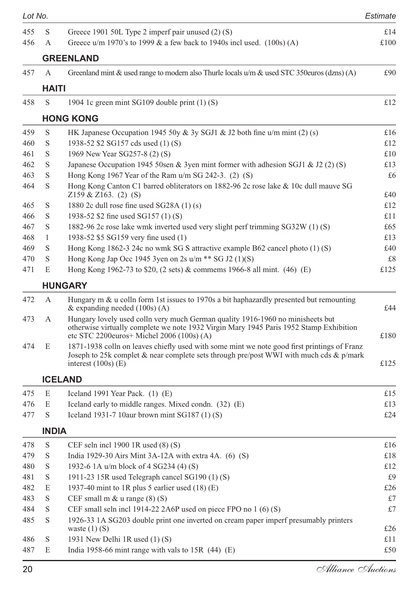| Lot No. |              |                                                                                                                                                                                                                         | Estimate |
|---------|--------------|-------------------------------------------------------------------------------------------------------------------------------------------------------------------------------------------------------------------------|----------|
| 455     | S            | Greece 1901 50L Type 2 imperf pair unused (2) (S)                                                                                                                                                                       | £14      |
| 456     | A            | Greece u/m 1970's to 1999 $\&$ a few back to 1940s inclused. (100s) (A)                                                                                                                                                 | £100     |
|         |              | <b>GREENLAND</b>                                                                                                                                                                                                        |          |
| 457     | A            | Greenland mint & used range to modern also Thurle locals u/m & used STC 350euros (dzns) (A)                                                                                                                             | £90      |
|         | HAITI        |                                                                                                                                                                                                                         |          |
| 458     | S            | 1904 1c green mint SG109 double print (1) (S)                                                                                                                                                                           | £12      |
|         |              | <b>HONG KONG</b>                                                                                                                                                                                                        |          |
| 459     | S            | HK Japanese Occupation 1945 50y & 3y SGJ1 & J2 both fine $u/m$ mint (2) (s)                                                                                                                                             | £16      |
| 460     | S            | 1938-52 \$2 SG157 cds used (1) (S)                                                                                                                                                                                      | £12      |
| 461     | S            | 1969 New Year SG257-8 (2) (S)                                                                                                                                                                                           | £10      |
| 462     | S            | Japanese Occupation 1945 50sen & 3yen mint former with adhesion SGJ1 & J2 (2) (S)                                                                                                                                       | £13      |
| 463     | S            | Hong Kong 1967 Year of the Ram $u/m$ SG 242-3. (2) (S)                                                                                                                                                                  | £6       |
| 464     | S            | Hong Kong Canton C1 barred obliterators on 1882-96 2c rose lake & 10c dull mauve SG                                                                                                                                     |          |
|         |              | $Z159 \& Z163. (2) (S)$                                                                                                                                                                                                 | £40      |
| 465     | S            | 1880 2c dull rose fine used SG28A (1) (s)                                                                                                                                                                               | £12      |
| 466     | S            | 1938-52 \$2 fine used SG157 (1) (S)                                                                                                                                                                                     | £11      |
| 467     | S            | 1882-96 2c rose lake wmk inverted used very slight perf trimming SG32W (1) (S)                                                                                                                                          | £65      |
| 468     | $\mathbf{1}$ | 1938-52 \$5 SG159 very fine used (1)                                                                                                                                                                                    | £13      |
| 469     | S            | Hong Kong 1862-3 24c no wmk SG S attractive example B62 cancel photo (1) (S)                                                                                                                                            | £40      |
| 470     | S            | Hong Kong Jap Occ 1945 3yen on 2s $u/m$ ** SG J2 (1)(S)                                                                                                                                                                 | £8       |
| 471     | E            | Hong Kong 1962-73 to \$20, (2 sets) & commems 1966-8 all mint. (46) (E)                                                                                                                                                 | £125     |
|         |              | <b>HUNGARY</b>                                                                                                                                                                                                          |          |
| 472     | A            | Hungary $m \&$ u colln form 1st issues to 1970s a bit haphazardly presented but remounting<br>& expanding needed $(100s)$ (A)                                                                                           | £44      |
| 473     | А            | Hungary lovely used colln very much German quality 1916-1960 no minisheets but<br>otherwise virtually complete we note 1932 Virgin Mary 1945 Paris 1952 Stamp Exhibition<br>etc STC 2200euros+ Michel 2006 (100s) $(A)$ | £180     |
| 474     | E            | 1871-1938 colln on leaves chiefly used with some mint we note good first printings of Franz<br>Joseph to 25k complet & near complete sets through pre/post WWI with much cds & p/mark<br>interest $(100s)$ (E)          | £125     |
|         |              | <b>ICELAND</b>                                                                                                                                                                                                          |          |
| 475     | E            | Iceland 1991 Year Pack. (1) (E)                                                                                                                                                                                         | £15      |
| 476     | E            | Iceland early to middle ranges. Mixed condn. (32) (E)                                                                                                                                                                   | £13      |
| 477     | S            | Iceland 1931-7 10aur brown mint $SG187(1)(S)$                                                                                                                                                                           | £24      |
|         | <b>INDIA</b> |                                                                                                                                                                                                                         |          |
| 478     | S            | CEF seln incl $1900$ 1R used $(8)$ $(S)$                                                                                                                                                                                | £16      |
| 479     | S            | India 1929-30 Airs Mint 3A-12A with extra 4A. (6) (S)                                                                                                                                                                   | £18      |
| 480     | $\mathbf S$  | 1932-6 1A u/m block of 4 SG234 (4) (S)                                                                                                                                                                                  | £12      |
| 481     | $\mathbf S$  | 1911-23 15R used Telegraph cancel SG190 (1) (S)                                                                                                                                                                         | £9       |
| 482     | E            | 1937-40 mint to 1R plus 5 earlier used $(18)$ (E)                                                                                                                                                                       | £26      |
| 483     | $\mathbf S$  | CEF small $m \& u$ range $(8)$ $(S)$                                                                                                                                                                                    | £7       |
| 484     | $\mathbf S$  | CEF small seln incl 1914-22 2A6P used on piece FPO no $1(6)(S)$                                                                                                                                                         | £7       |
| 485     | S            | 1926-33 1A SG203 double print one inverted on cream paper imperf presumably printers                                                                                                                                    |          |
|         |              | waste $(1)$ (S)                                                                                                                                                                                                         | £26      |
| 486     | S            | 1931 New Delhi 1R used $(1)$ (S)                                                                                                                                                                                        | £11      |
| 487     | E            | India 1958-66 mint range with vals to 15R $(44)$ (E)                                                                                                                                                                    | £50      |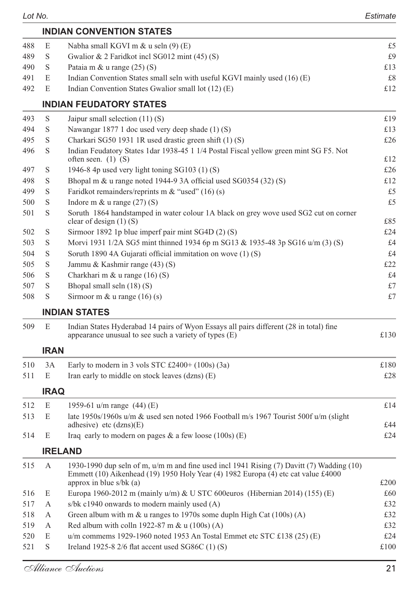|     |             | <b>INDIAN CONVENTION STATES</b>                                                                                                                                                                             |      |
|-----|-------------|-------------------------------------------------------------------------------------------------------------------------------------------------------------------------------------------------------------|------|
| 488 | E           | Nabha small KGVI m $\&$ u seln (9) (E)                                                                                                                                                                      | £5   |
| 489 | S           | Gwalior & 2 Faridkot incl SG012 mint (45) (S)                                                                                                                                                               | £9   |
| 490 | S           | Pataia m & u range (25) (S)                                                                                                                                                                                 | £13  |
| 491 | E           | Indian Convention States small seln with useful KGVI mainly used (16) (E)                                                                                                                                   | £8   |
| 492 | E           | Indian Convention States Gwalior small lot (12) (E)                                                                                                                                                         | £12  |
|     |             | <b>INDIAN FEUDATORY STATES</b>                                                                                                                                                                              |      |
| 493 | S           | Jaipur small selection $(11)$ (S)                                                                                                                                                                           | £19  |
| 494 | S           | Nawangar 1877 1 doc used very deep shade (1) (S)                                                                                                                                                            | £13  |
| 495 | S           | Charkari SG50 1931 1R used drastic green shift (1) (S)                                                                                                                                                      | £26  |
| 496 | S           | Indian Feudatory States 1dar 1938-45 1 1/4 Postal Fiscal yellow green mint SG F5. Not<br>often seen. $(1)$ $(S)$                                                                                            | £12  |
| 497 | S           | 1946-8 4p used very light toning SG103 (1) (S)                                                                                                                                                              | £26  |
| 498 | S           | Bhopal m & u range noted 1944-9 3A official used SG0354 (32) (S)                                                                                                                                            | £12  |
| 499 | S           | Faridkot remainders/reprints m & "used" $(16)$ (s)                                                                                                                                                          | £5   |
| 500 | S           | Indore m $&$ u range $(27)(S)$                                                                                                                                                                              | £5   |
| 501 | S           | Soruth 1864 handstamped in water colour 1A black on grey wove used SG2 cut on corner<br>clear of design $(1)$ (S)                                                                                           | £85  |
| 502 | S           | Sirmoor 1892 1p blue imperf pair mint SG4D (2) (S)                                                                                                                                                          | £24  |
| 503 | S           | Morvi 1931 1/2A SG5 mint thinned 1934 6p m SG13 & 1935-48 3p SG16 u/m (3) (S)                                                                                                                               | £4   |
| 504 | S           | Soruth 1890 4A Gujarati official immitation on wove (1) (S)                                                                                                                                                 | £4   |
| 505 | S           | Jammu & Kashmir range (43) (S)                                                                                                                                                                              | £22  |
| 506 | S           | Charkhari m & u range (16) (S)                                                                                                                                                                              | £4   |
| 507 | S           | Bhopal small seln (18) (S)                                                                                                                                                                                  | £7   |
| 508 | S           | Sirmoor m & u range $(16)$ (s)                                                                                                                                                                              | £7   |
|     |             | <b>INDIAN STATES</b>                                                                                                                                                                                        |      |
| 509 | E           | Indian States Hyderabad 14 pairs of Wyon Essays all pairs different (28 in total) fine<br>appearance unusual to see such a variety of types (E)                                                             | £130 |
|     | <b>IRAN</b> |                                                                                                                                                                                                             |      |
| 510 | 3A          | Early to modern in 3 vols STC £2400+ $(100s)$ $(3a)$                                                                                                                                                        | £180 |
| 511 | E           | Iran early to middle on stock leaves (dzns) (E)                                                                                                                                                             | £28  |
|     | <b>IRAQ</b> |                                                                                                                                                                                                             |      |
|     |             |                                                                                                                                                                                                             |      |
| 512 | E           | 1959-61 u/m range (44) (E)                                                                                                                                                                                  | £14  |
| 513 | E           | late 1950s/1960s u/m & used sen noted 1966 Football m/s 1967 Tourist 500f u/m (slight<br>adhesive) etc $(dzns)(E)$                                                                                          | £44  |
| 514 | E           | Iraq early to modern on pages $\&$ a few loose (100s) (E)                                                                                                                                                   | £24  |
|     |             | <b>IRELAND</b>                                                                                                                                                                                              |      |
| 515 | А           | 1930-1990 dup seln of m, u/m m and fine used incl 1941 Rising (7) Davitt (7) Wadding (10)<br>Emmett (10) Aikenhead (19) 1950 Holy Year (4) 1982 Europa (4) etc cat value £4000<br>approx in blue $s/bk$ (a) | £200 |
| 516 | E           | Europa 1960-2012 m (mainly $u/m$ ) & U STC 600 euros (Hibernian 2014) (155) (E)                                                                                                                             | £60  |
| 517 | А           | s/bk c1940 onwards to modern mainly used (A)                                                                                                                                                                | £32  |
| 518 | А           | Green album with m $\&$ u ranges to 1970s some dupln High Cat (100s) (A)                                                                                                                                    | £32  |
| 519 | А           | Red album with colln 1922-87 m & u $(100s)$ (A)                                                                                                                                                             | £32  |
| 520 | E           | u/m commems 1929-1960 noted 1953 An Tostal Emmet etc STC £138 (25) (E)                                                                                                                                      | £24  |
| 521 | $\mathbf S$ | Ireland 1925-8 $2/6$ flat accent used SG86C (1) (S)                                                                                                                                                         | £100 |
|     |             |                                                                                                                                                                                                             |      |

*Lot No. Estimate*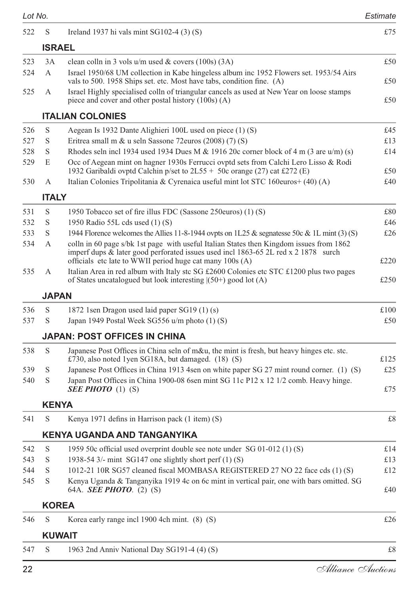| Lot No. |               |                                                                                                                                                                                                                                           | Estimate |
|---------|---------------|-------------------------------------------------------------------------------------------------------------------------------------------------------------------------------------------------------------------------------------------|----------|
| 522     | S             | Ireland 1937 hi vals mint $SG102-4$ (3) (S)                                                                                                                                                                                               | £75      |
|         | <b>ISRAEL</b> |                                                                                                                                                                                                                                           |          |
| 523     | 3A            | clean colln in 3 vols $u/m$ used & covers (100s) (3A)                                                                                                                                                                                     | £50      |
| 524     | A             | Israel 1950/68 UM collection in Kabe hingeless album inc 1952 Flowers set. 1953/54 Airs<br>vals to 500. 1958 Ships set. etc. Most have tabs, condition fine. (A)                                                                          | £50      |
| 525     | А             | Israel Highly specialised colln of triangular cancels as used at New Year on loose stamps<br>piece and cover and other postal history (100s) (A)                                                                                          | £50      |
|         |               | <b>ITALIAN COLONIES</b>                                                                                                                                                                                                                   |          |
| 526     | S             | Aegean Is 1932 Dante Alighieri 100L used on piece (1) (S)                                                                                                                                                                                 | £45      |
| 527     | S             | Eritrea small m & u seln Sassone 72 euros $(2008)$ (7) (S)                                                                                                                                                                                | £13      |
| 528     | S             | Rhodes seln incl 1934 used 1934 Dues M & 1916 20c corner block of 4 m (3 are $u/m$ ) (s)                                                                                                                                                  | £14      |
| 529     | E             | Occ of Aegean mint on hagner 1930s Ferrucci ovptd sets from Calchi Lero Lisso & Rodi<br>1932 Garibaldi ovptd Calchin p/set to 2L55 + 50c orange (27) cat £272 (E)                                                                         | £50      |
| 530     | A             | Italian Colonies Tripolitania & Cyrenaica useful mint lot STC 160euros+ (40) (A)                                                                                                                                                          | £40      |
|         | <b>ITALY</b>  |                                                                                                                                                                                                                                           |          |
| 531     | S             | 1950 Tobacco set of fire illus FDC (Sassone 250euros) (1) (S)                                                                                                                                                                             | £80      |
| 532     | S             | 1950 Radio 55L cds used (1) (S)                                                                                                                                                                                                           | £46      |
| 533     | S             | 1944 Florence welcomes the Allies 11-8-1944 ovpts on 1L25 & segnatesse 50c & 1L mint (3) (S)                                                                                                                                              | £26      |
| 534     | А             | colln in 60 page s/bk 1st page with useful Italian States then Kingdom issues from 1862<br>imperf dups & later good perforated issues used incl 1863-65 2L red x 2 1878 surch<br>officials etc late to WWII period huge cat many 100s (A) | £220     |
| 535     | А             | Italian Area in red album with Italy stc SG £2600 Colonies etc STC £1200 plus two pages<br>of States uncatalogued but look interesting $(50+)$ good lot $(A)$                                                                             | £250     |
|         | <b>JAPAN</b>  |                                                                                                                                                                                                                                           |          |
| 536     | S             | 1872 1sen Dragon used laid paper SG19 (1) (s)                                                                                                                                                                                             | £100     |
| 537     | S             | Japan 1949 Postal Week SG556 u/m photo (1) (S)                                                                                                                                                                                            | £50      |
|         |               | <b>JAPAN: POST OFFICES IN CHINA</b>                                                                                                                                                                                                       |          |
| 538     | S             | Japanese Post Offices in China seln of m&u, the mint is fresh, but heavy hinges etc. stc.                                                                                                                                                 |          |
|         |               | £730, also noted 1yen SG18A, but damaged. (18) (S)                                                                                                                                                                                        | £125     |
| 539     | S             | Japanese Post Offices in China 1913 4sen on white paper SG 27 mint round corner. (1) (S)                                                                                                                                                  | £25      |
| 540     | S             | Japan Post Offices in China 1900-08 6sen mint SG 11c P12 x 12 1/2 comb. Heavy hinge.<br>SEE PHOTO $(1)$ $(S)$                                                                                                                             | £75      |
|         | <b>KENYA</b>  |                                                                                                                                                                                                                                           |          |
| 541     | S             | Kenya 1971 defins in Harrison pack (1 item) (S)                                                                                                                                                                                           | £8       |
|         |               | KENYA UGANDA AND TANGANYIKA                                                                                                                                                                                                               |          |
| 542     | S             | 1959 50c official used overprint double see note under SG 01-012 $(1)$ (S)                                                                                                                                                                | £14      |
| 543     | S             | 1938-54 3/- mint SG147 one slightly short perf (1) (S)                                                                                                                                                                                    | £13      |
| 544     | S             | 1012-21 10R SG57 cleaned fiscal MOMBASA REGISTERED 27 NO 22 face cds (1) (S)                                                                                                                                                              | £12      |
| 545     | S             | Kenya Uganda & Tanganyika 1919 4c on 6c mint in vertical pair, one with bars omitted. SG<br>64A. <b><i>SEE PHOTO.</i></b> (2) (S)                                                                                                         | £40      |
|         | <b>KOREA</b>  |                                                                                                                                                                                                                                           |          |
| 546     | S             | Korea early range incl 1900 4ch mint. (8) (S)                                                                                                                                                                                             | £26      |
|         |               | <b>KUWAIT</b>                                                                                                                                                                                                                             |          |
| 547     | S             | 1963 2nd Anniv National Day SG191-4 (4) (S)                                                                                                                                                                                               | £8       |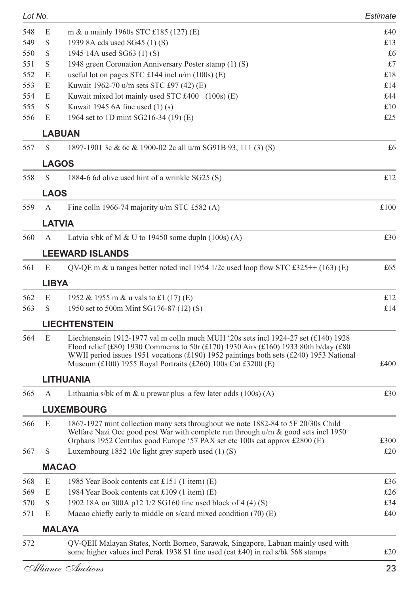| Lot No. |             |                                                                                                                                                                                                                                                                                                                                         | Estimate     |
|---------|-------------|-----------------------------------------------------------------------------------------------------------------------------------------------------------------------------------------------------------------------------------------------------------------------------------------------------------------------------------------|--------------|
| 548     | E           | m & u mainly 1960s STC £185 (127) (E)                                                                                                                                                                                                                                                                                                   | £40          |
| 549     | S           | 1939 8A cds used SG45 (1) (S)                                                                                                                                                                                                                                                                                                           | £13          |
| 550     | S           | 1945 14A used SG63 (1) (S)                                                                                                                                                                                                                                                                                                              | £6           |
| 551     | S           | 1948 green Coronation Anniversary Poster stamp (1) (S)                                                                                                                                                                                                                                                                                  | £7           |
| 552     | E           | useful lot on pages STC £144 incl $u/m$ (100s) (E)                                                                                                                                                                                                                                                                                      | £18          |
| 553     | E           | Kuwait 1962-70 u/m sets STC £97 (42) (E)                                                                                                                                                                                                                                                                                                | £14          |
| 554     | E           | Kuwait mixed lot mainly used STC £400+ (100s) (E)                                                                                                                                                                                                                                                                                       | £44          |
| 555     | S           | Kuwait 1945 6A fine used $(1)$ (s)                                                                                                                                                                                                                                                                                                      | £10          |
| 556     | E           | 1964 set to 1D mint SG216-34 (19) (E)                                                                                                                                                                                                                                                                                                   | £25          |
|         |             | LABUAN                                                                                                                                                                                                                                                                                                                                  |              |
| 557     | S           | 1897-1901 3c & 6c & 1900-02 2c all u/m SG91B 93, 111 (3) (S)                                                                                                                                                                                                                                                                            | £6           |
|         |             | <b>LAGOS</b>                                                                                                                                                                                                                                                                                                                            |              |
| 558     | S           | 1884-6 6d olive used hint of a wrinkle SG25 (S)                                                                                                                                                                                                                                                                                         | £12          |
|         | <b>LAOS</b> |                                                                                                                                                                                                                                                                                                                                         |              |
| 559     | А           | Fine colln 1966-74 majority u/m STC £582 (A)                                                                                                                                                                                                                                                                                            | £100         |
|         |             | LATVIA                                                                                                                                                                                                                                                                                                                                  |              |
| 560     | A           | Latvia s/bk of M & U to 19450 some dupln $(100s)$ (A)                                                                                                                                                                                                                                                                                   | £30          |
|         |             | <b>LEEWARD ISLANDS</b>                                                                                                                                                                                                                                                                                                                  |              |
| 561     | E           | QV-QE m & u ranges better noted incl 1954 1/2c used loop flow STC £325++ (163) (E)                                                                                                                                                                                                                                                      | £65          |
|         | LIBYA       |                                                                                                                                                                                                                                                                                                                                         |              |
| 562     | E           | 1952 & 1955 m & u vals to £1 (17) (E)                                                                                                                                                                                                                                                                                                   | £12          |
| 563     | S           | 1950 set to 500m Mint SG176-87 (12) (S)                                                                                                                                                                                                                                                                                                 | £14          |
|         |             | <b>LIECHTENSTEIN</b>                                                                                                                                                                                                                                                                                                                    |              |
| 564     | E           | Liechtenstein 1912-1977 val m colln much MUH '20s sets incl 1924-27 set $(f140)$ 1928<br>Flood relief (£80) 1930 Commems to 50r (£170) 1930 Airs (£160) 1933 80th b/day (£80)<br>WWII period issues 1951 vocations (£190) 1952 paintings both sets (£240) 1953 National<br>Museum (£100) 1955 Royal Portraits (£260) 100s Cat £3200 (E) | £400         |
|         |             | LITHUANIA                                                                                                                                                                                                                                                                                                                               |              |
| 565     | A           | Lithuania s/bk of m $\&$ u prewar plus a few later odds (100s) (A)                                                                                                                                                                                                                                                                      | £30          |
|         |             | <b>LUXEMBOURG</b>                                                                                                                                                                                                                                                                                                                       |              |
| 566     | E           | 1867-1927 mint collection many sets throughout we note 1882-84 to 5F 20/30s Child<br>Welfare Nazi Occ good post War with complete run through $u/m \&$ good sets incl 1950<br>Orphans 1952 Centilux good Europe '57 PAX set etc 100s cat approx £2800 (E)                                                                               | £300         |
| 567     | S           | Luxembourg 1852 10c light grey superb used $(1)$ (S)                                                                                                                                                                                                                                                                                    | £20          |
|         |             | <b>MACAO</b>                                                                                                                                                                                                                                                                                                                            |              |
| 568     | $\mathbf E$ | 1985 Year Book contents cat £151 (1 item) (E)                                                                                                                                                                                                                                                                                           | £36          |
| 569     | E           | 1984 Year Book contents cat £109 (1 item) (E)                                                                                                                                                                                                                                                                                           | £26          |
| 570     | $\mathbf S$ | 1902 18A on 300A p12 1/2 SG160 fine used block of 4 (4) (S)                                                                                                                                                                                                                                                                             | £34          |
| 571     | E           | Macao chiefly early to middle on s/card mixed condition (70) (E)                                                                                                                                                                                                                                                                        | £40          |
|         |             | <b>MALAYA</b>                                                                                                                                                                                                                                                                                                                           |              |
| 572     |             | QV-QEII Malayan States, North Borneo, Sarawak, Singapore, Labuan mainly used with                                                                                                                                                                                                                                                       |              |
|         |             | some higher values incl Perak 1938 \$1 fine used (cat £40) in red s/bk 568 stamps                                                                                                                                                                                                                                                       | $\pounds 20$ |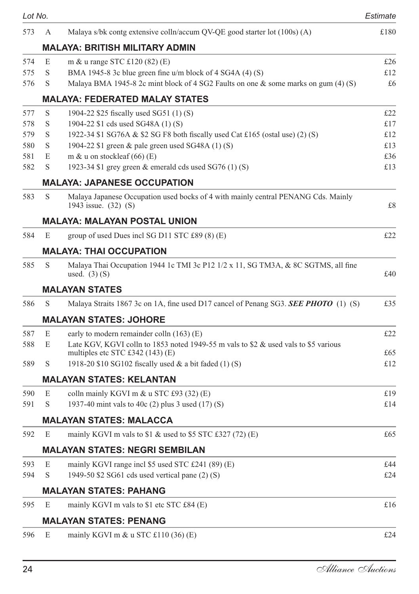| Lot No. |   |                                                                                                           | Estimate    |
|---------|---|-----------------------------------------------------------------------------------------------------------|-------------|
| 573     | A | Malaya s/bk contg extensive colln/accum QV-QE good starter lot (100s) (A)                                 | £180        |
|         |   | <b>MALAYA: BRITISH MILITARY ADMIN</b>                                                                     |             |
| 574     | E | m & u range STC $£120(82)$ (E)                                                                            | £26         |
| 575     | S | BMA 1945-8 3c blue green fine $u/m$ block of 4 SG4A (4) (S)                                               | £12         |
| 576     | S | Malaya BMA 1945-8 2c mint block of 4 SG2 Faults on one $\&$ some marks on gum (4) (S)                     | £6          |
|         |   | <b>MALAYA: FEDERATED MALAY STATES</b>                                                                     |             |
| 577     | S | 1904-22 \$25 fiscally used SG51 (1) (S)                                                                   | £22         |
| 578     | S | 1904-22 \$1 cds used SG48A (1) (S)                                                                        | £17         |
| 579     | S | 1922-34 \$1 SG76A & \$2 SG F8 both fiscally used Cat £165 (ostal use) (2) (S)                             | £12         |
| 580     | S | 1904-22 \$1 green & pale green used SG48A (1) (S)                                                         | £13         |
| 581     | E | m & u on stockleaf $(66)$ (E)                                                                             | £36         |
| 582     | S | 1923-34 \$1 grey green & emerald cds used SG76 (1) (S)                                                    | £13         |
|         |   | <b>MALAYA: JAPANESE OCCUPATION</b>                                                                        |             |
| 583     | S | Malaya Japanese Occupation used bocks of 4 with mainly central PENANG Cds. Mainly<br>1943 issue. (32) (S) | £8          |
|         |   | <b>MALAYA: MALAYAN POSTAL UNION</b>                                                                       |             |
| 584     | E | group of used Dues incl SG D11 STC £89 (8) (E)                                                            | £22         |
|         |   | <b>MALAYA: THAI OCCUPATION</b>                                                                            |             |
| 585     | S | Malaya Thai Occupation 1944 1c TMI 3c P12 1/2 x 11, SG TM3A, & 8C SGTMS, all fine<br>used. $(3)$ $(S)$    | £40         |
|         |   | <b>MALAYAN STATES</b>                                                                                     |             |
| 586     | S | Malaya Straits 1867 3c on 1A, fine used D17 cancel of Penang SG3. <b>SEE PHOTO</b> (1) (S)                | £35         |
|         |   | <b>MALAYAN STATES: JOHORE</b>                                                                             |             |
| 587     | E | early to modern remainder colln (163) (E)                                                                 | £22         |
| 588     | E | Late KGV, KGVI colln to 1853 noted 1949-55 m vals to \$2 & used vals to \$5 various                       |             |
|         |   | multiples etc STC £342 (143) (E)                                                                          | £65         |
| 589     | S | 1918-20 \$10 SG102 fiscally used $\&$ a bit faded (1) (S)                                                 | £12         |
|         |   | <b>MALAYAN STATES: KELANTAN</b>                                                                           |             |
| 590     | E | colln mainly KGVI m & u STC £93 (32) (E)                                                                  | £19         |
| 591     | S | 1937-40 mint vals to 40c (2) plus 3 used (17) (S)                                                         | £14         |
|         |   | MALAYAN STATES: MALACCA                                                                                   |             |
| 592     | E | mainly KGVI m vals to \$1 & used to \$5 STC £327 (72) (E)                                                 | £65         |
|         |   | MALAYAN STATES: NEGRI SEMBILAN                                                                            |             |
| 593     | E | mainly KGVI range incl \$5 used STC £241 (89) (E)                                                         | £44         |
| 594     | S | 1949-50 \$2 SG61 cds used vertical pane (2) (S)                                                           | £24         |
|         |   | <b>MALAYAN STATES: PAHANG</b>                                                                             |             |
| 595     | E | mainly KGVI m vals to \$1 etc STC £84 (E)                                                                 | $\pounds16$ |
|         |   | <b>MALAYAN STATES: PENANG</b>                                                                             |             |
| 596     | E | mainly KGVI m $\&$ u STC £110 (36) (E)                                                                    | £24         |
|         |   |                                                                                                           |             |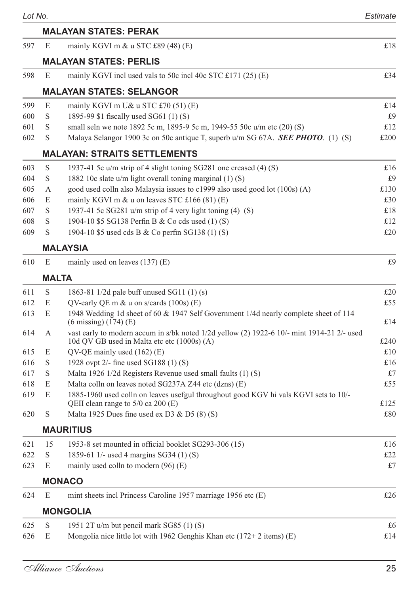| Lot No. |              |                                                                                                                                           | Estimate |
|---------|--------------|-------------------------------------------------------------------------------------------------------------------------------------------|----------|
|         |              | <b>MALAYAN STATES: PERAK</b>                                                                                                              |          |
| 597     | E            | mainly KGVI m $\&$ u STC £89 (48) (E)                                                                                                     | £18      |
|         |              | <b>MALAYAN STATES: PERLIS</b>                                                                                                             |          |
| 598     | E            | mainly KGVI inclused vals to 50c incl 40c STC £171 $(25)$ (E)                                                                             | £34      |
|         |              | <b>MALAYAN STATES: SELANGOR</b>                                                                                                           |          |
| 599     | E            | mainly KGVI m U& u STC $£70(51)$ (E)                                                                                                      | £14      |
| 600     | S            | 1895-99 \$1 fiscally used SG61 (1) (S)                                                                                                    | £9       |
| 601     | S            | small seln we note 1892 5c m, 1895-9 5c m, 1949-55 50c u/m etc (20) (S)                                                                   | £12      |
| 602     | S            | Malaya Selangor 1900 3c on 50c antique T, superb u/m SG 67A. <b>SEE PHOTO</b> . (1) (S)                                                   | £200     |
|         |              | <b>MALAYAN: STRAITS SETTLEMENTS</b>                                                                                                       |          |
| 603     | S            | 1937-41 5c u/m strip of 4 slight toning SG281 one creased (4) (S)                                                                         | £16      |
| 604     | S            | 1882 10c slate $u/m$ light overall toning marginal $(1)$ (S)                                                                              | £9       |
| 605     | А            | good used colln also Malaysia issues to c1999 also used good lot (100s) (A)                                                               | £130     |
| 606     | E            | mainly KGVI m & u on leaves STC £166 (81) (E)                                                                                             | £30      |
| 607     | S            | 1937-41 5c SG281 u/m strip of 4 very light toning (4) (S)                                                                                 | £18      |
| 608     | S            | 1904-10 \$5 SG138 Perfin B & Co cds used (1) (S)                                                                                          | £12      |
| 609     | S            | 1904-10 \$5 used cds B & Co perfin SG138 (1) (S)                                                                                          | £20      |
|         |              | <b>MALAYSIA</b>                                                                                                                           |          |
| 610     | E            | mainly used on leaves $(137)$ (E)                                                                                                         | £9       |
|         | <b>MALTA</b> |                                                                                                                                           |          |
| 611     | S            | 1863-81 1/2d pale buff unused SG11 (1) (s)                                                                                                | £20      |
| 612     | E            | QV-early QE m $\&$ u on s/cards (100s) (E)                                                                                                | £55      |
| 613     | E            | 1948 Wedding 1d sheet of 60 & 1947 Self Government 1/4d nearly complete sheet of 114<br>$(6 \text{ missing}) (174) (E)$                   | £14      |
| 614     | А            | vast early to modern accum in s/bk noted 1/2d yellow (2) 1922-6 10/- mint 1914-21 2/- used<br>10d QV GB used in Malta etc etc (1000s) (A) | £240     |
| 615     | E            | $QV$ -QE mainly used $(162)$ (E)                                                                                                          | £10      |
| 616     | S            | 1928 ovpt 2/- fine used SG188 (1) (S)                                                                                                     | £16      |
| 617     | S            | Malta 1926 1/2d Registers Revenue used small faults (1) (S)                                                                               | £7       |
| 618     | E            | Malta colln on leaves noted SG237A Z44 etc (dzns) (E)                                                                                     | £55      |
| 619     | E            | 1885-1960 used colln on leaves usefgul throughout good KGV hi vals KGVI sets to 10/-<br>QEII clean range to 5/0 ca 200 (E)                | £125     |
| 620     | S            | Malta 1925 Dues fine used ex D3 & D5 $(8)$ (S)                                                                                            | £80      |
|         |              | <b>MAURITIUS</b>                                                                                                                          |          |
| 621     | 15           | 1953-8 set mounted in official booklet SG293-306 (15)                                                                                     | £16      |
| 622     | S            | 1859-61 1/- used 4 margins SG34 (1) (S)                                                                                                   | £22      |
| 623     | E            | mainly used colln to modern (96) (E)                                                                                                      | £7       |
|         |              | <b>MONACO</b>                                                                                                                             |          |
| 624     | E            | mint sheets incl Princess Caroline 1957 marriage 1956 etc (E)                                                                             | £26      |
|         |              |                                                                                                                                           |          |
|         |              | <b>MONGOLIA</b>                                                                                                                           |          |
| 625     | S<br>E       | 1951 2T u/m but pencil mark SG85 (1) (S)                                                                                                  | £6       |
| 626     |              | Mongolia nice little lot with 1962 Genghis Khan etc (172+2 items) (E)                                                                     | £14      |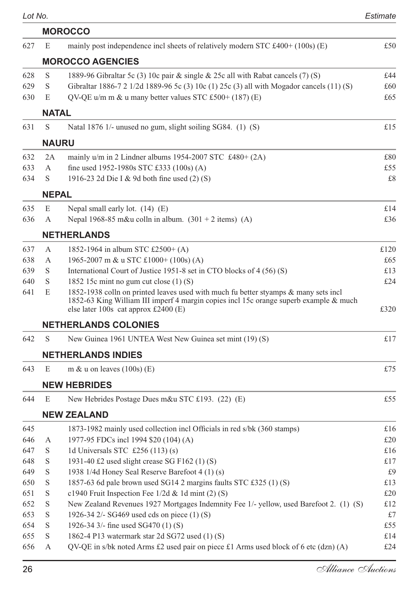|     |              | <b>MOROCCO</b>                                                                                                                                                                                                         |      |
|-----|--------------|------------------------------------------------------------------------------------------------------------------------------------------------------------------------------------------------------------------------|------|
| 627 | E            | mainly post independence incl sheets of relatively modern STC $\text{\pounds}400+ (100s)$ (E)                                                                                                                          | £50  |
|     |              | <b>MOROCCO AGENCIES</b>                                                                                                                                                                                                |      |
| 628 | S            | 1889-96 Gibraltar 5c (3) 10c pair & single & 25c all with Rabat cancels (7) (S)                                                                                                                                        | £44  |
| 629 | S            | Gibraltar 1886-7 2 1/2d 1889-96 5c (3) 10c (1) 25c (3) all with Mogador cancels (11) (S)                                                                                                                               | £60  |
| 630 | E            | QV-QE u/m m $\&$ u many better values STC £500+ (187) (E)                                                                                                                                                              | £65  |
|     | <b>NATAL</b> |                                                                                                                                                                                                                        |      |
| 631 | S            | Natal 1876 1/- unused no gum, slight soiling SG84. (1) (S)                                                                                                                                                             | £15  |
|     | <b>NAURU</b> |                                                                                                                                                                                                                        |      |
| 632 | 2A           | mainly $u/m$ in 2 Lindner albums 1954-2007 STC £480+ (2A)                                                                                                                                                              | £80  |
| 633 | А            | fine used 1952-1980s STC £333 (100s) (A)                                                                                                                                                                               | £55  |
| 634 | S            | 1916-23 2d Die I & 9d both fine used (2) (S)                                                                                                                                                                           | £8   |
|     | <b>NEPAL</b> |                                                                                                                                                                                                                        |      |
| 635 | E            | Nepal small early lot. (14) (E)                                                                                                                                                                                        | £14  |
| 636 | А            | Nepal 1968-85 m&u colln in album. $(301 + 2$ items) (A)                                                                                                                                                                | £36  |
|     |              | <b>NETHERLANDS</b>                                                                                                                                                                                                     |      |
| 637 | А            | 1852-1964 in album STC £2500+ (A)                                                                                                                                                                                      | £120 |
| 638 | А            | 1965-2007 m & u STC £1000+ (100s) (A)                                                                                                                                                                                  | £65  |
| 639 | S            | International Court of Justice 1951-8 set in CTO blocks of 4 (56) (S)                                                                                                                                                  | £13  |
| 640 | S            | 1852 15c mint no gum cut close $(1)$ (S)                                                                                                                                                                               | £24  |
| 641 | E            | 1852-1938 colln on printed leaves used with much fu better styamps & many sets incl<br>1852-63 King William III imperf 4 margin copies incl 15c orange superb example & much<br>else later 100s cat approx $£2400$ (E) | £320 |
|     |              | <b>NETHERLANDS COLONIES</b>                                                                                                                                                                                            |      |
| 642 | S            | New Guinea 1961 UNTEA West New Guinea set mint (19) (S)                                                                                                                                                                | £17  |
|     |              | <b>NETHERLANDS INDIES</b>                                                                                                                                                                                              |      |
| 643 | E            | m & u on leaves $(100s)$ (E)                                                                                                                                                                                           | £75  |
|     |              | <b>NEW HEBRIDES</b>                                                                                                                                                                                                    |      |
| 644 | E            | New Hebrides Postage Dues m&u STC £193. (22) (E)                                                                                                                                                                       | £55  |
|     |              | <b>NEW ZEALAND</b>                                                                                                                                                                                                     |      |
| 645 |              | 1873-1982 mainly used collection incl Officials in red s/bk (360 stamps)                                                                                                                                               | £16  |
| 646 | А            | 1977-95 FDCs incl 1994 \$20 (104) (A)                                                                                                                                                                                  | £20  |
| 647 | S            | 1d Universals STC $\text{\pounds}256(113)(s)$                                                                                                                                                                          | £16  |
| 648 | S            | 1931-40 £2 used slight crease SG F162 (1) (S)                                                                                                                                                                          | £17  |
| 649 | S            | 1938 1/4d Honey Seal Reserve Barefoot 4 (1) (s)                                                                                                                                                                        | £9   |
| 650 | S            | 1857-63 6d pale brown used SG14 2 margins faults STC £325 (1) (S)                                                                                                                                                      | £13  |
| 651 | $\mathbf S$  | c1940 Fruit Inspection Fee $1/2d$ & 1d mint (2) (S)                                                                                                                                                                    | £20  |
| 652 | $\mathbf S$  | New Zealand Revenues 1927 Mortgages Indemnity Fee 1/- yellow, used Barefoot 2. (1) (S)                                                                                                                                 | £12  |
| 653 | $\mathbf S$  | 1926-34 2/- SG469 used cds on piece (1) (S)                                                                                                                                                                            | £7   |
| 654 | $\mathbf S$  | 1926-34 3/- fine used SG470 (1) (S)                                                                                                                                                                                    | £55  |
| 655 | S            | 1862-4 P13 watermark star 2d SG72 used (1) (S)                                                                                                                                                                         | £14  |
| 656 | А            | QV-QE in s/bk noted Arms £2 used pair on piece £1 Arms used block of 6 etc (dzn) (A)                                                                                                                                   | £24  |
|     |              |                                                                                                                                                                                                                        |      |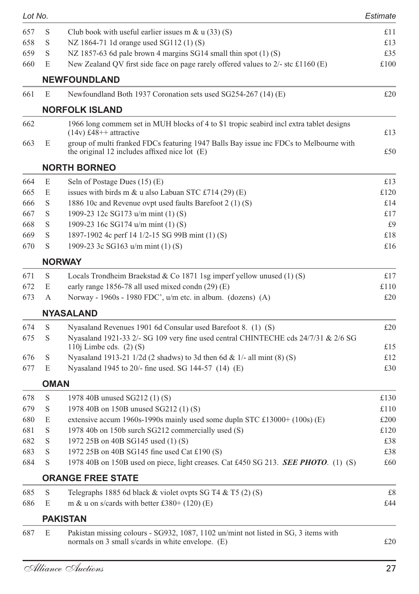| Lot No. |      |                                                                                                                                          | Estimate |
|---------|------|------------------------------------------------------------------------------------------------------------------------------------------|----------|
| 657     | S    | Club book with useful earlier issues m & $u(33)(S)$                                                                                      | £11      |
| 658     | S    | NZ 1864-71 1d orange used SG112 (1) (S)                                                                                                  | £13      |
| 659     | S    | NZ 1857-63 6d pale brown 4 margins SG14 small thin spot $(1)$ (S)                                                                        | £35      |
| 660     | E    | New Zealand QV first side face on page rarely offered values to 2/- stc £1160 (E)                                                        | £100     |
|         |      | <b>NEWFOUNDLAND</b>                                                                                                                      |          |
| 661     | E    | Newfoundland Both 1937 Coronation sets used SG254-267 (14) (E)                                                                           | £20      |
|         |      | <b>NORFOLK ISLAND</b>                                                                                                                    |          |
| 662     |      | 1966 long commem set in MUH blocks of 4 to \$1 tropic seabird incl extra tablet designs<br>$(14v)$ £48 <sup>++</sup> attractive          | £13      |
| 663     | E    | group of multi franked FDCs featuring 1947 Balls Bay issue inc FDCs to Melbourne with<br>the original 12 includes affixed nice lot $(E)$ | £50      |
|         |      | <b>NORTH BORNEO</b>                                                                                                                      |          |
| 664     | E    | Seln of Postage Dues (15) (E)                                                                                                            | £13      |
| 665     | E    | issues with birds m & u also Labuan STC £714 (29) (E)                                                                                    | £120     |
| 666     | S    | 1886 10c and Revenue ovpt used faults Barefoot 2 (1) (S)                                                                                 | £14      |
| 667     | S    | 1909-23 12c SG173 u/m mint (1) (S)                                                                                                       | £17      |
| 668     | S    | 1909-23 16c SG174 u/m mint (1) (S)                                                                                                       | £9       |
| 669     | S    | 1897-1902 4c perf 14 1/2-15 SG 99B mint (1) (S)                                                                                          | £18      |
| 670     | S    | 1909-23 3c SG163 u/m mint (1) (S)                                                                                                        | £16      |
|         |      | <b>NORWAY</b>                                                                                                                            |          |
| 671     | S    | Locals Trondheim Braekstad & Co 1871 1sg imperf yellow unused $(1)$ (S)                                                                  | £17      |
| 672     | E    | early range 1856-78 all used mixed condn $(29)$ (E)                                                                                      | £110     |
| 673     | А    | Norway - 1960s - 1980 FDC', u/m etc. in album. (dozens) (A)                                                                              | £20      |
|         |      | <b>NYASALAND</b>                                                                                                                         |          |
| 674     | S    | Nyasaland Revenues 1901 6d Consular used Barefoot 8. (1) (S)                                                                             | £20      |
| 675     | S    | Nyasaland 1921-33 2/- SG 109 very fine used central CHINTECHE cds 24/7/31 & 2/6 SG<br>110j Limbe cds. $(2)$ (S)                          | £15      |
| 676     | S    | Nyasaland 1913-21 1/2d (2 shadws) to 3d then 6d & 1/- all mint $(8)$ (S)                                                                 | £12      |
| 677     | E    | Nyasaland 1945 to 20/- fine used. SG 144-57 (14) (E)                                                                                     | £30      |
|         | OMAN |                                                                                                                                          |          |
| 678     | S    | 1978 40B unused SG212 (1) (S)                                                                                                            | £130     |
| 679     | S    | 1978 40B on 150B unused SG212 (1) (S)                                                                                                    | £110     |
| 680     | E    | extensive accum 1960s-1990s mainly used some dupln STC £13000+ (100s) (E)                                                                | £200     |
| 681     | S    | 1978 40b on 150b surch SG212 commercially used (S)                                                                                       | £120     |
| 682     | S    | 1972 25B on 40B SG145 used (1) (S)                                                                                                       | £38      |
| 683     | S    | 1972 25B on 40B SG145 fine used Cat £190 (S)                                                                                             | £38      |
| 684     | S    | 1978 40B on 150B used on piece, light creases. Cat £450 SG 213. SEE PHOTO. (1) (S)                                                       | £60      |
|         |      | <b>ORANGE FREE STATE</b>                                                                                                                 |          |
| 685     | S    | Telegraphs 1885 6d black $&$ violet ovpts SG T4 $&$ T5 (2) (S)                                                                           | £8       |
| 686     | E    | m & u on s/cards with better £380+ $(120)$ (E)                                                                                           | £44      |
|         |      | <b>PAKISTAN</b>                                                                                                                          |          |
| 687     | E    | Pakistan missing colours - SG932, 1087, 1102 un/mint not listed in SG, 3 items with                                                      |          |
|         |      | normals on 3 small s/cards in white envelope. (E)                                                                                        | £20      |
|         |      |                                                                                                                                          |          |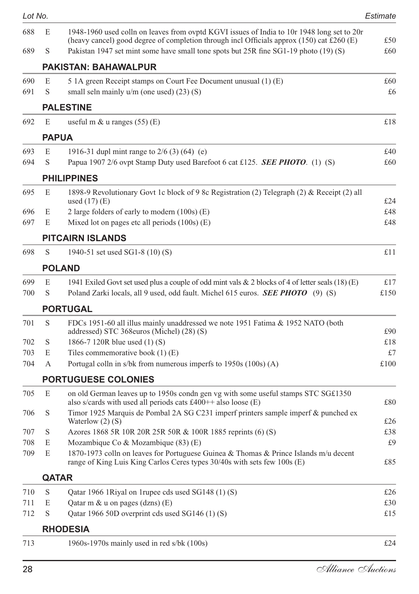| Lot No.    |              |                                                                                                                                                                                         | Estimate   |
|------------|--------------|-----------------------------------------------------------------------------------------------------------------------------------------------------------------------------------------|------------|
| 688        | E            | 1948-1960 used colln on leaves from ovptd KGVI issues of India to 10r 1948 long set to 20r<br>(heavy cancel) good degree of completion through incl Officials approx (150) cat £260 (E) | £50        |
| 689        | S            | Pakistan 1947 set mint some have small tone spots but 25R fine SG1-19 photo (19) (S)                                                                                                    | £60        |
|            |              | <b>PAKISTAN: BAHAWALPUR</b>                                                                                                                                                             |            |
| 690        | E            | 5 1A green Receipt stamps on Court Fee Document unusual (1) (E)                                                                                                                         | £60        |
| 691        | S            | small seln mainly $u/m$ (one used) $(23)$ (S)                                                                                                                                           | £6         |
|            |              | <b>PALESTINE</b>                                                                                                                                                                        |            |
| 692        | E            | useful m $\&$ u ranges (55) (E)                                                                                                                                                         | £18        |
|            | <b>PAPUA</b> |                                                                                                                                                                                         |            |
| 693        | E            | 1916-31 dupl mint range to $2/6$ (3) (64) (e)                                                                                                                                           | £40        |
| 694        | S            | Papua 1907 2/6 ovpt Stamp Duty used Barefoot 6 cat £125. <b>SEE PHOTO</b> . (1) (S)                                                                                                     | £60        |
|            |              | <b>PHILIPPINES</b>                                                                                                                                                                      |            |
| 695        | E            | 1898-9 Revolutionary Govt 1c block of 9 8c Registration (2) Telegraph (2) & Receipt (2) all                                                                                             |            |
|            |              | used $(17)$ (E)                                                                                                                                                                         | £24        |
| 696<br>697 | E<br>E       | 2 large folders of early to modern (100s) (E)<br>Mixed lot on pages etc all periods $(100s)$ (E)                                                                                        | £48<br>£48 |
|            |              |                                                                                                                                                                                         |            |
|            |              | <b>PITCAIRN ISLANDS</b>                                                                                                                                                                 |            |
| 698        | S            | 1940-51 set used SG1-8 (10) (S)                                                                                                                                                         | £11        |
|            |              | <b>POLAND</b>                                                                                                                                                                           |            |
| 699        | E            | 1941 Exiled Govt set used plus a couple of odd mint vals & 2 blocks of 4 of letter seals (18) (E)                                                                                       | £17        |
| 700        | S            | Poland Zarki locals, all 9 used, odd fault. Michel 615 euros. SEE PHOTO (9) (S)                                                                                                         | £150       |
|            |              | <b>PORTUGAL</b>                                                                                                                                                                         |            |
| 701        | S            | FDCs 1951-60 all illus mainly unaddressed we note 1951 Fatima & 1952 NATO (both<br>addressed) STC 368euros (Michel) (28) (S)                                                            | £90        |
| 702        | S            | 1866-7 120R blue used (1) (S)                                                                                                                                                           | £18        |
| 703        | E            | Tiles commemorative book $(1)$ (E)                                                                                                                                                      | £7         |
| 704        | A            | Portugal colln in s/bk from numerous imperfs to 1950s (100s) (A)                                                                                                                        | £100       |
|            |              | <b>PORTUGUESE COLONIES</b>                                                                                                                                                              |            |
| 705        | E            | on old German leaves up to 1950s condn gen vg with some useful stamps STC SG£1350                                                                                                       |            |
| 706        | S            | also s/cards with used all periods cats £400++ also loose (E)<br>Timor 1925 Marquis de Pombal 2A SG C231 imperf printers sample imperf & punched ex                                     | £80        |
|            |              | Waterlow $(2)$ $(S)$                                                                                                                                                                    | £26        |
| 707        | S            | Azores 1868 5R 10R 20R 25R 50R & 100R 1885 reprints (6) (S)                                                                                                                             | £38        |
| 708        | E            | Mozambique Co & Mozambique $(83)$ (E)                                                                                                                                                   | £9         |
| 709        | E            | 1870-1973 colln on leaves for Portuguese Guinea & Thomas & Prince Islands m/u decent<br>range of King Luis King Carlos Ceres types 30/40s with sets few 100s (E)                        | £85        |
|            | <b>QATAR</b> |                                                                                                                                                                                         |            |
| 710        | S            | Qatar 1966 1Riyal on 1rupee cds used SG148 (1) (S)                                                                                                                                      | £26        |
| 711        | E            | Qatar m & u on pages (dzns) (E)                                                                                                                                                         | £30        |
| 712        | S            | Qatar 1966 50D overprint cds used SG146 (1) (S)                                                                                                                                         | £15        |
|            |              | <b>RHODESIA</b>                                                                                                                                                                         |            |
| 713        |              | 1960s-1970s mainly used in red s/bk (100s)                                                                                                                                              | £24        |
|            |              |                                                                                                                                                                                         |            |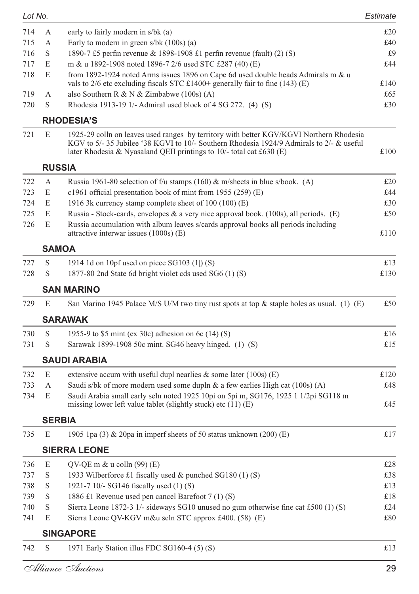| Lot No. |             |                                                                                                                                                                                                                                                               | Estimate |
|---------|-------------|---------------------------------------------------------------------------------------------------------------------------------------------------------------------------------------------------------------------------------------------------------------|----------|
| 714     | А           | early to fairly modern in s/bk (a)                                                                                                                                                                                                                            | £20      |
| 715     | А           | Early to modern in green $s/bk$ (100s) (a)                                                                                                                                                                                                                    | £40      |
| 716     | S           | 1890-7 £5 perfin revenue & 1898-1908 £1 perfin revenue (fault) (2) (S)                                                                                                                                                                                        | £9       |
| 717     | E           | m & u 1892-1908 noted 1896-7 2/6 used STC £287 (40) (E)                                                                                                                                                                                                       | £44      |
| 718     | E           | from 1892-1924 noted Arms issues 1896 on Cape 6d used double heads Admirals m & u<br>vals to $2/6$ etc excluding fiscals STC £1400+ generally fair to fine (143) (E)                                                                                          | £140     |
| 719     | А           | also Southern R & N & Zimbabwe (100s) (A)                                                                                                                                                                                                                     | £65      |
| 720     | S           | Rhodesia 1913-19 1/- Admiral used block of 4 SG 272. (4) (S)                                                                                                                                                                                                  | £30      |
|         |             | <b>RHODESIA'S</b>                                                                                                                                                                                                                                             |          |
| 721     | E           | 1925-29 colln on leaves used ranges by territory with better KGV/KGVI Northern Rhodesia<br>KGV to 5/- 35 Jubilee '38 KGVI to 10/- Southern Rhodesia 1924/9 Admirals to 2/- & useful<br>later Rhodesia & Nyasaland QEII printings to $10/-$ total cat £630 (E) | £100     |
|         |             | <b>RUSSIA</b>                                                                                                                                                                                                                                                 |          |
| 722     | А           | Russia 1961-80 selection of f/u stamps (160) & m/sheets in blue s/book. (A)                                                                                                                                                                                   | £20      |
| 723     | E           | c1961 official presentation book of mint from 1955 (259) (E)                                                                                                                                                                                                  | £44      |
| 724     | E           | 1916 3k currency stamp complete sheet of 100 (100) (E)                                                                                                                                                                                                        | £30      |
| 725     | E           | Russia - Stock-cards, envelopes & a very nice approval book. $(100s)$ , all periods. $(E)$                                                                                                                                                                    | £50      |
| 726     | E           | Russia accumulation with album leaves s/cards approval books all periods including<br>attractive interwar issues (1000s) (E)                                                                                                                                  | £110     |
|         |             | <b>SAMOA</b>                                                                                                                                                                                                                                                  |          |
| 727     | S           | 1914 1d on 10pf used on piece SG103 $(1)$ (S)                                                                                                                                                                                                                 | £13      |
| 728     | S           | 1877-80 2nd State 6d bright violet cds used SG6 (1) (S)                                                                                                                                                                                                       | £130     |
|         |             | <b>SAN MARINO</b>                                                                                                                                                                                                                                             |          |
| 729     | E           | San Marino 1945 Palace M/S U/M two tiny rust spots at top & staple holes as usual. (1) (E)                                                                                                                                                                    | £50      |
|         |             | <b>SARAWAK</b>                                                                                                                                                                                                                                                |          |
| 730     | S           | 1955-9 to \$5 mint (ex 30c) adhesion on 6c $(14)$ (S)                                                                                                                                                                                                         | £16      |
| 731     | S           | Sarawak 1899-1908 50c mint. SG46 heavy hinged. (1) (S)                                                                                                                                                                                                        | £15      |
|         |             | <b>SAUDI ARABIA</b>                                                                                                                                                                                                                                           |          |
| 732     | E           | extensive accum with useful dupl nearlies $\&$ some later (100s) (E)                                                                                                                                                                                          | £120     |
| 733     | A           | Saudi s/bk of more modern used some dupln $\&$ a few earlies High cat (100s) (A)                                                                                                                                                                              | £48      |
| 734     | E           | Saudi Arabia small early seln noted 1925 10pi on 5pi m, SG176, 1925 1 1/2pi SG118 m<br>missing lower left value tablet (slightly stuck) etc $(11)$ (E)                                                                                                        | £45      |
|         |             | <b>SERBIA</b>                                                                                                                                                                                                                                                 |          |
| 735     | E           | 1905 1pa $(3)$ & 20pa in imperf sheets of 50 status unknown $(200)$ (E)                                                                                                                                                                                       | £17      |
|         |             | <b>SIERRA LEONE</b>                                                                                                                                                                                                                                           |          |
| 736     | E           | $QV-QE$ m & u colln $(99)$ (E)                                                                                                                                                                                                                                | £28      |
| 737     | $\mathbf S$ | 1933 Wilberforce £1 fiscally used & punched SG180 (1) (S)                                                                                                                                                                                                     | £38      |
| 738     | $\mathbf S$ | 1921-7 10/- SG146 fiscally used (1) (S)                                                                                                                                                                                                                       | £13      |
| 739     | $\mathbf S$ | 1886 £1 Revenue used pen cancel Barefoot 7 (1) (S)                                                                                                                                                                                                            | £18      |
| 740     | S           | Sierra Leone 1872-3 1/- sideways SG10 unused no gum otherwise fine cat £500 (1) (S)                                                                                                                                                                           | £24      |
| 741     | E           | Sierra Leone QV-KGV m&u seln STC approx £400. (58) (E)                                                                                                                                                                                                        | £80      |
|         |             | <b>SINGAPORE</b>                                                                                                                                                                                                                                              |          |
| 742     | S           | 1971 Early Station illus FDC SG160-4 (5) (S)                                                                                                                                                                                                                  | £13      |
|         |             |                                                                                                                                                                                                                                                               |          |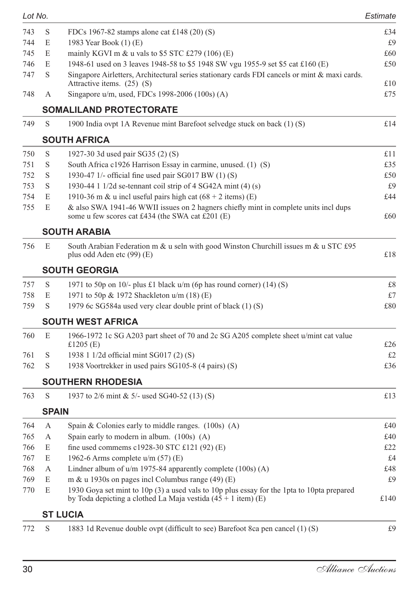| Lot No. |              |                                                                                                                                                               | Estimate |
|---------|--------------|---------------------------------------------------------------------------------------------------------------------------------------------------------------|----------|
| 743     | S            | FDCs 1967-82 stamps alone cat £148 (20) (S)                                                                                                                   | £34      |
| 744     | E            | 1983 Year Book (1) (E)                                                                                                                                        | £9       |
| 745     | E            | mainly KGVI m $\&$ u vals to \$5 STC £279 (106) (E)                                                                                                           | £60      |
| 746     | E            | 1948-61 used on 3 leaves 1948-58 to \$5 1948 SW vgu 1955-9 set \$5 cat £160 (E)                                                                               | £50      |
| 747     | S            | Singapore Airletters, Architectural series stationary cards FDI cancels or mint & maxi cards.<br>Attractive items. (25) (S)                                   | £10      |
| 748     | А            | Singapore u/m, used, FDCs 1998-2006 (100s) (A)                                                                                                                | £75      |
|         |              | SOMALILAND PROTECTORATE                                                                                                                                       |          |
| 749     | S            | 1900 India ovpt 1A Revenue mint Barefoot selvedge stuck on back (1) (S)                                                                                       | £14      |
|         |              | <b>SOUTH AFRICA</b>                                                                                                                                           |          |
| 750     | S            | 1927-30 3d used pair SG35 (2) (S)                                                                                                                             | £11      |
| 751     | S            | South Africa c1926 Harrison Essay in carmine, unused. (1) (S)                                                                                                 | £35      |
| 752     | S            | 1930-47 1/- official fine used pair $SG017$ BW $(1)$ $(S)$                                                                                                    | £50      |
| 753     | S            | 1930-44 1 1/2d se-tennant coil strip of 4 SG42A mint (4) (s)                                                                                                  | £9       |
| 754     | E            | 1910-36 m & u incl useful pairs high cat $(68 + 2$ items) (E)                                                                                                 | £44      |
| 755     | E            | & also SWA 1941-46 WWII issues on 2 hagners chiefly mint in complete units incl dups<br>some u few scores cat £434 (the SWA cat £201 (E)                      | £60      |
|         |              | <b>SOUTH ARABIA</b>                                                                                                                                           |          |
| 756     | E            | South Arabian Federation m & u seln with good Winston Churchill issues m & u STC £95<br>plus odd Aden etc (99) (E)                                            | £18      |
|         |              | <b>SOUTH GEORGIA</b>                                                                                                                                          |          |
| 757     | S            | 1971 to 50p on 10/- plus £1 black $u/m$ (6p has round corner) (14) (S)                                                                                        | £8       |
| 758     | E            | 1971 to 50p & 1972 Shackleton u/m (18) (E)                                                                                                                    | £7       |
| 759     | S            | 1979 6c SG584a used very clear double print of black (1) (S)                                                                                                  | £80      |
|         |              | <b>SOUTH WEST AFRICA</b>                                                                                                                                      |          |
| 760     | E            | 1966-1972 1c SG A203 part sheet of 70 and 2c SG A205 complete sheet u/mint cat value<br>£1205 $(E)$                                                           | £26      |
| 761     | S            | 1938 1 1/2d official mint SG017 (2) (S)                                                                                                                       | £2       |
| 762     | S            | 1938 Voortrekker in used pairs SG105-8 (4 pairs) (S)                                                                                                          | £36      |
|         |              |                                                                                                                                                               |          |
|         |              | <b>SOUTHERN RHODESIA</b>                                                                                                                                      |          |
| 763     | S            | 1937 to 2/6 mint & 5/- used SG40-52 (13) (S)                                                                                                                  | £13      |
|         | <b>SPAIN</b> |                                                                                                                                                               |          |
| 764     | A            | Spain & Colonies early to middle ranges. $(100s)$ (A)                                                                                                         | £40      |
| 765     | А            | Spain early to modern in album. (100s) (A)                                                                                                                    | £40      |
| 766     | E            | fine used commems c1928-30 STC £121 (92) (E)                                                                                                                  | £22      |
| 767     | E            | 1962-6 Arms complete $u/m$ (57) (E)                                                                                                                           | £4       |
| 768     | А            | Lindner album of $u/m$ 1975-84 apparently complete $(100s)$ (A)                                                                                               | £48      |
| 769     | E            | m & u 1930s on pages incl Columbus range $(49)$ (E)                                                                                                           | £9       |
| 770     | E            | 1930 Goya set mint to 10p (3) a used vals to 10p plus essay for the 1pta to 10pta prepared<br>by Toda depicting a clothed La Maja vestida $(45 + 1$ item) (E) | £140     |
|         |              | ST LUCIA                                                                                                                                                      |          |
| 772     | S            | 1883 1d Revenue double ovpt (difficult to see) Barefoot 8ca pen cancel (1) (S)                                                                                | £9       |
|         |              |                                                                                                                                                               |          |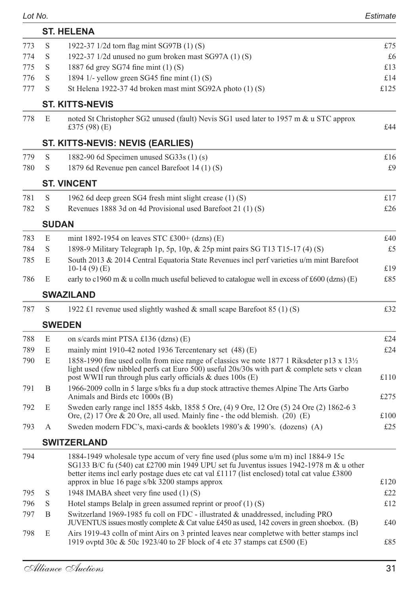|--|--|

| Lot No. |              |                                                                                                                                                                                                                                                                                                                                | Estimate    |
|---------|--------------|--------------------------------------------------------------------------------------------------------------------------------------------------------------------------------------------------------------------------------------------------------------------------------------------------------------------------------|-------------|
|         |              | <b>ST. HELENA</b>                                                                                                                                                                                                                                                                                                              |             |
| 773     | S            | 1922-37 1/2d torn flag mint SG97B (1) (S)                                                                                                                                                                                                                                                                                      | £75         |
| 774     | S            | 1922-37 1/2d unused no gum broken mast SG97A (1) (S)                                                                                                                                                                                                                                                                           | £6          |
| 775     | S            | 1887 6d grey SG74 fine mint (1) (S)                                                                                                                                                                                                                                                                                            | £13         |
| 776     | S            | 1894 1/- yellow green SG45 fine mint (1) (S)                                                                                                                                                                                                                                                                                   | £14         |
| 777     | S            | St Helena 1922-37 4d broken mast mint SG92A photo (1) (S)                                                                                                                                                                                                                                                                      | £125        |
|         |              | <b>ST. KITTS-NEVIS</b>                                                                                                                                                                                                                                                                                                         |             |
| 778     | E            | noted St Christopher SG2 unused (fault) Nevis SG1 used later to 1957 m & u STC approx<br>£375 $(98)$ $(E)$                                                                                                                                                                                                                     | £44         |
|         |              | ST. KITTS-NEVIS: NEVIS (EARLIES)                                                                                                                                                                                                                                                                                               |             |
| 779     | S            | 1882-90 6d Specimen unused SG33s $(1)$ (s)                                                                                                                                                                                                                                                                                     | £16         |
| 780     | S            | 1879 6d Revenue pen cancel Barefoot 14 (1) (S)                                                                                                                                                                                                                                                                                 | £9          |
|         |              | <b>ST. VINCENT</b>                                                                                                                                                                                                                                                                                                             |             |
| 781     | S            | 1962 6d deep green SG4 fresh mint slight crease (1) (S)                                                                                                                                                                                                                                                                        | £17         |
| 782     | S            | Revenues 1888 3d on 4d Provisional used Barefoot 21 (1) (S)                                                                                                                                                                                                                                                                    | £26         |
|         | <b>SUDAN</b> |                                                                                                                                                                                                                                                                                                                                |             |
| 783     | E            | mint 1892-1954 on leaves STC £300+ (dzns) $(E)$                                                                                                                                                                                                                                                                                | £40         |
| 784     | S            | 1898-9 Military Telegraph 1p, 5p, 10p, & 25p mint pairs SG T13 T15-17 (4) (S)                                                                                                                                                                                                                                                  | £5          |
| 785     | E            | South 2013 & 2014 Central Equatoria State Revenues incl perf varieties u/m mint Barefoot                                                                                                                                                                                                                                       |             |
|         |              | $10-14(9)$ (E)                                                                                                                                                                                                                                                                                                                 | £19         |
| 786     | E            | early to c1960 m & u colln much useful believed to catalogue well in excess of £600 (dzns) (E)                                                                                                                                                                                                                                 | £85         |
|         |              | <b>SWAZILAND</b>                                                                                                                                                                                                                                                                                                               |             |
| 787     | S            | 1922 £1 revenue used slightly washed & small scape Barefoot 85 (1) (S)                                                                                                                                                                                                                                                         | £32         |
|         |              | <b>SWEDEN</b>                                                                                                                                                                                                                                                                                                                  |             |
| 788     | E            | on s/cards mint PTSA £136 (dzns) (E)                                                                                                                                                                                                                                                                                           | £24         |
| 789     | E            | mainly mint 1910-42 noted 1936 Tercentenary set (48) (E)                                                                                                                                                                                                                                                                       | £24         |
| 790     | E            | 1858-1990 fine used colln from nice range of classics we note 1877 1 Riksdeter p13 x 13 <sup>1</sup> / <sub>2</sub><br>light used (few nibbled perfs cat Euro 500) useful 20s/30s with part & complete sets v clean<br>post WWII run through plus early officials & dues 100s (E)                                              | £110        |
| 791     | B            | 1966-2009 colln in 5 large s/bks fu a dup stock attractive themes Alpine The Arts Garbo<br>Animals and Birds etc 1000s (B)                                                                                                                                                                                                     | £275        |
| 792     | E            | Sweden early range incl 1855 4skb, 1858 5 Ore, (4) 9 Ore, 12 Ore (5) 24 Ore (2) 1862-6 3                                                                                                                                                                                                                                       |             |
| 793     | А            | Ore, (2) 17 Ore & 20 Ore, all used. Mainly fine - the odd blemish. (20) (E)<br>Sweden modern FDC's, maxi-cards & booklets 1980's & 1990's. (dozens) (A)                                                                                                                                                                        | £100<br>£25 |
|         |              |                                                                                                                                                                                                                                                                                                                                |             |
|         |              | <b>SWITZERLAND</b>                                                                                                                                                                                                                                                                                                             |             |
| 794     |              | 1884-1949 wholesale type accum of very fine used (plus some u/m m) incl 1884-9 15c<br>SG133 B/C fu (540) cat £2700 min 1949 UPU set fu Juventus issues 1942-1978 m & u other<br>better items incl early postage dues etc cat val £1117 (list enclosed) total cat value £3800<br>approx in blue 16 page s/bk 3200 stamps approx | £120        |
| 795     | S            | 1948 IMABA sheet very fine used (1) (S)                                                                                                                                                                                                                                                                                        | £22         |
| 796     | $\mathbf S$  | Hotel stamps Belalp in green assumed reprint or $proof(1)(S)$                                                                                                                                                                                                                                                                  | £12         |
| 797     | B            | Switzerland 1969-1985 fu coll on FDC - illustrated & unaddressed, including PRO<br>JUVENTUS issues mostly complete & Cat value $£450$ as used, 142 covers in green shoebox. (B)                                                                                                                                                | £40         |
| 798     | E            | Airs 1919-43 colln of mint Airs on 3 printed leaves near completive with better stamps incl<br>1919 ovptd 30c & 50c 1923/40 to 2F block of 4 etc 37 stamps cat £500 (E)                                                                                                                                                        | £85         |
|         |              |                                                                                                                                                                                                                                                                                                                                |             |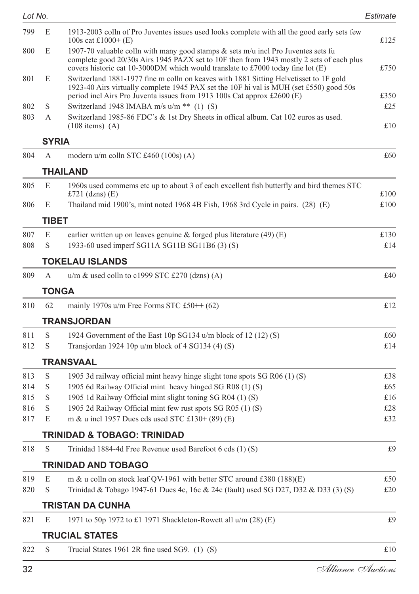*Lot No. Estimate* 799 E 1913-2003 colln of Pro Juventes issues used looks complete with all the good early sets few  $100s$  cat  $\text{\pounds}1000+$  (E)  $\text{\pounds}125$ 800 E 1907-70 valuable colln with many good stamps  $\&$  sets m/u incl Pro Juventes sets fu complete good 20/30s Airs 1945 PAZX set to 10F then from 1943 mostly 2 sets of each plus covers historic cat 10-3000DM which would translate to £7000 today fine lot  $(E)$  £750 801 E Switzerland 1881-1977 fine m colln on keaves with 1881 Sitting Helvetisset to 1F gold 1923-40 Airs virtually complete 1945 PAX set the 10F hi val is MUH (set £550) good 50s period incl Airs Pro Juventa issues from 1913 100s Cat approx £2600 (E) £350 802 S Switzerland 1948 IMABA m/s u/m  $**$  (1) (S)  $\qquad 5$  £25 803 A Switzerland 1985-86 FDC's & 1st Dry Sheets in offical album. Cat 102 euros as used.  $(108 \text{ items})$  (A)  $\text{£}10$ **SYRIA** 804 A modern u/m colln STC £460 (100s) (A)  $\qquad 60$ **THAILAND** 805 E 1960s used commems etc up to about 3 of each excellent fish butterfly and bird themes STC  $£721$  (dzns) (E)  $£100$ 806 E Thailand mid 1900's, mint noted 1968 4B Fish, 1968 3rd Cycle in pairs. (28) (E) £100 **TIBET** 807 E earlier written up on leaves genuine & forged plus literature (49) (E)  $\qquad 130$ 808 S 1933-60 used imperf SG11A SG11B SG11B6 (3) (S)  $\epsilon$  14 **TOKELAU ISLANDS** 809 A  $u/m \&$  used colln to c1999 STC £270 (dzns) (A)  $\pounds 40$ **TONGA** 810 62 mainly 1970s u/m Free Forms STC  $\text{\pounds}50++(62)$   $\text{\pounds}12$ **TRANSJORDAN** 811 S 1924 Government of the East 10p SG134 u/m block of 12 (12) (S)  $\qquad 60$ 812 S Transjordan 1924 10p u/m block of 4 SG134 (4) (S)  $\pounds14$ **TRANSVAAL** 813 S 1905 3d railway official mint heavy hinge slight tone spots SG R06 (1) (S)  $\qquad 238$ 814 S 1905 6d Railway Official mint heavy hinged SG R08 (1) (S)  $£65$ 815 S 1905 1d Railway Official mint slight toning SG R04 (1) (S)  $\epsilon$ 16 816 S 1905 2d Railway Official mint few rust spots SG R05 (1) (S)  $\pounds 28$ 817 E m & u incl 1957 Dues cds used STC £130+ (89) (E)  $\text{\textsterling}32$ **TRINIDAD & TOBAGO: TRINIDAD** 818 S Trinidad 1884-4d Free Revenue used Barefoot 6 cds (1) (S) £9 **TRINIDAD AND TOBAGO** 819 E m & u colln on stock leaf QV-1961 with better STC around £380 (188)(E)  $\qquad 50$ 820 S Trinidad & Tobago 1947-61 Dues 4c, 16c & 24c (fault) used SG D27, D32 & D33 (3) (S)  $\pounds$ 20 **TRISTAN DA CUNHA** 821 E 1971 to 50p 1972 to £1 1971 Shackleton-Rowett all  $u/m$  (28) (E)  $\qquad 59$ **TRUCIAL STATES** 822 S Trucial States 1961 2R fine used SG9. (1) (S)  $\qquad 10$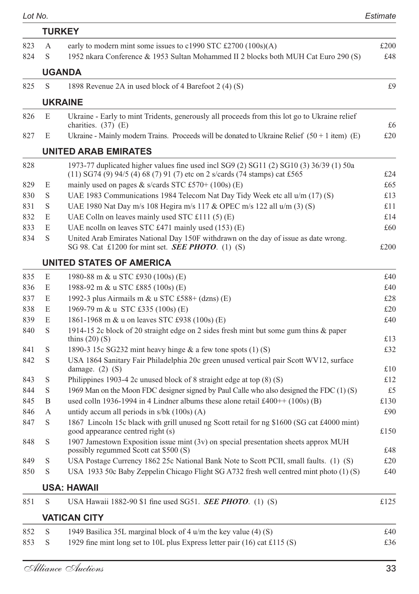| Lot No. |   |                                                                                                                                                  | Estimate |
|---------|---|--------------------------------------------------------------------------------------------------------------------------------------------------|----------|
|         |   | <b>TURKEY</b>                                                                                                                                    |          |
| 823     | А | early to modern mint some issues to c1990 STC £2700 (100s)(A)                                                                                    | £200     |
| 824     | S | 1952 nkara Conference & 1953 Sultan Mohammed II 2 blocks both MUH Cat Euro 290 (S)                                                               | £48      |
|         |   | <b>UGANDA</b>                                                                                                                                    |          |
| 825     | S | 1898 Revenue 2A in used block of 4 Barefoot 2 (4) (S)                                                                                            | £9       |
|         |   | <b>UKRAINE</b>                                                                                                                                   |          |
| 826     | E | Ukraine - Early to mint Tridents, generously all proceeds from this lot go to Ukraine relief                                                     |          |
|         |   | charities. (37) (E)                                                                                                                              | £6       |
| 827     | E | Ukraine - Mainly modern Trains. Proceeds will be donated to Ukraine Relief $(50 + 1 \text{ item})$ (E)                                           | £20      |
|         |   | UNITED ARAB EMIRATES                                                                                                                             |          |
| 828     |   | 1973-77 duplicated higher values fine used incl SG9 (2) SG11 (2) SG10 (3) 36/39 (1) 50a                                                          |          |
|         |   | (11) SG74 (9) 94/5 (4) 68 (7) 91 (7) etc on 2 s/cards (74 stamps) cat £565                                                                       | £24      |
| 829     | E | mainly used on pages & s/cards STC £570+ (100s) (E)                                                                                              | £65      |
| 830     | S | UAE 1983 Communications 1984 Telecom Nat Day Tidy Week etc all u/m (17) (S)                                                                      | £13      |
| 831     | S | UAE 1980 Nat Day m/s 108 Hegira m/s 117 & OPEC m/s 122 all u/m (3) (S)                                                                           | £11      |
| 832     | E | UAE Colln on leaves mainly used STC £111 (5) (E)                                                                                                 | £14      |
| 833     | E | UAE ncolln on leaves STC £471 mainly used $(153)$ (E)                                                                                            | £60      |
| 834     | S | United Arab Emirates National Day 150F withdrawn on the day of issue as date wrong.<br>SG 98. Cat £1200 for mint set. <b>SEE PHOTO</b> . (1) (S) | £200     |
|         |   | UNITED STATES OF AMERICA                                                                                                                         |          |
| 835     | E | 1980-88 m & u STC £930 (100s) (E)                                                                                                                | £40      |
| 836     | E | 1988-92 m & u STC £885 (100s) (E)                                                                                                                | £40      |
| 837     | E | 1992-3 plus Airmails m & u STC £588+ (dzns) (E)                                                                                                  | £28      |
| 838     | E | 1969-79 m & u STC £335 (100s) (E)                                                                                                                | £20      |
| 839     | E | 1861-1968 m & u on leaves STC £938 (100s) (E)                                                                                                    | £40      |
| 840     | S | 1914-15 2c block of 20 straight edge on 2 sides fresh mint but some gum thins & paper<br>thins $(20)$ $(S)$                                      | £13      |
| 841     | S | 1890-3 15c SG232 mint heavy hinge $\&$ a few tone spots (1) (S)                                                                                  | £32      |
| 842     | S | USA 1864 Sanitary Fair Philadelphia 20c green unused vertical pair Scott WV12, surface                                                           |          |
|         |   | damage. $(2)$ $(S)$                                                                                                                              | £10      |
| 843     | S | Philippines 1903-4 2c unused block of 8 straight edge at top $(8)$ $(S)$                                                                         | £12      |
| 844     | S | 1969 Man on the Moon FDC designer signed by Paul Calle who also designed the FDC (1) (S)                                                         | £5       |
| 845     | B | used colln 1936-1994 in 4 Lindner albums these alone retail £400++ $(100s)$ (B)                                                                  | £130     |
| 846     | А | untidy accum all periods in $s/bk$ (100s) (A)                                                                                                    | £90      |
| 847     | S | 1867 Lincoln 15c black with grill unused ng Scott retail for ng \$1600 (SG cat £4000 mint)<br>good appearance centred right (s)                  | £150     |
| 848     | S | 1907 Jamestown Exposition issue mint $(3v)$ on special presentation sheets approx MUH<br>possibly regummed Scott cat \$500 (S)                   | £48      |
| 849     | S | USA Postage Currency 1862 25c National Bank Note to Scott PCII, small faults. (1) (S)                                                            | £20      |
| 850     | S | USA 1933 50c Baby Zeppelin Chicago Flight SG A732 fresh well centred mint photo (1) (S)                                                          | £40      |
|         |   | <b>USA: HAWAII</b>                                                                                                                               |          |
| 851     | S | USA Hawaii 1882-90 \$1 fine used SG51. SEE PHOTO. (1) (S)                                                                                        | £125     |
|         |   | <b>VATICAN CITY</b>                                                                                                                              |          |
| 852     | S | 1949 Basilica 35L marginal block of 4 u/m the key value (4) (S)                                                                                  | £40      |
| 853     | S | 1929 fine mint long set to 10L plus Express letter pair (16) cat £115 (S)                                                                        | £36      |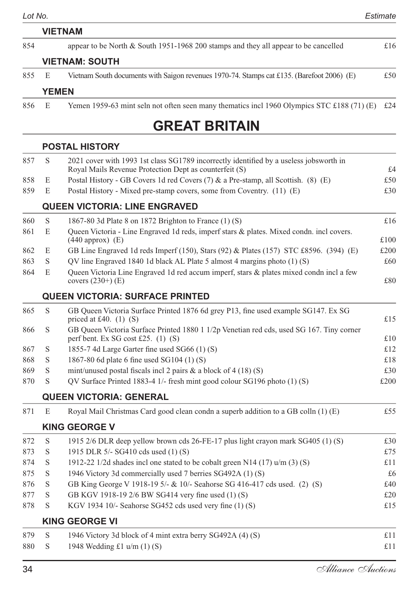|     |              | <b>VIETNAM</b>                                                                             |     |
|-----|--------------|--------------------------------------------------------------------------------------------|-----|
| 854 |              | appear to be North & South 1951-1968 200 stamps and they all appear to be cancelled        | £16 |
|     |              | <b>VIETNAM: SOUTH</b>                                                                      |     |
| 855 | E            | Vietnam South documents with Saigon revenues 1970-74. Stamps cat £135. (Barefoot 2006) (E) | £50 |
|     | <b>YEMEN</b> |                                                                                            |     |

#### 856 E Yemen 1959-63 mint seln not often seen many thematics incl 1960 Olympics STC £188 (71) (E) £24

### **GREAT BRITAIN**

#### **POSTAL HISTORY**

| 857 | S                                                                                                                                     | 2021 cover with 1993 1st class SG1789 incorrectly identified by a useless jobsworth in<br>Royal Mails Revenue Protection Dept as counterfeit (S) | £4   |  |
|-----|---------------------------------------------------------------------------------------------------------------------------------------|--------------------------------------------------------------------------------------------------------------------------------------------------|------|--|
| 858 | E                                                                                                                                     | Postal History - GB Covers 1d red Covers (7) & a Pre-stamp, all Scottish. (8) (E)                                                                | £50  |  |
| 859 | E                                                                                                                                     | Postal History - Mixed pre-stamp covers, some from Coventry. (11) (E)                                                                            | £30  |  |
|     |                                                                                                                                       | <b>QUEEN VICTORIA: LINE ENGRAVED</b>                                                                                                             |      |  |
| 860 | S                                                                                                                                     | 1867-80 3d Plate 8 on 1872 Brighton to France (1) (S)                                                                                            | £16  |  |
| 861 | E                                                                                                                                     | Queen Victoria - Line Engraved 1d reds, imperf stars & plates. Mixed condn. incl covers.<br>$(440$ approx) $(E)$                                 | £100 |  |
| 862 | E                                                                                                                                     | GB Line Engraved 1d reds Imperf (150), Stars (92) & Plates (157) STC £8596. (394) (E)                                                            | £200 |  |
| 863 | S                                                                                                                                     | QV line Engraved 1840 1d black AL Plate 5 almost 4 margins photo (1) (S)                                                                         | £60  |  |
| 864 | E                                                                                                                                     | Queen Victoria Line Engraved 1d red accum imperf, stars & plates mixed condn incl a few<br>covers $(230+)$ (E)                                   | £80  |  |
|     |                                                                                                                                       | <b>QUEEN VICTORIA: SURFACE PRINTED</b>                                                                                                           |      |  |
| 865 | S                                                                                                                                     | GB Queen Victoria Surface Printed 1876 6d grey P13, fine used example SG147. Ex SG<br>priced at £40. $(1)$ $(S)$                                 | £15  |  |
| 866 | GB Queen Victoria Surface Printed 1880 1 1/2p Venetian red cds, used SG 167. Tiny corner<br>S<br>perf bent. Ex SG cost £25. $(1)$ (S) |                                                                                                                                                  |      |  |
| 867 | S                                                                                                                                     | 1855-7 4d Large Garter fine used SG66 (1) (S)                                                                                                    | £12  |  |
| 868 | S                                                                                                                                     | 1867-80 6d plate 6 fine used SG104 (1) (S)                                                                                                       | £18  |  |
| 869 | S                                                                                                                                     | mint/unused postal fiscals incl 2 pairs $\&$ a block of 4 (18) (S)                                                                               | £30  |  |
| 870 | S                                                                                                                                     | QV Surface Printed 1883-4 1/- fresh mint good colour SG196 photo (1) (S)                                                                         | £200 |  |
|     |                                                                                                                                       | <b>QUEEN VICTORIA: GENERAL</b>                                                                                                                   |      |  |
| 871 | E                                                                                                                                     | Royal Mail Christmas Card good clean condn a superb addition to a GB colln (1) (E)                                                               | £55  |  |
|     |                                                                                                                                       | <b>KING GEORGE V</b>                                                                                                                             |      |  |
| 872 | S                                                                                                                                     | 1915 2/6 DLR deep yellow brown cds 26-FE-17 plus light crayon mark SG405 (1) (S)                                                                 | £30  |  |
| 873 | S                                                                                                                                     | 1915 DLR 5/- SG410 cds used (1) (S)                                                                                                              | £75  |  |
| 874 | S                                                                                                                                     | 1912-22 1/2d shades incl one stated to be cobalt green N14 (17) $u/m$ (3) (S)                                                                    | £11  |  |
| 875 | S                                                                                                                                     | 1946 Victory 3d commercially used 7 berries SG492A (1) (S)                                                                                       | £6   |  |
| 876 | S                                                                                                                                     | GB King George V 1918-19 5/- & 10/- Seahorse SG 416-417 cds used. (2) (S)                                                                        | £40  |  |
| 877 | S                                                                                                                                     | GB KGV 1918-19 2/6 BW SG414 very fine used (1) (S)                                                                                               | £20  |  |
| 878 | S                                                                                                                                     | KGV 1934 10/- Seahorse SG452 cds used very fine (1) (S)                                                                                          | £15  |  |
|     |                                                                                                                                       | <b>KING GEORGE VI</b>                                                                                                                            |      |  |
| 879 | S                                                                                                                                     | 1946 Victory 3d block of 4 mint extra berry SG492A (4) (S)                                                                                       | £11  |  |
| 880 | S                                                                                                                                     | 1948 Wedding £1 $u/m(1)$ (S)                                                                                                                     | £11  |  |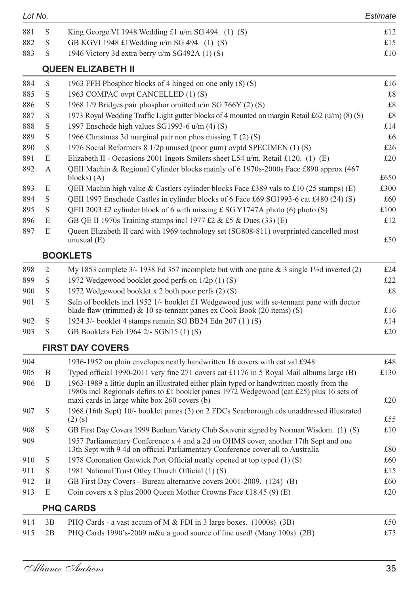| 881<br>S<br>King George VI 1948 Wedding £1 $u/m$ SG 494. (1) (S)<br>882<br>S<br>GB KGVI 1948 £1Wedding u/m SG 494. (1) (S)<br>883<br>S<br>1946 Victory 3d extra berry u/m SG492A (1) (S)<br><b>QUEEN ELIZABETH II</b><br>S<br>884<br>1963 FFH Phosphor blocks of 4 hinged on one only (8) (S)<br>S<br>1963 COMPAC ovpt CANCELLED (1) (S)<br>885<br>S<br>1968 1/9 Bridges pair phosphor omitted u/m SG 766Y (2) (S)<br>886<br>S<br>1973 Royal Wedding Traffic Light gutter blocks of 4 mounted on margin Retail £62 (u/m) (8) (S)<br>887<br>S<br>1997 Enschede high values SG1993-6 u/m (4) (S)<br>888<br>S<br>889<br>1966 Christmas 3d marginal pair non phos missing $T(2)(S)$<br>S<br>1976 Social Reformers 8 1/2p unused (poor gum) ovptd SPECIMEN (1) (S)<br>890<br>E<br>Elizabeth II - Occasions 2001 Ingots Smilers sheet L54 $u/m$ . Retail £120. (1) (E)<br>891<br>QEII Machin & Regional Cylinder blocks mainly of 6 1970s-2000s Face £890 approx (467)<br>892<br>A<br>$blocks)$ $(A)$<br>£650<br>QEII Machin high value & Castlers cylinder blocks Face £389 vals to £10 (25 stamps) (E)<br>£300<br>893<br>E<br>S<br>QEII 1997 Enschede Castles in cylinder blocks of 6 Face £69 SG1993-6 cat £480 (24) (S)<br>894<br>£60<br>S<br>QEII 2003 £2 cylinder block of 6 with missing £ SG Y1747A photo (6) photo (S)<br>895<br>£100<br>GB QE II 1970s Training stamps incl 1977 £2 & £5 & Dues (33) (E)<br>896<br>E<br>£12<br>E<br>Queen Elizabeth II card with 1969 technology set (SG808-811) overprinted cancelled most<br>897<br>unusual $(E)$<br><b>BOOKLETS</b><br>My 1853 complete 3/- 1938 Ed 357 incomplete but with one pane & 3 single 1½d inverted (2)<br>898<br>2<br>S<br>1972 Wedgewood booklet good perfs on 1/2p (1) (S)<br>899<br>S<br>1972 Wedgewood booklet x 2 both poor perfs (2) (S)<br>900<br>S<br>Seln of booklets incl 1952 $1/-$ booklet £1 Wedgewood just with se-tennant pane with doctor<br>901<br>blade flaw (trimmed) & 10 se-tennant panes ex Cook Book (20 items) (S)<br>£16<br>1924 3/- booklet 4 stamps remain SG BB24 Edn 207 (1) (S)<br>£14<br>902<br>S<br>S<br>GB Booklets Feb 1964 2/- SGN15 (1) (S)<br>903<br><b>FIRST DAY COVERS</b><br>904<br>£48<br>1936-1952 on plain envelopes neatly handwritten 16 covers with cat val £948<br>Typed official 1990-2011 very fine 271 covers cat £1176 in 5 Royal Mail albums large $(B)$<br>905<br>B<br>£130<br>1963-1989 a little dupln an illustrated either plain typed or handwritten mostly from the<br>906<br>B<br>1980s incl Regionals defins to £1 booklet panes 1972 Wedgewood (cat £25) plus 16 sets of<br>maxi cards in large white box 260 covers (b)<br>£20<br>1968 (16th Sept) 10/- booklet panes (3) on 2 FDCs Scarborough cds unaddressed illustrated<br>S<br>907<br>$(2)$ (s)<br>S<br>GB First Day Covers 1999 Benham Variety Club Souvenir signed by Norman Wisdom. (1) (S)<br>908<br>1957 Parliamentary Conference x 4 and a 2d on OHMS cover, another 17th Sept and one<br>909<br>13th Sept with 9 4d on official Parliamentary Conference cover all to Australia<br>910<br>S<br>1978 Coronation Gatwick Port Official neatly opened at top typed (1) (S)<br>$\mathbf S$<br>1981 National Trust Otley Church Official (1) (S)<br>911<br>912<br>B<br>GB First Day Covers - Bureau alternative covers 2001-2009. (124) (B)<br>913<br>E<br>Coin covers x 8 plus 2000 Queen Mother Crowns Face £18.45 (9) $(E)$<br><b>PHQ CARDS</b><br>914<br>3B<br>PHQ Cards - a vast accum of M & FDI in 3 large boxes. (1000s) (3B)<br>2B<br>PHQ Cards 1990's-2009 m&u a good source of fine used! (Many 100s) (2B)<br>915 | Lot No. |  | Estimate    |
|--------------------------------------------------------------------------------------------------------------------------------------------------------------------------------------------------------------------------------------------------------------------------------------------------------------------------------------------------------------------------------------------------------------------------------------------------------------------------------------------------------------------------------------------------------------------------------------------------------------------------------------------------------------------------------------------------------------------------------------------------------------------------------------------------------------------------------------------------------------------------------------------------------------------------------------------------------------------------------------------------------------------------------------------------------------------------------------------------------------------------------------------------------------------------------------------------------------------------------------------------------------------------------------------------------------------------------------------------------------------------------------------------------------------------------------------------------------------------------------------------------------------------------------------------------------------------------------------------------------------------------------------------------------------------------------------------------------------------------------------------------------------------------------------------------------------------------------------------------------------------------------------------------------------------------------------------------------------------------------------------------------------------------------------------------------------------------------------------------------------------------------------------------------------------------------------------------------------------------------------------------------------------------------------------------------------------------------------------------------------------------------------------------------------------------------------------------------------------------------------------------------------------------------------------------------------------------------------------------------------------------------------------------------------------------------------------------------------------------------------------------------------------------------------------------------------------------------------------------------------------------------------------------------------------------------------------------------------------------------------------------------------------------------------------------------------------------------------------------------------------------------------------------------------------------------------------------------------------------------------------------------------------------------------------------------------------------------------------------------------------------------------------------------------------------------------------------------------------------------------------------------------------------------------------------------------------------------------------------------------|---------|--|-------------|
|                                                                                                                                                                                                                                                                                                                                                                                                                                                                                                                                                                                                                                                                                                                                                                                                                                                                                                                                                                                                                                                                                                                                                                                                                                                                                                                                                                                                                                                                                                                                                                                                                                                                                                                                                                                                                                                                                                                                                                                                                                                                                                                                                                                                                                                                                                                                                                                                                                                                                                                                                                                                                                                                                                                                                                                                                                                                                                                                                                                                                                                                                                                                                                                                                                                                                                                                                                                                                                                                                                                                                                                                                    |         |  | £12         |
|                                                                                                                                                                                                                                                                                                                                                                                                                                                                                                                                                                                                                                                                                                                                                                                                                                                                                                                                                                                                                                                                                                                                                                                                                                                                                                                                                                                                                                                                                                                                                                                                                                                                                                                                                                                                                                                                                                                                                                                                                                                                                                                                                                                                                                                                                                                                                                                                                                                                                                                                                                                                                                                                                                                                                                                                                                                                                                                                                                                                                                                                                                                                                                                                                                                                                                                                                                                                                                                                                                                                                                                                                    |         |  | £15         |
|                                                                                                                                                                                                                                                                                                                                                                                                                                                                                                                                                                                                                                                                                                                                                                                                                                                                                                                                                                                                                                                                                                                                                                                                                                                                                                                                                                                                                                                                                                                                                                                                                                                                                                                                                                                                                                                                                                                                                                                                                                                                                                                                                                                                                                                                                                                                                                                                                                                                                                                                                                                                                                                                                                                                                                                                                                                                                                                                                                                                                                                                                                                                                                                                                                                                                                                                                                                                                                                                                                                                                                                                                    |         |  | £10         |
|                                                                                                                                                                                                                                                                                                                                                                                                                                                                                                                                                                                                                                                                                                                                                                                                                                                                                                                                                                                                                                                                                                                                                                                                                                                                                                                                                                                                                                                                                                                                                                                                                                                                                                                                                                                                                                                                                                                                                                                                                                                                                                                                                                                                                                                                                                                                                                                                                                                                                                                                                                                                                                                                                                                                                                                                                                                                                                                                                                                                                                                                                                                                                                                                                                                                                                                                                                                                                                                                                                                                                                                                                    |         |  |             |
|                                                                                                                                                                                                                                                                                                                                                                                                                                                                                                                                                                                                                                                                                                                                                                                                                                                                                                                                                                                                                                                                                                                                                                                                                                                                                                                                                                                                                                                                                                                                                                                                                                                                                                                                                                                                                                                                                                                                                                                                                                                                                                                                                                                                                                                                                                                                                                                                                                                                                                                                                                                                                                                                                                                                                                                                                                                                                                                                                                                                                                                                                                                                                                                                                                                                                                                                                                                                                                                                                                                                                                                                                    |         |  | £16         |
|                                                                                                                                                                                                                                                                                                                                                                                                                                                                                                                                                                                                                                                                                                                                                                                                                                                                                                                                                                                                                                                                                                                                                                                                                                                                                                                                                                                                                                                                                                                                                                                                                                                                                                                                                                                                                                                                                                                                                                                                                                                                                                                                                                                                                                                                                                                                                                                                                                                                                                                                                                                                                                                                                                                                                                                                                                                                                                                                                                                                                                                                                                                                                                                                                                                                                                                                                                                                                                                                                                                                                                                                                    |         |  | £8          |
|                                                                                                                                                                                                                                                                                                                                                                                                                                                                                                                                                                                                                                                                                                                                                                                                                                                                                                                                                                                                                                                                                                                                                                                                                                                                                                                                                                                                                                                                                                                                                                                                                                                                                                                                                                                                                                                                                                                                                                                                                                                                                                                                                                                                                                                                                                                                                                                                                                                                                                                                                                                                                                                                                                                                                                                                                                                                                                                                                                                                                                                                                                                                                                                                                                                                                                                                                                                                                                                                                                                                                                                                                    |         |  | $\pounds 8$ |
|                                                                                                                                                                                                                                                                                                                                                                                                                                                                                                                                                                                                                                                                                                                                                                                                                                                                                                                                                                                                                                                                                                                                                                                                                                                                                                                                                                                                                                                                                                                                                                                                                                                                                                                                                                                                                                                                                                                                                                                                                                                                                                                                                                                                                                                                                                                                                                                                                                                                                                                                                                                                                                                                                                                                                                                                                                                                                                                                                                                                                                                                                                                                                                                                                                                                                                                                                                                                                                                                                                                                                                                                                    |         |  | £8          |
|                                                                                                                                                                                                                                                                                                                                                                                                                                                                                                                                                                                                                                                                                                                                                                                                                                                                                                                                                                                                                                                                                                                                                                                                                                                                                                                                                                                                                                                                                                                                                                                                                                                                                                                                                                                                                                                                                                                                                                                                                                                                                                                                                                                                                                                                                                                                                                                                                                                                                                                                                                                                                                                                                                                                                                                                                                                                                                                                                                                                                                                                                                                                                                                                                                                                                                                                                                                                                                                                                                                                                                                                                    |         |  | £14         |
|                                                                                                                                                                                                                                                                                                                                                                                                                                                                                                                                                                                                                                                                                                                                                                                                                                                                                                                                                                                                                                                                                                                                                                                                                                                                                                                                                                                                                                                                                                                                                                                                                                                                                                                                                                                                                                                                                                                                                                                                                                                                                                                                                                                                                                                                                                                                                                                                                                                                                                                                                                                                                                                                                                                                                                                                                                                                                                                                                                                                                                                                                                                                                                                                                                                                                                                                                                                                                                                                                                                                                                                                                    |         |  | £6          |
|                                                                                                                                                                                                                                                                                                                                                                                                                                                                                                                                                                                                                                                                                                                                                                                                                                                                                                                                                                                                                                                                                                                                                                                                                                                                                                                                                                                                                                                                                                                                                                                                                                                                                                                                                                                                                                                                                                                                                                                                                                                                                                                                                                                                                                                                                                                                                                                                                                                                                                                                                                                                                                                                                                                                                                                                                                                                                                                                                                                                                                                                                                                                                                                                                                                                                                                                                                                                                                                                                                                                                                                                                    |         |  | £26         |
|                                                                                                                                                                                                                                                                                                                                                                                                                                                                                                                                                                                                                                                                                                                                                                                                                                                                                                                                                                                                                                                                                                                                                                                                                                                                                                                                                                                                                                                                                                                                                                                                                                                                                                                                                                                                                                                                                                                                                                                                                                                                                                                                                                                                                                                                                                                                                                                                                                                                                                                                                                                                                                                                                                                                                                                                                                                                                                                                                                                                                                                                                                                                                                                                                                                                                                                                                                                                                                                                                                                                                                                                                    |         |  | £20         |
|                                                                                                                                                                                                                                                                                                                                                                                                                                                                                                                                                                                                                                                                                                                                                                                                                                                                                                                                                                                                                                                                                                                                                                                                                                                                                                                                                                                                                                                                                                                                                                                                                                                                                                                                                                                                                                                                                                                                                                                                                                                                                                                                                                                                                                                                                                                                                                                                                                                                                                                                                                                                                                                                                                                                                                                                                                                                                                                                                                                                                                                                                                                                                                                                                                                                                                                                                                                                                                                                                                                                                                                                                    |         |  |             |
|                                                                                                                                                                                                                                                                                                                                                                                                                                                                                                                                                                                                                                                                                                                                                                                                                                                                                                                                                                                                                                                                                                                                                                                                                                                                                                                                                                                                                                                                                                                                                                                                                                                                                                                                                                                                                                                                                                                                                                                                                                                                                                                                                                                                                                                                                                                                                                                                                                                                                                                                                                                                                                                                                                                                                                                                                                                                                                                                                                                                                                                                                                                                                                                                                                                                                                                                                                                                                                                                                                                                                                                                                    |         |  |             |
|                                                                                                                                                                                                                                                                                                                                                                                                                                                                                                                                                                                                                                                                                                                                                                                                                                                                                                                                                                                                                                                                                                                                                                                                                                                                                                                                                                                                                                                                                                                                                                                                                                                                                                                                                                                                                                                                                                                                                                                                                                                                                                                                                                                                                                                                                                                                                                                                                                                                                                                                                                                                                                                                                                                                                                                                                                                                                                                                                                                                                                                                                                                                                                                                                                                                                                                                                                                                                                                                                                                                                                                                                    |         |  |             |
|                                                                                                                                                                                                                                                                                                                                                                                                                                                                                                                                                                                                                                                                                                                                                                                                                                                                                                                                                                                                                                                                                                                                                                                                                                                                                                                                                                                                                                                                                                                                                                                                                                                                                                                                                                                                                                                                                                                                                                                                                                                                                                                                                                                                                                                                                                                                                                                                                                                                                                                                                                                                                                                                                                                                                                                                                                                                                                                                                                                                                                                                                                                                                                                                                                                                                                                                                                                                                                                                                                                                                                                                                    |         |  |             |
|                                                                                                                                                                                                                                                                                                                                                                                                                                                                                                                                                                                                                                                                                                                                                                                                                                                                                                                                                                                                                                                                                                                                                                                                                                                                                                                                                                                                                                                                                                                                                                                                                                                                                                                                                                                                                                                                                                                                                                                                                                                                                                                                                                                                                                                                                                                                                                                                                                                                                                                                                                                                                                                                                                                                                                                                                                                                                                                                                                                                                                                                                                                                                                                                                                                                                                                                                                                                                                                                                                                                                                                                                    |         |  |             |
|                                                                                                                                                                                                                                                                                                                                                                                                                                                                                                                                                                                                                                                                                                                                                                                                                                                                                                                                                                                                                                                                                                                                                                                                                                                                                                                                                                                                                                                                                                                                                                                                                                                                                                                                                                                                                                                                                                                                                                                                                                                                                                                                                                                                                                                                                                                                                                                                                                                                                                                                                                                                                                                                                                                                                                                                                                                                                                                                                                                                                                                                                                                                                                                                                                                                                                                                                                                                                                                                                                                                                                                                                    |         |  |             |
|                                                                                                                                                                                                                                                                                                                                                                                                                                                                                                                                                                                                                                                                                                                                                                                                                                                                                                                                                                                                                                                                                                                                                                                                                                                                                                                                                                                                                                                                                                                                                                                                                                                                                                                                                                                                                                                                                                                                                                                                                                                                                                                                                                                                                                                                                                                                                                                                                                                                                                                                                                                                                                                                                                                                                                                                                                                                                                                                                                                                                                                                                                                                                                                                                                                                                                                                                                                                                                                                                                                                                                                                                    |         |  | £50         |
|                                                                                                                                                                                                                                                                                                                                                                                                                                                                                                                                                                                                                                                                                                                                                                                                                                                                                                                                                                                                                                                                                                                                                                                                                                                                                                                                                                                                                                                                                                                                                                                                                                                                                                                                                                                                                                                                                                                                                                                                                                                                                                                                                                                                                                                                                                                                                                                                                                                                                                                                                                                                                                                                                                                                                                                                                                                                                                                                                                                                                                                                                                                                                                                                                                                                                                                                                                                                                                                                                                                                                                                                                    |         |  |             |
|                                                                                                                                                                                                                                                                                                                                                                                                                                                                                                                                                                                                                                                                                                                                                                                                                                                                                                                                                                                                                                                                                                                                                                                                                                                                                                                                                                                                                                                                                                                                                                                                                                                                                                                                                                                                                                                                                                                                                                                                                                                                                                                                                                                                                                                                                                                                                                                                                                                                                                                                                                                                                                                                                                                                                                                                                                                                                                                                                                                                                                                                                                                                                                                                                                                                                                                                                                                                                                                                                                                                                                                                                    |         |  | £24         |
|                                                                                                                                                                                                                                                                                                                                                                                                                                                                                                                                                                                                                                                                                                                                                                                                                                                                                                                                                                                                                                                                                                                                                                                                                                                                                                                                                                                                                                                                                                                                                                                                                                                                                                                                                                                                                                                                                                                                                                                                                                                                                                                                                                                                                                                                                                                                                                                                                                                                                                                                                                                                                                                                                                                                                                                                                                                                                                                                                                                                                                                                                                                                                                                                                                                                                                                                                                                                                                                                                                                                                                                                                    |         |  | £22         |
|                                                                                                                                                                                                                                                                                                                                                                                                                                                                                                                                                                                                                                                                                                                                                                                                                                                                                                                                                                                                                                                                                                                                                                                                                                                                                                                                                                                                                                                                                                                                                                                                                                                                                                                                                                                                                                                                                                                                                                                                                                                                                                                                                                                                                                                                                                                                                                                                                                                                                                                                                                                                                                                                                                                                                                                                                                                                                                                                                                                                                                                                                                                                                                                                                                                                                                                                                                                                                                                                                                                                                                                                                    |         |  | £8          |
|                                                                                                                                                                                                                                                                                                                                                                                                                                                                                                                                                                                                                                                                                                                                                                                                                                                                                                                                                                                                                                                                                                                                                                                                                                                                                                                                                                                                                                                                                                                                                                                                                                                                                                                                                                                                                                                                                                                                                                                                                                                                                                                                                                                                                                                                                                                                                                                                                                                                                                                                                                                                                                                                                                                                                                                                                                                                                                                                                                                                                                                                                                                                                                                                                                                                                                                                                                                                                                                                                                                                                                                                                    |         |  |             |
|                                                                                                                                                                                                                                                                                                                                                                                                                                                                                                                                                                                                                                                                                                                                                                                                                                                                                                                                                                                                                                                                                                                                                                                                                                                                                                                                                                                                                                                                                                                                                                                                                                                                                                                                                                                                                                                                                                                                                                                                                                                                                                                                                                                                                                                                                                                                                                                                                                                                                                                                                                                                                                                                                                                                                                                                                                                                                                                                                                                                                                                                                                                                                                                                                                                                                                                                                                                                                                                                                                                                                                                                                    |         |  |             |
|                                                                                                                                                                                                                                                                                                                                                                                                                                                                                                                                                                                                                                                                                                                                                                                                                                                                                                                                                                                                                                                                                                                                                                                                                                                                                                                                                                                                                                                                                                                                                                                                                                                                                                                                                                                                                                                                                                                                                                                                                                                                                                                                                                                                                                                                                                                                                                                                                                                                                                                                                                                                                                                                                                                                                                                                                                                                                                                                                                                                                                                                                                                                                                                                                                                                                                                                                                                                                                                                                                                                                                                                                    |         |  | £20         |
|                                                                                                                                                                                                                                                                                                                                                                                                                                                                                                                                                                                                                                                                                                                                                                                                                                                                                                                                                                                                                                                                                                                                                                                                                                                                                                                                                                                                                                                                                                                                                                                                                                                                                                                                                                                                                                                                                                                                                                                                                                                                                                                                                                                                                                                                                                                                                                                                                                                                                                                                                                                                                                                                                                                                                                                                                                                                                                                                                                                                                                                                                                                                                                                                                                                                                                                                                                                                                                                                                                                                                                                                                    |         |  |             |
|                                                                                                                                                                                                                                                                                                                                                                                                                                                                                                                                                                                                                                                                                                                                                                                                                                                                                                                                                                                                                                                                                                                                                                                                                                                                                                                                                                                                                                                                                                                                                                                                                                                                                                                                                                                                                                                                                                                                                                                                                                                                                                                                                                                                                                                                                                                                                                                                                                                                                                                                                                                                                                                                                                                                                                                                                                                                                                                                                                                                                                                                                                                                                                                                                                                                                                                                                                                                                                                                                                                                                                                                                    |         |  |             |
|                                                                                                                                                                                                                                                                                                                                                                                                                                                                                                                                                                                                                                                                                                                                                                                                                                                                                                                                                                                                                                                                                                                                                                                                                                                                                                                                                                                                                                                                                                                                                                                                                                                                                                                                                                                                                                                                                                                                                                                                                                                                                                                                                                                                                                                                                                                                                                                                                                                                                                                                                                                                                                                                                                                                                                                                                                                                                                                                                                                                                                                                                                                                                                                                                                                                                                                                                                                                                                                                                                                                                                                                                    |         |  |             |
|                                                                                                                                                                                                                                                                                                                                                                                                                                                                                                                                                                                                                                                                                                                                                                                                                                                                                                                                                                                                                                                                                                                                                                                                                                                                                                                                                                                                                                                                                                                                                                                                                                                                                                                                                                                                                                                                                                                                                                                                                                                                                                                                                                                                                                                                                                                                                                                                                                                                                                                                                                                                                                                                                                                                                                                                                                                                                                                                                                                                                                                                                                                                                                                                                                                                                                                                                                                                                                                                                                                                                                                                                    |         |  |             |
|                                                                                                                                                                                                                                                                                                                                                                                                                                                                                                                                                                                                                                                                                                                                                                                                                                                                                                                                                                                                                                                                                                                                                                                                                                                                                                                                                                                                                                                                                                                                                                                                                                                                                                                                                                                                                                                                                                                                                                                                                                                                                                                                                                                                                                                                                                                                                                                                                                                                                                                                                                                                                                                                                                                                                                                                                                                                                                                                                                                                                                                                                                                                                                                                                                                                                                                                                                                                                                                                                                                                                                                                                    |         |  |             |
|                                                                                                                                                                                                                                                                                                                                                                                                                                                                                                                                                                                                                                                                                                                                                                                                                                                                                                                                                                                                                                                                                                                                                                                                                                                                                                                                                                                                                                                                                                                                                                                                                                                                                                                                                                                                                                                                                                                                                                                                                                                                                                                                                                                                                                                                                                                                                                                                                                                                                                                                                                                                                                                                                                                                                                                                                                                                                                                                                                                                                                                                                                                                                                                                                                                                                                                                                                                                                                                                                                                                                                                                                    |         |  |             |
|                                                                                                                                                                                                                                                                                                                                                                                                                                                                                                                                                                                                                                                                                                                                                                                                                                                                                                                                                                                                                                                                                                                                                                                                                                                                                                                                                                                                                                                                                                                                                                                                                                                                                                                                                                                                                                                                                                                                                                                                                                                                                                                                                                                                                                                                                                                                                                                                                                                                                                                                                                                                                                                                                                                                                                                                                                                                                                                                                                                                                                                                                                                                                                                                                                                                                                                                                                                                                                                                                                                                                                                                                    |         |  | £55         |
|                                                                                                                                                                                                                                                                                                                                                                                                                                                                                                                                                                                                                                                                                                                                                                                                                                                                                                                                                                                                                                                                                                                                                                                                                                                                                                                                                                                                                                                                                                                                                                                                                                                                                                                                                                                                                                                                                                                                                                                                                                                                                                                                                                                                                                                                                                                                                                                                                                                                                                                                                                                                                                                                                                                                                                                                                                                                                                                                                                                                                                                                                                                                                                                                                                                                                                                                                                                                                                                                                                                                                                                                                    |         |  | £10         |
|                                                                                                                                                                                                                                                                                                                                                                                                                                                                                                                                                                                                                                                                                                                                                                                                                                                                                                                                                                                                                                                                                                                                                                                                                                                                                                                                                                                                                                                                                                                                                                                                                                                                                                                                                                                                                                                                                                                                                                                                                                                                                                                                                                                                                                                                                                                                                                                                                                                                                                                                                                                                                                                                                                                                                                                                                                                                                                                                                                                                                                                                                                                                                                                                                                                                                                                                                                                                                                                                                                                                                                                                                    |         |  | £80         |
|                                                                                                                                                                                                                                                                                                                                                                                                                                                                                                                                                                                                                                                                                                                                                                                                                                                                                                                                                                                                                                                                                                                                                                                                                                                                                                                                                                                                                                                                                                                                                                                                                                                                                                                                                                                                                                                                                                                                                                                                                                                                                                                                                                                                                                                                                                                                                                                                                                                                                                                                                                                                                                                                                                                                                                                                                                                                                                                                                                                                                                                                                                                                                                                                                                                                                                                                                                                                                                                                                                                                                                                                                    |         |  | £60         |
|                                                                                                                                                                                                                                                                                                                                                                                                                                                                                                                                                                                                                                                                                                                                                                                                                                                                                                                                                                                                                                                                                                                                                                                                                                                                                                                                                                                                                                                                                                                                                                                                                                                                                                                                                                                                                                                                                                                                                                                                                                                                                                                                                                                                                                                                                                                                                                                                                                                                                                                                                                                                                                                                                                                                                                                                                                                                                                                                                                                                                                                                                                                                                                                                                                                                                                                                                                                                                                                                                                                                                                                                                    |         |  | £15         |
|                                                                                                                                                                                                                                                                                                                                                                                                                                                                                                                                                                                                                                                                                                                                                                                                                                                                                                                                                                                                                                                                                                                                                                                                                                                                                                                                                                                                                                                                                                                                                                                                                                                                                                                                                                                                                                                                                                                                                                                                                                                                                                                                                                                                                                                                                                                                                                                                                                                                                                                                                                                                                                                                                                                                                                                                                                                                                                                                                                                                                                                                                                                                                                                                                                                                                                                                                                                                                                                                                                                                                                                                                    |         |  | £60         |
|                                                                                                                                                                                                                                                                                                                                                                                                                                                                                                                                                                                                                                                                                                                                                                                                                                                                                                                                                                                                                                                                                                                                                                                                                                                                                                                                                                                                                                                                                                                                                                                                                                                                                                                                                                                                                                                                                                                                                                                                                                                                                                                                                                                                                                                                                                                                                                                                                                                                                                                                                                                                                                                                                                                                                                                                                                                                                                                                                                                                                                                                                                                                                                                                                                                                                                                                                                                                                                                                                                                                                                                                                    |         |  | £20         |
|                                                                                                                                                                                                                                                                                                                                                                                                                                                                                                                                                                                                                                                                                                                                                                                                                                                                                                                                                                                                                                                                                                                                                                                                                                                                                                                                                                                                                                                                                                                                                                                                                                                                                                                                                                                                                                                                                                                                                                                                                                                                                                                                                                                                                                                                                                                                                                                                                                                                                                                                                                                                                                                                                                                                                                                                                                                                                                                                                                                                                                                                                                                                                                                                                                                                                                                                                                                                                                                                                                                                                                                                                    |         |  |             |
|                                                                                                                                                                                                                                                                                                                                                                                                                                                                                                                                                                                                                                                                                                                                                                                                                                                                                                                                                                                                                                                                                                                                                                                                                                                                                                                                                                                                                                                                                                                                                                                                                                                                                                                                                                                                                                                                                                                                                                                                                                                                                                                                                                                                                                                                                                                                                                                                                                                                                                                                                                                                                                                                                                                                                                                                                                                                                                                                                                                                                                                                                                                                                                                                                                                                                                                                                                                                                                                                                                                                                                                                                    |         |  | £50         |
|                                                                                                                                                                                                                                                                                                                                                                                                                                                                                                                                                                                                                                                                                                                                                                                                                                                                                                                                                                                                                                                                                                                                                                                                                                                                                                                                                                                                                                                                                                                                                                                                                                                                                                                                                                                                                                                                                                                                                                                                                                                                                                                                                                                                                                                                                                                                                                                                                                                                                                                                                                                                                                                                                                                                                                                                                                                                                                                                                                                                                                                                                                                                                                                                                                                                                                                                                                                                                                                                                                                                                                                                                    |         |  | £75         |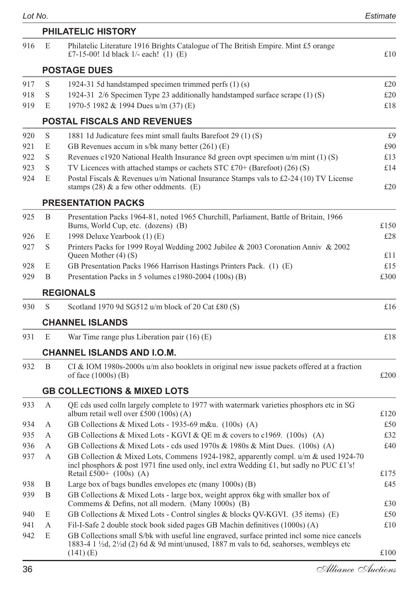|     |   | <b>PHILATELIC HISTORY</b>                                                                                                                                                                                      |              |
|-----|---|----------------------------------------------------------------------------------------------------------------------------------------------------------------------------------------------------------------|--------------|
| 916 | E | Philatelic Literature 1916 Brights Catalogue of The British Empire. Mint £5 orange<br>£7-15-00! 1d black 1/- each! (1) (E)                                                                                     | £10          |
|     |   | <b>POSTAGE DUES</b>                                                                                                                                                                                            |              |
| 917 | S | 1924-31 5d handstamped specimen trimmed perfs (1) (s)                                                                                                                                                          | £20          |
| 918 | S | 1924-31 2/6 Specimen Type 23 additionally handstamped surface scrape (1) (S)                                                                                                                                   | £20          |
| 919 | E | 1970-5 1982 & 1994 Dues u/m (37) (E)                                                                                                                                                                           | £18          |
|     |   | POSTAL FISCALS AND REVENUES                                                                                                                                                                                    |              |
| 920 | S | 1881 1d Judicature fees mint small faults Barefoot 29 (1) (S)                                                                                                                                                  | £9           |
| 921 | E | GB Revenues accum in s/bk many better (261) (E)                                                                                                                                                                | £90          |
| 922 | S | Revenues c1920 National Health Insurance 8d green ovpt specimen $u/m$ mint (1) (S)                                                                                                                             | £13          |
| 923 | S | TV Licences with attached stamps or cachets STC £70+ (Barefoot) (26) (S)                                                                                                                                       | £14          |
| 924 | E | Postal Fiscals & Revenues u/m National Insurance Stamps vals to £2-24 (10) TV License<br>stamps $(28)$ & a few other oddments. $(E)$                                                                           | £20          |
|     |   | <b>PRESENTATION PACKS</b>                                                                                                                                                                                      |              |
| 925 | B | Presentation Packs 1964-81, noted 1965 Churchill, Parliament, Battle of Britain, 1966                                                                                                                          |              |
|     |   | Burns, World Cup, etc. (dozens) (B)                                                                                                                                                                            | £150         |
| 926 | E | 1998 Deluxe Yearbook (1) (E)                                                                                                                                                                                   | £28          |
| 927 | S | Printers Packs for 1999 Royal Wedding 2002 Jubilee & 2003 Coronation Anniv & 2002<br>Queen Mother (4) (S)                                                                                                      | £11          |
| 928 | E | GB Presentation Packs 1966 Harrison Hastings Printers Pack. (1) (E)                                                                                                                                            | £15          |
| 929 | B | Presentation Packs in 5 volumes c1980-2004 (100s) (B)                                                                                                                                                          | £300         |
|     |   | <b>REGIONALS</b>                                                                                                                                                                                               |              |
| 930 | S | Scotland 1970 9d SG512 u/m block of 20 Cat £80 (S)                                                                                                                                                             | £16          |
|     |   | <b>CHANNEL ISLANDS</b>                                                                                                                                                                                         |              |
| 931 | E | War Time range plus Liberation pair $(16)$ (E)                                                                                                                                                                 | £18          |
|     |   | CHANNEL ISLANDS AND I.O.M.                                                                                                                                                                                     |              |
| 932 | B | CI & IOM 1980s-2000s $u/m$ also booklets in original new issue packets offered at a fraction<br>of face $(1000s)$ (B)                                                                                          | £200         |
|     |   | <b>GB COLLECTIONS &amp; MIXED LOTS</b>                                                                                                                                                                         |              |
| 933 | А | QE cds used colln largely complete to 1977 with watermark varieties phosphors etc in SG                                                                                                                        |              |
|     |   | album retail well over £500 (100s) (A)                                                                                                                                                                         | £120         |
| 934 | А | GB Collections & Mixed Lots - 1935-69 m&u. (100s) (A)                                                                                                                                                          | £50          |
| 935 | А | GB Collections & Mixed Lots - KGVI & QE m & covers to c1969. (100s) (A)                                                                                                                                        | £32          |
| 936 | А | GB Collections & Mixed Lots - cds used 1970s & 1980s & Mint Dues. (100s) (A)                                                                                                                                   | £40          |
| 937 | А | GB Collection & Mixed Lots, Commens 1924-1982, apparently compl. $u/m$ & used 1924-70<br>incl phosphors & post 1971 fine used only, incl extra Wedding £1, but sadly no PUC £1's!<br>Retail £500+ $(100s)$ (A) | £175         |
| 938 | Β | Large box of bags bundles envelopes etc (many 1000s) (B)                                                                                                                                                       | £45          |
| 939 | Β | GB Collections & Mixed Lots - large box, weight approx 6kg with smaller box of<br>Commems & Defins, not all modern. (Many 1000s) (B)                                                                           | £30          |
| 940 | E | GB Collections & Mixed Lots - Control singles & blocks QV-KGVI. (35 items) (E)                                                                                                                                 | £50          |
| 941 | А | Fil-I-Safe 2 double stock book sided pages GB Machin definitives (1000s) (A)                                                                                                                                   | £10          |
| 942 | E | GB Collections small S/bk with useful line engraved, surface printed incl some nice cancels<br>1883-4 1 $\frac{1}{2}$ d, 2 $\frac{1}{2}$ d (2) 6d & 9d mint/unused, 1887 m vals to 6d, seahorses, wembleys etc |              |
|     |   | $(141)$ (E)                                                                                                                                                                                                    | $\pounds100$ |

*Lot No. Estimate*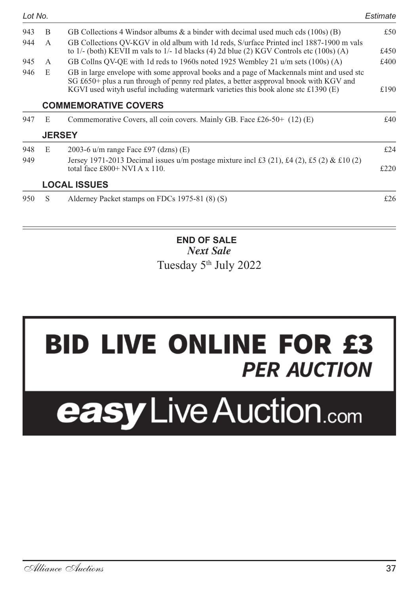| Lot No.                                                                                                                                                                                                                                                                              |              |                                                                                                                                                                                      | Estimate |
|--------------------------------------------------------------------------------------------------------------------------------------------------------------------------------------------------------------------------------------------------------------------------------------|--------------|--------------------------------------------------------------------------------------------------------------------------------------------------------------------------------------|----------|
| 943                                                                                                                                                                                                                                                                                  | B            | GB Collections 4 Windsor albums $\&$ a binder with decimal used much cds (100s) (B)                                                                                                  | £50      |
| 944                                                                                                                                                                                                                                                                                  | $\mathsf{A}$ | GB Collections OV-KGV in old album with 1d reds, S/urface Printed incl 1887-1900 m vals<br>to 1/- (both) KEVII m vals to 1/- 1d blacks (4) 2d blue (2) KGV Controls etc $(100s)$ (A) | £450     |
| 945                                                                                                                                                                                                                                                                                  | $\mathsf{A}$ | GB Collns OV-OE with 1d reds to 1960s noted 1925 Wembley 21 $\mu$ m sets (100s) (A)                                                                                                  | £400     |
| 946<br>E<br>GB in large envelope with some approval books and a page of Mackennals mint and used stc<br>SG £650+ plus a run through of penny red plates, a better aspproval bnook with KGV and<br>KGVI used wityh useful including watermark varieties this book alone stc £1390 (E) |              | £190                                                                                                                                                                                 |          |
|                                                                                                                                                                                                                                                                                      |              | <b>COMMEMORATIVE COVERS</b>                                                                                                                                                          |          |
| 947                                                                                                                                                                                                                                                                                  | E            | Commemorative Covers, all coin covers. Mainly GB. Face £26-50+ $(12)$ (E)                                                                                                            | £40      |
|                                                                                                                                                                                                                                                                                      |              | <b>JERSEY</b>                                                                                                                                                                        |          |
| 948                                                                                                                                                                                                                                                                                  | E            | 2003-6 $u/m$ range Face £97 (dzns) (E)                                                                                                                                               | £24      |
| 949                                                                                                                                                                                                                                                                                  |              | Jersey 1971-2013 Decimal issues u/m postage mixture incl £3 (21), £4 (2), £5 (2) & £10 (2)<br>total face £800+ NVI A $x$ 110.                                                        | £220     |
|                                                                                                                                                                                                                                                                                      |              | <b>LOCAL ISSUES</b>                                                                                                                                                                  |          |
| 950                                                                                                                                                                                                                                                                                  | S            | Alderney Packet stamps on FDCs 1975-81 (8) (S)                                                                                                                                       | £26      |
|                                                                                                                                                                                                                                                                                      |              |                                                                                                                                                                                      |          |
|                                                                                                                                                                                                                                                                                      |              |                                                                                                                                                                                      |          |

#### **END OF SALE** *Next Sale* Tuesday 5th July 2022

## **BID LIVE ONLINE FOR £3 PER AUCTION**

# easy Live Auction.com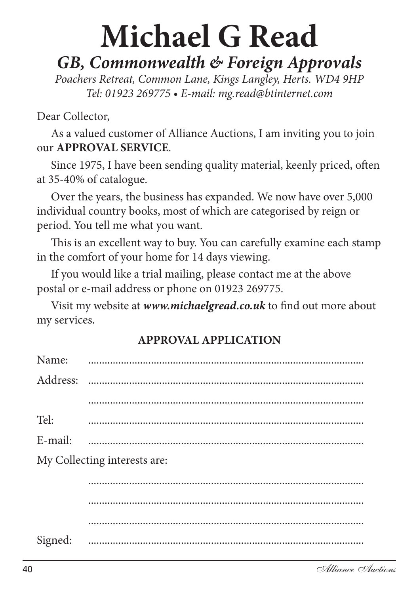## **Michael G Read**

## *GB, Commonwealth & Foreign Approvals*

*Poachers Retreat, Common Lane, Kings Langley, Herts. WD4 9HP Tel: 01923 269775 • E-mail: mg.read@btinternet.com*

### Dear Collector,

As a valued customer of Alliance Auctions, I am inviting you to join our **APPROVAL SERVICE**.

Since 1975, I have been sending quality material, keenly priced, often at 35-40% of catalogue.

Over the years, the business has expanded. We now have over 5,000 individual country books, most of which are categorised by reign or period. You tell me what you want.

This is an excellent way to buy. You can carefully examine each stamp in the comfort of your home for 14 days viewing.

If you would like a trial mailing, please contact me at the above postal or e-mail address or phone on 01923 269775.

Visit my website at *www.michaelgread.co.uk* to find out more about my services.

| Name:   |                              |
|---------|------------------------------|
|         |                              |
|         |                              |
| Tel:    |                              |
| E-mail: |                              |
|         | My Collecting interests are: |
|         |                              |
|         |                              |
|         |                              |
| Signed: |                              |

### **APPROVAL APPLICATION**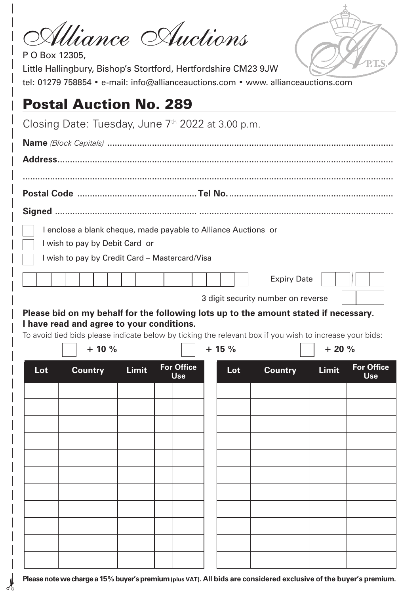| Uliance Auctions<br>P O Box 12305,<br>Little Hallingbury, Bishop's Stortford, Hertfordshire CM23 9JW<br>tel: 01279 758854 • e-mail: info@allianceauctions.com • www. allianceauctions.com                      |              |                          |        |                |              |                          |
|----------------------------------------------------------------------------------------------------------------------------------------------------------------------------------------------------------------|--------------|--------------------------|--------|----------------|--------------|--------------------------|
| <b>Postal Auction No. 289</b>                                                                                                                                                                                  |              |                          |        |                |              |                          |
| Closing Date: Tuesday, June 7 <sup>th</sup> 2022 at 3.00 p.m.                                                                                                                                                  |              |                          |        |                |              |                          |
|                                                                                                                                                                                                                |              |                          |        |                |              |                          |
|                                                                                                                                                                                                                |              |                          |        |                |              |                          |
|                                                                                                                                                                                                                |              |                          |        |                |              |                          |
|                                                                                                                                                                                                                |              |                          |        |                |              |                          |
|                                                                                                                                                                                                                |              |                          |        |                |              |                          |
| I enclose a blank cheque, made payable to Alliance Auctions or<br>I wish to pay by Debit Card or<br>I wish to pay by Credit Card - Mastercard/Visa<br><b>Expiry Date</b><br>3 digit security number on reverse |              |                          |        |                |              |                          |
| Please bid on my behalf for the following lots up to the amount stated if necessary.<br>I have read and agree to your conditions.                                                                              |              |                          |        |                |              |                          |
| To avoid tied bids please indicate below by ticking the relevant box if you wish to increase your bids:                                                                                                        |              |                          |        |                |              |                          |
| $+10%$                                                                                                                                                                                                         |              |                          | $+15%$ |                | $+20%$       |                          |
| <b>Lot</b><br><b>Country</b>                                                                                                                                                                                   | <b>Limit</b> | <b>For Office</b><br>Use | Lot    | <b>Country</b> | <b>Limit</b> | <b>For Office</b><br>Use |
|                                                                                                                                                                                                                |              |                          |        |                |              |                          |
|                                                                                                                                                                                                                |              |                          |        |                |              |                          |
|                                                                                                                                                                                                                |              |                          |        |                |              |                          |
|                                                                                                                                                                                                                |              |                          |        |                |              |                          |
|                                                                                                                                                                                                                |              |                          |        |                |              |                          |
|                                                                                                                                                                                                                |              |                          |        |                |              |                          |
|                                                                                                                                                                                                                |              |                          |        |                |              |                          |
|                                                                                                                                                                                                                |              |                          |        |                |              |                          |
|                                                                                                                                                                                                                |              |                          |        |                |              |                          |

**Please note we charge a 15% buyer's premium (plus VAT). All bids are considered exclusive of the buyer's premium.**

 $\lambda$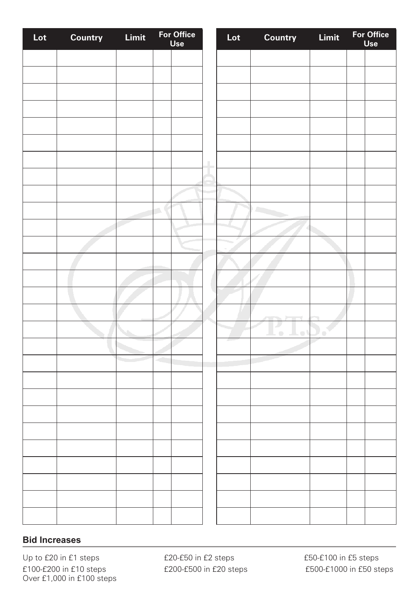| Lot | Country | Limit | For Office<br>Use | Lot | Country                    | Limit | For Office<br>Use |
|-----|---------|-------|-------------------|-----|----------------------------|-------|-------------------|
|     |         |       |                   |     |                            |       |                   |
|     |         |       |                   |     |                            |       |                   |
|     |         |       |                   |     |                            |       |                   |
|     |         |       |                   |     |                            |       |                   |
|     |         |       |                   |     |                            |       |                   |
|     |         |       |                   |     |                            |       |                   |
|     |         |       |                   |     |                            |       |                   |
|     |         |       |                   |     |                            |       |                   |
|     |         |       |                   |     |                            |       |                   |
|     |         |       |                   |     |                            |       |                   |
|     |         |       | ń,                |     | r.                         |       |                   |
|     |         |       |                   |     |                            |       |                   |
|     |         |       |                   |     |                            |       |                   |
|     |         |       |                   |     |                            |       |                   |
|     |         |       |                   |     |                            |       |                   |
|     |         |       |                   |     |                            |       |                   |
|     |         |       |                   |     |                            |       |                   |
|     |         |       |                   |     |                            |       |                   |
|     |         |       |                   |     | J.<br>o I<br>$\hfill \Box$ | ) e   |                   |
|     |         |       |                   |     |                            |       |                   |
|     |         |       |                   |     |                            |       |                   |
|     |         |       |                   |     |                            |       |                   |
|     |         |       |                   |     |                            |       |                   |
|     |         |       |                   |     |                            |       |                   |
|     |         |       |                   |     |                            |       |                   |
|     |         |       |                   |     |                            |       |                   |
|     |         |       |                   |     |                            |       |                   |
|     |         |       |                   |     |                            |       |                   |
|     |         |       |                   |     |                            |       |                   |
|     |         |       |                   |     |                            |       |                   |
|     |         |       |                   |     |                            |       |                   |
|     |         |       |                   |     |                            |       |                   |

#### **Bid Increases**

Up to £20 in £1 steps <br> £20-£50 in £2 steps <br> £50-£100 in £5 steps £100-£200 in £10 steps £200-£500 in £20 steps £500-£1000 in £50 steps Over £1,000 in £100 steps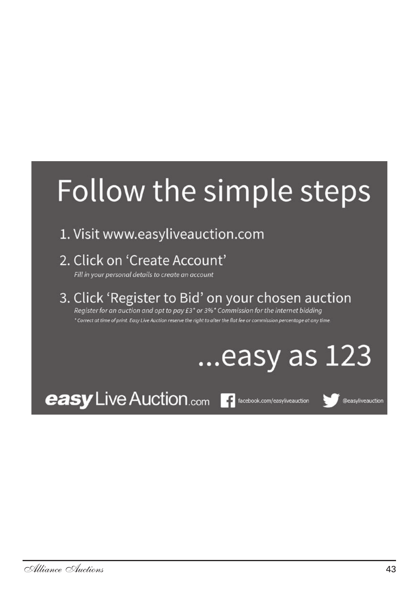## Follow the simple steps

- 1. Visit www.easyliveauction.com
- 2. Click on 'Create Account'

Fill in your personal details to create an account

3. Click 'Register to Bid' on your chosen auction Register for an auction and opt to pay £3<sup>\*</sup> or 3%<sup>\*</sup> Commission for the internet bidding \* Correct at time of print. Easy Live Auction reserve the right to alter the flat fee or commission percentage at any time

## easy as 123.

**easy** Live Auction.com **Fi** facebook.com/easyliveauction

Deasyliveauction